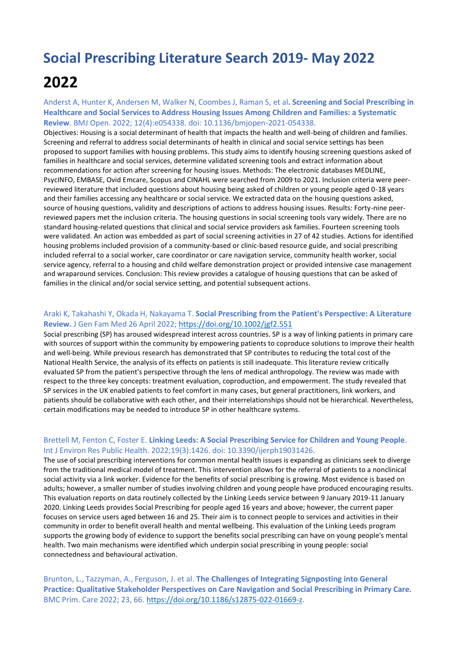# **Social Prescribing Literature Search 2019- May 2022**

# **2022**

Anderst A, Hunter K, Andersen M, Walker N, Coombes J, Raman S, et al**. Screening and Social Prescribing in Healthcare and Social Services to Address Housing Issues Among Children and Families: a Systematic Review**. BMJ Open. 2022; 12(4):e054338. doi: 10.1136/bmjopen-2021-054338.

Objectives: Housing is a social determinant of health that impacts the health and well-being of children and families. Screening and referral to address social determinants of health in clinical and social service settings has been proposed to support families with housing problems. This study aims to identify housing screening questions asked of families in healthcare and social services, determine validated screening tools and extract information about recommendations for action after screening for housing issues. Methods: The electronic databases MEDLINE, PsycINFO, EMBASE, Ovid Emcare, Scopus and CINAHL were searched from 2009 to 2021. Inclusion criteria were peerreviewed literature that included questions about housing being asked of children or young people aged 0-18 years and their families accessing any healthcare or social service. We extracted data on the housing questions asked, source of housing questions, validity and descriptions of actions to address housing issues. Results: Forty-nine peerreviewed papers met the inclusion criteria. The housing questions in social screening tools vary widely. There are no standard housing-related questions that clinical and social service providers ask families. Fourteen screening tools were validated. An action was embedded as part of social screening activities in 27 of 42 studies. Actions for identified housing problems included provision of a community-based or clinic-based resource guide, and social prescribing included referral to a social worker, care coordinator or care navigation service, community health worker, social service agency, referral to a housing and child welfare demonstration project or provided intensive case management and wraparound services. Conclusion: This review provides a catalogue of housing questions that can be asked of families in the clinical and/or social service setting, and potential subsequent actions.

### Araki K, Takahashi Y, Okada H, Nakayama T. **Social Prescribing from the Patient's Perspective: A Literature Review.** J Gen Fam Med 26 April 2022; <https://doi.org/10.1002/jgf2.551>

Social prescribing (SP) has aroused widespread interest across countries. SP is a way of linking patients in primary care with sources of support within the community by empowering patients to coproduce solutions to improve their health and well-being. While previous research has demonstrated that SP contributes to reducing the total cost of the National Health Service, the analysis of its effects on patients is still inadequate. This literature review critically evaluated SP from the patient's perspective through the lens of medical anthropology. The review was made with respect to the three key concepts: treatment evaluation, coproduction, and empowerment. The study revealed that SP services in the UK enabled patients to feel comfort in many cases, but general practitioners, link workers, and patients should be collaborative with each other, and their interrelationships should not be hierarchical. Nevertheless, certain modifications may be needed to introduce SP in other healthcare systems.

# Brettell M, Fenton C, Foster E. **Linking Leeds: A Social Prescribing Service for Children and Young People**. Int J Environ Res Public Health. 2022;19(3):1426. doi: 10.3390/ijerph19031426.

The use of social prescribing interventions for common mental health issues is expanding as clinicians seek to diverge from the traditional medical model of treatment. This intervention allows for the referral of patients to a nonclinical social activity via a link worker. Evidence for the benefits of social prescribing is growing. Most evidence is based on adults; however, a smaller number of studies involving children and young people have produced encouraging results. This evaluation reports on data routinely collected by the Linking Leeds service between 9 January 2019-11 January 2020. Linking Leeds provides Social Prescribing for people aged 16 years and above; however, the current paper focuses on service users aged between 16 and 25. Their aim is to connect people to services and activities in their community in order to benefit overall health and mental wellbeing. This evaluation of the Linking Leeds program supports the growing body of evidence to support the benefits social prescribing can have on young people's mental health. Two main mechanisms were identified which underpin social prescribing in young people: social connectedness and behavioural activation.

Brunton, L., Tazzyman, A., Ferguson, J. et al. **The Challenges of Integrating Signposting into General Practice: Qualitative Stakeholder Perspectives on Care Navigation and Social Prescribing in Primary Care.** BMC Prim. Care 2022; 23, 66. [https://doi.org/10.1186/s12875-022-01669-z.](https://doi.org/10.1186/s12875-022-01669-z)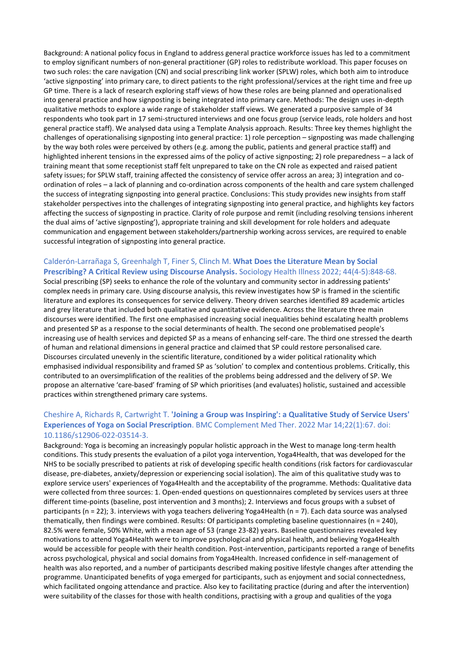Background: A national policy focus in England to address general practice workforce issues has led to a commitment to employ significant numbers of non-general practitioner (GP) roles to redistribute workload. This paper focuses on two such roles: the care navigation (CN) and social prescribing link worker (SPLW) roles, which both aim to introduce 'active signposting' into primary care, to direct patients to the right professional/services at the right time and free up GP time. There is a lack of research exploring staff views of how these roles are being planned and operationalised into general practice and how signposting is being integrated into primary care. Methods: The design uses in-depth qualitative methods to explore a wide range of stakeholder staff views. We generated a purposive sample of 34 respondents who took part in 17 semi-structured interviews and one focus group (service leads, role holders and host general practice staff). We analysed data using a Template Analysis approach. Results: Three key themes highlight the challenges of operationalising signposting into general practice: 1) role perception – signposting was made challenging by the way both roles were perceived by others (e.g. among the public, patients and general practice staff) and highlighted inherent tensions in the expressed aims of the policy of active signposting; 2) role preparedness – a lack of training meant that some receptionist staff felt unprepared to take on the CN role as expected and raised patient safety issues; for SPLW staff, training affected the consistency of service offer across an area; 3) integration and coordination of roles – a lack of planning and co-ordination across components of the health and care system challenged the success of integrating signposting into general practice. Conclusions: This study provides new insights from staff stakeholder perspectives into the challenges of integrating signposting into general practice, and highlights key factors affecting the success of signposting in practice. Clarity of role purpose and remit (including resolving tensions inherent the dual aims of 'active signposting'), appropriate training and skill development for role holders and adequate communication and engagement between stakeholders/partnership working across services, are required to enable successful integration of signposting into general practice.

# Calderón-Larrañaga S, Greenhalgh T, Finer S, Clinch M. **What Does the Literature Mean by Social Prescribing? A Critical Review using Discourse Analysis.** Sociology Health Illness 2022; 44(4-5):848-68.

Social prescribing (SP) seeks to enhance the role of the voluntary and community sector in addressing patients' complex needs in primary care. Using discourse analysis, this review investigates how SP is framed in the scientific literature and explores its consequences for service delivery. Theory driven searches identified 89 academic articles and grey literature that included both qualitative and quantitative evidence. Across the literature three main discourses were identified. The first one emphasised increasing social inequalities behind escalating health problems and presented SP as a response to the social determinants of health. The second one problematised people's increasing use of health services and depicted SP as a means of enhancing self-care. The third one stressed the dearth of human and relational dimensions in general practice and claimed that SP could restore personalised care. Discourses circulated unevenly in the scientific literature, conditioned by a wider political rationality which emphasised individual responsibility and framed SP as 'solution' to complex and contentious problems. Critically, this contributed to an oversimplification of the realities of the problems being addressed and the delivery of SP. We propose an alternative 'care-based' framing of SP which prioritises (and evaluates) holistic, sustained and accessible practices within strengthened primary care systems.

#### Cheshire A, Richards R, Cartwright T. **'Joining a Group was Inspiring': a Qualitative Study of Service Users' Experiences of Yoga on Social Prescription**. BMC Complement Med Ther. 2022 Mar 14;22(1):67. doi: 10.1186/s12906-022-03514-3.

Background: Yoga is becoming an increasingly popular holistic approach in the West to manage long-term health conditions. This study presents the evaluation of a pilot yoga intervention, Yoga4Health, that was developed for the NHS to be socially prescribed to patients at risk of developing specific health conditions (risk factors for cardiovascular disease, pre-diabetes, anxiety/depression or experiencing social isolation). The aim of this qualitative study was to explore service users' experiences of Yoga4Health and the acceptability of the programme. Methods: Qualitative data were collected from three sources: 1. Open-ended questions on questionnaires completed by services users at three different time-points (baseline, post intervention and 3 months); 2. Interviews and focus groups with a subset of participants (n = 22); 3. interviews with yoga teachers delivering Yoga4Health (n = 7). Each data source was analysed thematically, then findings were combined. Results: Of participants completing baseline questionnaires (n = 240), 82.5% were female, 50% White, with a mean age of 53 (range 23-82) years. Baseline questionnaires revealed key motivations to attend Yoga4Health were to improve psychological and physical health, and believing Yoga4Health would be accessible for people with their health condition. Post-intervention, participants reported a range of benefits across psychological, physical and social domains from Yoga4Health. Increased confidence in self-management of health was also reported, and a number of participants described making positive lifestyle changes after attending the programme. Unanticipated benefits of yoga emerged for participants, such as enjoyment and social connectedness, which facilitated ongoing attendance and practice. Also key to facilitating practice (during and after the intervention) were suitability of the classes for those with health conditions, practising with a group and qualities of the yoga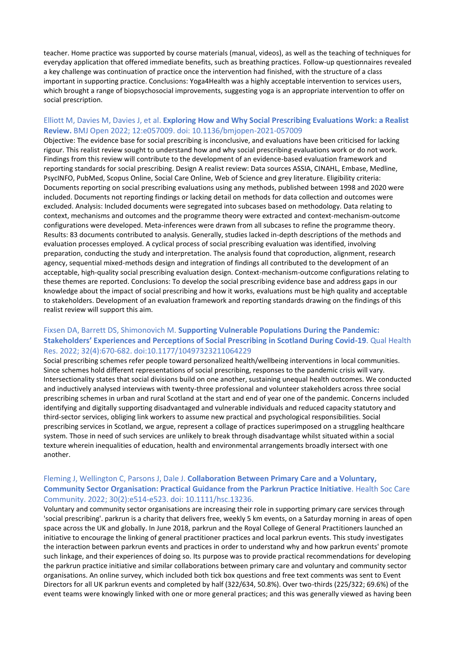teacher. Home practice was supported by course materials (manual, videos), as well as the teaching of techniques for everyday application that offered immediate benefits, such as breathing practices. Follow-up questionnaires revealed a key challenge was continuation of practice once the intervention had finished, with the structure of a class important in supporting practice. Conclusions: Yoga4Health was a highly acceptable intervention to services users, which brought a range of biopsychosocial improvements, suggesting yoga is an appropriate intervention to offer on social prescription.

#### Elliott M, Davies M, Davies J, et al. **Exploring How and Why Social Prescribing Evaluations Work: a Realist Review.** BMJ Open 2022; 12:e057009. doi: 10.1136/bmjopen-2021-057009

Objective: The evidence base for social prescribing is inconclusive, and evaluations have been criticised for lacking rigour. This realist review sought to understand how and why social prescribing evaluations work or do not work. Findings from this review will contribute to the development of an evidence-based evaluation framework and reporting standards for social prescribing. Design A realist review: Data sources ASSIA, CINAHL, Embase, Medline, PsycINFO, PubMed, Scopus Online, Social Care Online, Web of Science and grey literature. Eligibility criteria: Documents reporting on social prescribing evaluations using any methods, published between 1998 and 2020 were included. Documents not reporting findings or lacking detail on methods for data collection and outcomes were excluded. Analysis: Included documents were segregated into subcases based on methodology. Data relating to context, mechanisms and outcomes and the programme theory were extracted and context-mechanism-outcome configurations were developed. Meta-inferences were drawn from all subcases to refine the programme theory. Results: 83 documents contributed to analysis. Generally, studies lacked in-depth descriptions of the methods and evaluation processes employed. A cyclical process of social prescribing evaluation was identified, involving preparation, conducting the study and interpretation. The analysis found that coproduction, alignment, research agency, sequential mixed-methods design and integration of findings all contributed to the development of an acceptable, high-quality social prescribing evaluation design. Context-mechanism-outcome configurations relating to these themes are reported. Conclusions: To develop the social prescribing evidence base and address gaps in our knowledge about the impact of social prescribing and how it works, evaluations must be high quality and acceptable to stakeholders. Development of an evaluation framework and reporting standards drawing on the findings of this realist review will support this aim.

# Fixsen DA, Barrett DS, Shimonovich M. **Supporting Vulnerable Populations During the Pandemic: Stakeholders' Experiences and Perceptions of Social Prescribing in Scotland During Covid-19**. Qual Health Res. 2022; 32(4):670-682. doi:10.1177/10497323211064229

Social prescribing schemes refer people toward personalized health/wellbeing interventions in local communities. Since schemes hold different representations of social prescribing, responses to the pandemic crisis will vary. Intersectionality states that social divisions build on one another, sustaining unequal health outcomes. We conducted and inductively analysed interviews with twenty-three professional and volunteer stakeholders across three social prescribing schemes in urban and rural Scotland at the start and end of year one of the pandemic. Concerns included identifying and digitally supporting disadvantaged and vulnerable individuals and reduced capacity statutory and third-sector services, obliging link workers to assume new practical and psychological responsibilities. Social prescribing services in Scotland, we argue, represent a collage of practices superimposed on a struggling healthcare system. Those in need of such services are unlikely to break through disadvantage whilst situated within a social texture wherein inequalities of education, health and environmental arrangements broadly intersect with one another.

#### Fleming J, Wellington C, Parsons J, Dale J. **Collaboration Between Primary Care and a Voluntary, Community Sector Organisation: Practical Guidance from the Parkrun Practice Initiative**. Health Soc Care Community. 2022; 30(2):e514-e523. doi: 10.1111/hsc.13236.

Voluntary and community sector organisations are increasing their role in supporting primary care services through 'social prescribing'. parkrun is a charity that delivers free, weekly 5 km events, on a Saturday morning in areas of open space across the UK and globally. In June 2018, parkrun and the Royal College of General Practitioners launched an initiative to encourage the linking of general practitioner practices and local parkrun events. This study investigates the interaction between parkrun events and practices in order to understand why and how parkrun events' promote such linkage, and their experiences of doing so. Its purpose was to provide practical recommendations for developing the parkrun practice initiative and similar collaborations between primary care and voluntary and community sector organisations. An online survey, which included both tick box questions and free text comments was sent to Event Directors for all UK parkrun events and completed by half (322/634, 50.8%). Over two-thirds (225/322; 69.6%) of the event teams were knowingly linked with one or more general practices; and this was generally viewed as having been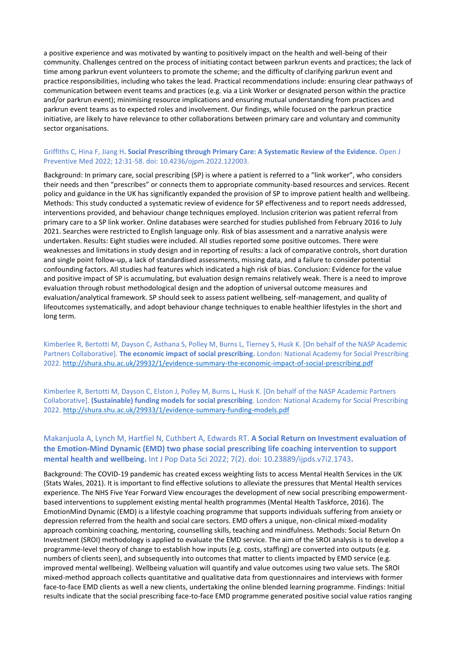a positive experience and was motivated by wanting to positively impact on the health and well-being of their community. Challenges centred on the process of initiating contact between parkrun events and practices; the lack of time among parkrun event volunteers to promote the scheme; and the difficulty of clarifying parkrun event and practice responsibilities, including who takes the lead. Practical recommendations include: ensuring clear pathways of communication between event teams and practices (e.g. via a Link Worker or designated person within the practice and/or parkrun event); minimising resource implications and ensuring mutual understanding from practices and parkrun event teams as to expected roles and involvement. Our findings, while focused on the parkrun practice initiative, are likely to have relevance to other collaborations between primary care and voluntary and community sector organisations.

#### Griffiths C, Hina F, Jiang H**. Social Prescribing through Primary Care: A Systematic Review of the Evidence.** Open J Preventive Med 2022; 12:31-58. doi: 10.4236/ojpm.2022.122003.

Background: In primary care, social prescribing (SP) is where a patient is referred to a "link worker", who considers their needs and then "prescribes" or connects them to appropriate community-based resources and services. Recent policy and guidance in the UK has significantly expanded the provision of SP to improve patient health and wellbeing. Methods: This study conducted a systematic review of evidence for SP effectiveness and to report needs addressed, interventions provided, and behaviour change techniques employed. Inclusion criterion was patient referral from primary care to a SP link worker. Online databases were searched for studies published from February 2016 to July 2021. Searches were restricted to English language only. Risk of bias assessment and a narrative analysis were undertaken. Results: Eight studies were included. All studies reported some positive outcomes. There were weaknesses and limitations in study design and in reporting of results: a lack of comparative controls, short duration and single point follow-up, a lack of standardised assessments, missing data, and a failure to consider potential confounding factors. All studies had features which indicated a high risk of bias. Conclusion: Evidence for the value and positive impact of SP is accumulating, but evaluation design remains relatively weak. There is a need to improve evaluation through robust methodological design and the adoption of universal outcome measures and evaluation/analytical framework. SP should seek to assess patient wellbeing, self-management, and quality of lifeoutcomes systematically, and adopt behaviour change techniques to enable healthier lifestyles in the short and long term.

Kimberlee R, Bertotti M, Dayson C, Asthana S, Polley M, Burns L, Tierney S, Husk K. [On behalf of the NASP Academic Partners Collaborative]. **The economic impact of social prescribing.** London: National Academy for Social Prescribing 2022. <http://shura.shu.ac.uk/29932/1/evidence-summary-the-economic-impact-of-social-prescribing.pdf>

Kimberlee R, Bertotti M, Dayson C, Elston J, Polley M, Burns L, Husk K. [On behalf of the NASP Academic Partners Collaborative]. **(Sustainable) funding models for social prescribing**. London: National Academy for Social Prescribing 2022. <http://shura.shu.ac.uk/29933/1/evidence-summary-funding-models.pdf>

#### Makanjuola A, Lynch M, Hartfiel N, Cuthbert A, Edwards RT. **A Social Return on Investment evaluation of the Emotion-Mind Dynamic (EMD) two phase social prescribing life coaching intervention to support mental health and wellbeing.** Int J Pop Data Sci 2022; 7(2). doi: 10.23889/ijpds.v7i2.1743**.**

Background: The COVID-19 pandemic has created excess weighting lists to access Mental Health Services in the UK (Stats Wales, 2021). It is important to find effective solutions to alleviate the pressures that Mental Health services experience. The NHS Five Year Forward View encourages the development of new social prescribing empowermentbased interventions to supplement existing mental health programmes (Mental Health Taskforce, 2016). The EmotionMind Dynamic (EMD) is a lifestyle coaching programme that supports individuals suffering from anxiety or depression referred from the health and social care sectors. EMD offers a unique, non-clinical mixed-modality approach combining coaching, mentoring, counselling skills, teaching and mindfulness. Methods: Social Return On Investment (SROI) methodology is applied to evaluate the EMD service. The aim of the SROI analysis is to develop a programme-level theory of change to establish how inputs (e.g. costs, staffing) are converted into outputs (e.g. numbers of clients seen), and subsequently into outcomes that matter to clients impacted by EMD service (e.g. improved mental wellbeing). Wellbeing valuation will quantify and value outcomes using two value sets. The SROI mixed-method approach collects quantitative and qualitative data from questionnaires and interviews with former face-to-face EMD clients as well a new clients, undertaking the online blended learning programme. Findings: Initial results indicate that the social prescribing face-to-face EMD programme generated positive social value ratios ranging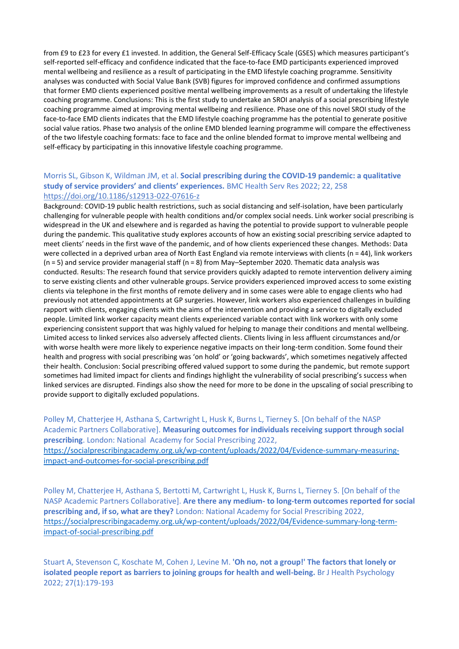from £9 to £23 for every £1 invested. In addition, the General Self-Efficacy Scale (GSES) which measures participant's self-reported self-efficacy and confidence indicated that the face-to-face EMD participants experienced improved mental wellbeing and resilience as a result of participating in the EMD lifestyle coaching programme. Sensitivity analyses was conducted with Social Value Bank (SVB) figures for improved confidence and confirmed assumptions that former EMD clients experienced positive mental wellbeing improvements as a result of undertaking the lifestyle coaching programme. Conclusions: This is the first study to undertake an SROI analysis of a social prescribing lifestyle coaching programme aimed at improving mental wellbeing and resilience. Phase one of this novel SROI study of the face-to-face EMD clients indicates that the EMD lifestyle coaching programme has the potential to generate positive social value ratios. Phase two analysis of the online EMD blended learning programme will compare the effectiveness of the two lifestyle coaching formats: face to face and the online blended format to improve mental wellbeing and self-efficacy by participating in this innovative lifestyle coaching programme.

### Morris SL, Gibson K, Wildman JM, et al. **Social prescribing during the COVID-19 pandemic: a qualitative study of service providers' and clients' experiences.** BMC Health Serv Res 2022; 22, 258 <https://doi.org/10.1186/s12913-022-07616-z>

Background: COVID-19 public health restrictions, such as social distancing and self-isolation, have been particularly challenging for vulnerable people with health conditions and/or complex social needs. Link worker social prescribing is widespread in the UK and elsewhere and is regarded as having the potential to provide support to vulnerable people during the pandemic. This qualitative study explores accounts of how an existing social prescribing service adapted to meet clients' needs in the first wave of the pandemic, and of how clients experienced these changes. Methods: Data were collected in a deprived urban area of North East England via remote interviews with clients (n = 44), link workers (n = 5) and service provider managerial staff (n = 8) from May–September 2020. Thematic data analysis was conducted. Results: The research found that service providers quickly adapted to remote intervention delivery aiming to serve existing clients and other vulnerable groups. Service providers experienced improved access to some existing clients via telephone in the first months of remote delivery and in some cases were able to engage clients who had previously not attended appointments at GP surgeries. However, link workers also experienced challenges in building rapport with clients, engaging clients with the aims of the intervention and providing a service to digitally excluded people. Limited link worker capacity meant clients experienced variable contact with link workers with only some experiencing consistent support that was highly valued for helping to manage their conditions and mental wellbeing. Limited access to linked services also adversely affected clients. Clients living in less affluent circumstances and/or with worse health were more likely to experience negative impacts on their long-term condition. Some found their health and progress with social prescribing was 'on hold' or 'going backwards', which sometimes negatively affected their health. Conclusion: Social prescribing offered valued support to some during the pandemic, but remote support sometimes had limited impact for clients and findings highlight the vulnerability of social prescribing's success when linked services are disrupted. Findings also show the need for more to be done in the upscaling of social prescribing to provide support to digitally excluded populations.

Polley M, Chatterjee H, Asthana S, Cartwright L, Husk K, Burns L, Tierney S. [On behalf of the NASP Academic Partners Collaborative]. **Measuring outcomes for individuals receiving support through social prescribing**. London: National Academy for Social Prescribing 2022, [https://socialprescribingacademy.org.uk/wp-content/uploads/2022/04/Evidence-summary-measuring](https://socialprescribingacademy.org.uk/wp-content/uploads/2022/04/Evidence-summary-measuring-impact-and-outcomes-for-social-prescribing.pdf)[impact-and-outcomes-for-social-prescribing.pdf](https://socialprescribingacademy.org.uk/wp-content/uploads/2022/04/Evidence-summary-measuring-impact-and-outcomes-for-social-prescribing.pdf)

Polley M, Chatterjee H, Asthana S, Bertotti M, Cartwright L, Husk K, Burns L, Tierney S. [On behalf of the NASP Academic Partners Collaborative]. **Are there any medium- to long-term outcomes reported for social prescribing and, if so, what are they?** London: National Academy for Social Prescribing 2022, [https://socialprescribingacademy.org.uk/wp-content/uploads/2022/04/Evidence-summary-long-term](https://socialprescribingacademy.org.uk/wp-content/uploads/2022/04/Evidence-summary-long-term-impact-of-social-prescribing.pdf)[impact-of-social-prescribing.pdf](https://socialprescribingacademy.org.uk/wp-content/uploads/2022/04/Evidence-summary-long-term-impact-of-social-prescribing.pdf)

Stuart A, Stevenson C, Koschate M, Cohen J, Levine M. **'Oh no, not a group!' The factors that lonely or isolated people report as barriers to joining groups for health and well-being.** Br J Health Psychology 2022; 27(1):179-193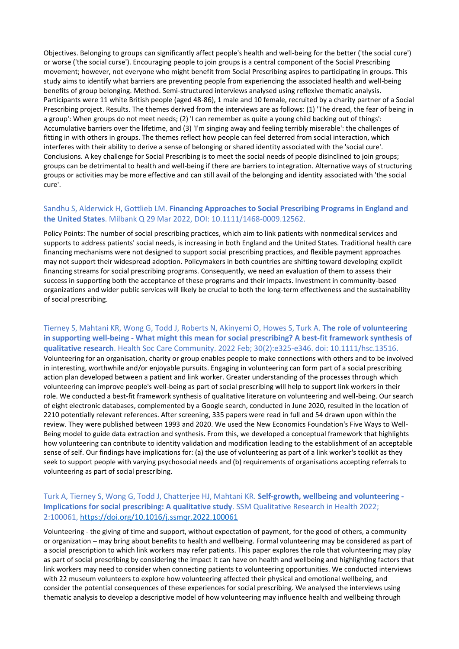Objectives. Belonging to groups can significantly affect people's health and well-being for the better ('the social cure') or worse ('the social curse'). Encouraging people to join groups is a central component of the Social Prescribing movement; however, not everyone who might benefit from Social Prescribing aspires to participating in groups. This study aims to identify what barriers are preventing people from experiencing the associated health and well-being benefits of group belonging. Method. Semi-structured interviews analysed using reflexive thematic analysis. Participants were 11 white British people (aged 48-86), 1 male and 10 female, recruited by a charity partner of a Social Prescribing project. Results. The themes derived from the interviews are as follows: (1) 'The dread, the fear of being in a group': When groups do not meet needs; (2) 'I can remember as quite a young child backing out of things': Accumulative barriers over the lifetime, and (3) 'I'm singing away and feeling terribly miserable': the challenges of fitting in with others in groups. The themes reflect how people can feel deterred from social interaction, which interferes with their ability to derive a sense of belonging or shared identity associated with the 'social cure'. Conclusions. A key challenge for Social Prescribing is to meet the social needs of people disinclined to join groups; groups can be detrimental to health and well-being if there are barriers to integration. Alternative ways of structuring groups or activities may be more effective and can still avail of the belonging and identity associated with 'the social cure'.

### Sandhu S, Alderwick H, Gottlieb LM. **Financing Approaches to Social Prescribing Programs in England and the United States**. Milbank Q 29 Mar 2022, DOI: 10.1111/1468-0009.12562.

Policy Points: The number of social prescribing practices, which aim to link patients with nonmedical services and supports to address patients' social needs, is increasing in both England and the United States. Traditional health care financing mechanisms were not designed to support social prescribing practices, and flexible payment approaches may not support their widespread adoption. Policymakers in both countries are shifting toward developing explicit financing streams for social prescribing programs. Consequently, we need an evaluation of them to assess their success in supporting both the acceptance of these programs and their impacts. Investment in community-based organizations and wider public services will likely be crucial to both the long-term effectiveness and the sustainability of social prescribing.

Tierney S, Mahtani KR, Wong G, Todd J, Roberts N, Akinyemi O, Howes S, Turk A. **The role of volunteering in supporting well-being - What might this mean for social prescribing? A best-fit framework synthesis of qualitative research**. Health Soc Care Community. 2022 Feb; 30(2):e325-e346. doi: 10.1111/hsc.13516. Volunteering for an organisation, charity or group enables people to make connections with others and to be involved in interesting, worthwhile and/or enjoyable pursuits. Engaging in volunteering can form part of a social prescribing action plan developed between a patient and link worker. Greater understanding of the processes through which volunteering can improve people's well-being as part of social prescribing will help to support link workers in their role. We conducted a best-fit framework synthesis of qualitative literature on volunteering and well-being. Our search of eight electronic databases, complemented by a Google search, conducted in June 2020, resulted in the location of 2210 potentially relevant references. After screening, 335 papers were read in full and 54 drawn upon within the review. They were published between 1993 and 2020. We used the New Economics Foundation's Five Ways to Well-Being model to guide data extraction and synthesis. From this, we developed a conceptual framework that highlights how volunteering can contribute to identity validation and modification leading to the establishment of an acceptable sense of self. Our findings have implications for: (a) the use of volunteering as part of a link worker's toolkit as they seek to support people with varying psychosocial needs and (b) requirements of organisations accepting referrals to volunteering as part of social prescribing.

# Turk A, Tierney S, Wong G, Todd J, Chatterjee HJ, Mahtani KR. **Self-growth, wellbeing and volunteering - Implications for social prescribing: A qualitative study**. SSM Qualitative Research in Health 2022; 2:100061, <https://doi.org/10.1016/j.ssmqr.2022.100061>

Volunteering - the giving of time and support, without expectation of payment, for the good of others, a community or organization – may bring about benefits to health and wellbeing. Formal volunteering may be considered as part of a social prescription to which link workers may refer patients. This paper explores the role that volunteering may play as part of social prescribing by considering the impact it can have on health and wellbeing and highlighting factors that link workers may need to consider when connecting patients to volunteering opportunities. We conducted interviews with 22 museum volunteers to explore how volunteering affected their physical and emotional wellbeing, and consider the potential consequences of these experiences for social prescribing. We analysed the interviews using thematic analysis to develop a descriptive model of how volunteering may influence health and wellbeing through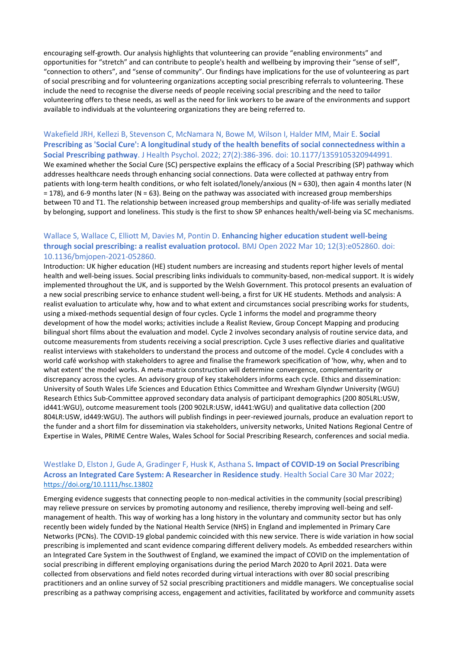encouraging self-growth. Our analysis highlights that volunteering can provide "enabling environments" and opportunities for "stretch" and can contribute to people's health and wellbeing by improving their "sense of self", "connection to others", and "sense of community". Our findings have implications for the use of volunteering as part of social prescribing and for volunteering organizations accepting social prescribing referrals to volunteering. These include the need to recognise the diverse needs of people receiving social prescribing and the need to tailor volunteering offers to these needs, as well as the need for link workers to be aware of the environments and support available to individuals at the volunteering organizations they are being referred to.

# Wakefield JRH, Kellezi B, Stevenson C, McNamara N, Bowe M, Wilson I, Halder MM, Mair E. **Social Prescribing as 'Social Cure': A longitudinal study of the health benefits of social connectedness within a Social Prescribing pathway**. J Health Psychol. 2022; 27(2):386-396. doi: 10.1177/1359105320944991.

We examined whether the Social Cure (SC) perspective explains the efficacy of a Social Prescribing (SP) pathway which addresses healthcare needs through enhancing social connections. Data were collected at pathway entry from patients with long-term health conditions, or who felt isolated/lonely/anxious (N = 630), then again 4 months later (N = 178), and 6-9 months later (N = 63). Being on the pathway was associated with increased group memberships between T0 and T1. The relationship between increased group memberships and quality-of-life was serially mediated by belonging, support and loneliness. This study is the first to show SP enhances health/well-being via SC mechanisms.

# Wallace S, Wallace C, Elliott M, Davies M, Pontin D. **Enhancing higher education student well-being through social prescribing: a realist evaluation protocol.** BMJ Open 2022 Mar 10; 12(3):e052860. doi: 10.1136/bmjopen-2021-052860.

Introduction: UK higher education (HE) student numbers are increasing and students report higher levels of mental health and well-being issues. Social prescribing links individuals to community-based, non-medical support. It is widely implemented throughout the UK, and is supported by the Welsh Government. This protocol presents an evaluation of a new social prescribing service to enhance student well-being, a first for UK HE students. Methods and analysis: A realist evaluation to articulate why, how and to what extent and circumstances social prescribing works for students, using a mixed-methods sequential design of four cycles. Cycle 1 informs the model and programme theory development of how the model works; activities include a Realist Review, Group Concept Mapping and producing bilingual short films about the evaluation and model. Cycle 2 involves secondary analysis of routine service data, and outcome measurements from students receiving a social prescription. Cycle 3 uses reflective diaries and qualitative realist interviews with stakeholders to understand the process and outcome of the model. Cycle 4 concludes with a world café workshop with stakeholders to agree and finalise the framework specification of 'how, why, when and to what extent' the model works. A meta-matrix construction will determine convergence, complementarity or discrepancy across the cycles. An advisory group of key stakeholders informs each cycle. Ethics and dissemination: University of South Wales Life Sciences and Education Ethics Committee and Wrexham Glyndwr University (WGU) Research Ethics Sub-Committee approved secondary data analysis of participant demographics (200 805LRL:USW, id441:WGU), outcome measurement tools (200 902LR:USW, id441:WGU) and qualitative data collection (200 804LR:USW, id449:WGU). The authors will publish findings in peer-reviewed journals, produce an evaluation report to the funder and a short film for dissemination via stakeholders, university networks, United Nations Regional Centre of Expertise in Wales, PRIME Centre Wales, Wales School for Social Prescribing Research, conferences and social media.

# Westlake D, Elston J, Gude A, Gradinger F, Husk K, Asthana S**. Impact of COVID‐19 on Social Prescribing Across an Integrated Care System: A Researcher in Residence study**. Health Social Care 30 Mar 2022; <https://doi.org/10.1111/hsc.13802>

Emerging evidence suggests that connecting people to non-medical activities in the community (social prescribing) may relieve pressure on services by promoting autonomy and resilience, thereby improving well-being and selfmanagement of health. This way of working has a long history in the voluntary and community sector but has only recently been widely funded by the National Health Service (NHS) in England and implemented in Primary Care Networks (PCNs). The COVID-19 global pandemic coincided with this new service. There is wide variation in how social prescribing is implemented and scant evidence comparing different delivery models. As embedded researchers within an Integrated Care System in the Southwest of England, we examined the impact of COVID on the implementation of social prescribing in different employing organisations during the period March 2020 to April 2021. Data were collected from observations and field notes recorded during virtual interactions with over 80 social prescribing practitioners and an online survey of 52 social prescribing practitioners and middle managers. We conceptualise social prescribing as a pathway comprising access, engagement and activities, facilitated by workforce and community assets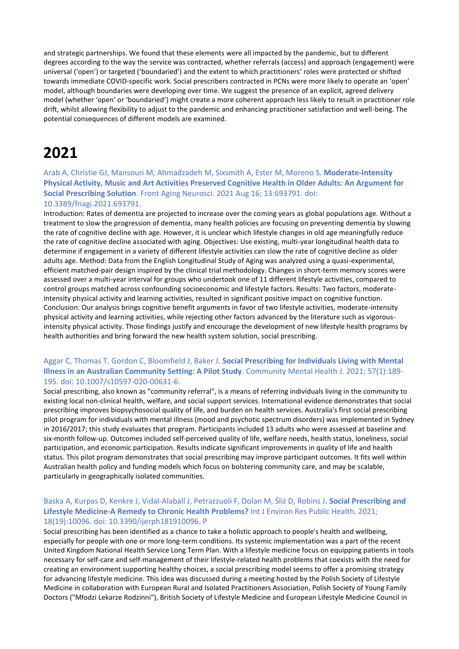and strategic partnerships. We found that these elements were all impacted by the pandemic, but to different degrees according to the way the service was contracted, whether referrals (access) and approach (engagement) were universal ('open') or targeted ('boundaried') and the extent to which practitioners' roles were protected or shifted towards immediate COVID-specific work. Social prescribers contracted in PCNs were more likely to operate an 'open' model, although boundaries were developing over time. We suggest the presence of an explicit, agreed delivery model (whether 'open' or 'boundaried') might create a more coherent approach less likely to result in practitioner role drift, whilst allowing flexibility to adjust to the pandemic and enhancing practitioner satisfaction and well-being. The potential consequences of different models are examined.

# **2021**

Arab A, Christie GJ, Mansouri M, Ahmadzadeh M, Sixsmith A, Ester M, Moreno S. **Moderate-Intensity Physical Activity, Music and Art Activities Preserved Cognitive Health in Older Adults: An Argument for Social Prescribing Solution**. Front Aging Neurosci. 2021 Aug 16; 13:693791. doi: 10.3389/fnagi.2021.693791.

Introduction: Rates of dementia are projected to increase over the coming years as global populations age. Without a treatment to slow the progression of dementia, many health policies are focusing on preventing dementia by slowing the rate of cognitive decline with age. However, it is unclear which lifestyle changes in old age meaningfully reduce the rate of cognitive decline associated with aging. Objectives: Use existing, multi-year longitudinal health data to determine if engagement in a variety of different lifestyle activities can slow the rate of cognitive decline as older adults age. Method: Data from the English Longitudinal Study of Aging was analyzed using a quasi-experimental, efficient matched-pair design inspired by the clinical trial methodology. Changes in short-term memory scores were assessed over a multi-year interval for groups who undertook one of 11 different lifestyle activities, compared to control groups matched across confounding socioeconomic and lifestyle factors. Results: Two factors, moderateintensity physical activity and learning activities, resulted in significant positive impact on cognitive function. Conclusion: Our analysis brings cognitive benefit arguments in favor of two lifestyle activities, moderate-intensity physical activity and learning activities, while rejecting other factors advanced by the literature such as vigorousintensity physical activity. Those findings justify and encourage the development of new lifestyle health programs by health authorities and bring forward the new health system solution, social prescribing.

# Aggar C, Thomas T, Gordon C, Bloomfield J, Baker J. **Social Prescribing for Individuals Living with Mental Illness in an Australian Community Setting: A Pilot Study**. Community Mental Health J. 2021; 57(1):189- 195. doi: 10.1007/s10597-020-00631-6.

Social prescribing, also known as "community referral", is a means of referring individuals living in the community to existing local non-clinical health, welfare, and social support services. International evidence demonstrates that social prescribing improves biopsychosocial quality of life, and burden on health services. Australia's first social prescribing pilot program for individuals with mental illness (mood and psychotic spectrum disorders) was implemented in Sydney in 2016/2017; this study evaluates that program. Participants included 13 adults who were assessed at baseline and six-month follow-up. Outcomes included self-perceived quality of life, welfare needs, health status, loneliness, social participation, and economic participation. Results indicate significant improvements in quality of life and health status. This pilot program demonstrates that social prescribing may improve participant outcomes. It fits well within Australian health policy and funding models which focus on bolstering community care, and may be scalable, particularly in geographically isolated communities.

# Baska A, Kurpas D, Kenkre J, Vidal-Alaball J, Petrazzuoli F, Dolan M, Śliż D, Robins J**. Social Prescribing and Lifestyle Medicine-A Remedy to Chronic Health Problems?** Int J Environ Res Public Health. 2021; 18(19):10096. doi: 10.3390/ijerph181910096. P

Social prescribing has been identified as a chance to take a holistic approach to people's health and wellbeing, especially for people with one or more long-term conditions. Its systemic implementation was a part of the recent United Kingdom National Health Service Long Term Plan. With a lifestyle medicine focus on equipping patients in tools necessary for self-care and self-management of their lifestyle-related health problems that coexists with the need for creating an environment supporting healthy choices, a social prescribing model seems to offer a promising strategy for advancing lifestyle medicine. This idea was discussed during a meeting hosted by the Polish Society of Lifestyle Medicine in collaboration with European Rural and Isolated Practitioners Association, Polish Society of Young Family Doctors ("Młodzi Lekarze Rodzinni"), British Society of Lifestyle Medicine and European Lifestyle Medicine Council in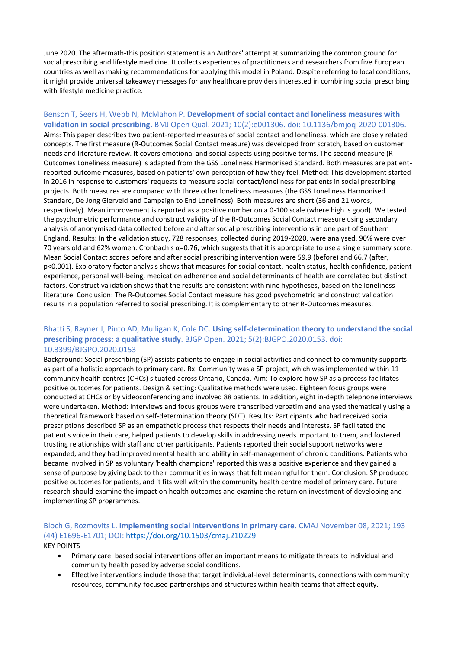June 2020. The aftermath-this position statement is an Authors' attempt at summarizing the common ground for social prescribing and lifestyle medicine. It collects experiences of practitioners and researchers from five European countries as well as making recommendations for applying this model in Poland. Despite referring to local conditions, it might provide universal takeaway messages for any healthcare providers interested in combining social prescribing with lifestyle medicine practice.

# Benson T, Seers H, Webb N, McMahon P. **Development of social contact and loneliness measures with validation in social prescribing.** BMJ Open Qual. 2021; 10(2):e001306. doi: 10.1136/bmjoq-2020-001306.

Aims: This paper describes two patient-reported measures of social contact and loneliness, which are closely related concepts. The first measure (R-Outcomes Social Contact measure) was developed from scratch, based on customer needs and literature review. It covers emotional and social aspects using positive terms. The second measure (R-Outcomes Loneliness measure) is adapted from the GSS Loneliness Harmonised Standard. Both measures are patientreported outcome measures, based on patients' own perception of how they feel. Method: This development started in 2016 in response to customers' requests to measure social contact/loneliness for patients in social prescribing projects. Both measures are compared with three other loneliness measures (the GSS Loneliness Harmonised Standard, De Jong Gierveld and Campaign to End Loneliness). Both measures are short (36 and 21 words, respectively). Mean improvement is reported as a positive number on a 0-100 scale (where high is good). We tested the psychometric performance and construct validity of the R-Outcomes Social Contact measure using secondary analysis of anonymised data collected before and after social prescribing interventions in one part of Southern England. Results: In the validation study, 728 responses, collected during 2019-2020, were analysed. 90% were over 70 years old and 62% women. Cronbach's α=0.76, which suggests that it is appropriate to use a single summary score. Mean Social Contact scores before and after social prescribing intervention were 59.9 (before) and 66.7 (after, p<0.001). Exploratory factor analysis shows that measures for social contact, health status, health confidence, patient experience, personal well-being, medication adherence and social determinants of health are correlated but distinct factors. Construct validation shows that the results are consistent with nine hypotheses, based on the loneliness literature. Conclusion: The R-Outcomes Social Contact measure has good psychometric and construct validation results in a population referred to social prescribing. It is complementary to other R-Outcomes measures.

#### Bhatti S, Rayner J, Pinto AD, Mulligan K, Cole DC. **Using self-determination theory to understand the social prescribing process: a qualitative study**. BJGP Open. 2021; 5(2):BJGPO.2020.0153. doi: 10.3399/BJGPO.2020.0153

Background: Social prescribing (SP) assists patients to engage in social activities and connect to community supports as part of a holistic approach to primary care. Rx: Community was a SP project, which was implemented within 11 community health centres (CHCs) situated across Ontario, Canada. Aim: To explore how SP as a process facilitates positive outcomes for patients. Design & setting: Qualitative methods were used. Eighteen focus groups were conducted at CHCs or by videoconferencing and involved 88 patients. In addition, eight in-depth telephone interviews were undertaken. Method: Interviews and focus groups were transcribed verbatim and analysed thematically using a theoretical framework based on self-determination theory (SDT). Results: Participants who had received social prescriptions described SP as an empathetic process that respects their needs and interests. SP facilitated the patient's voice in their care, helped patients to develop skills in addressing needs important to them, and fostered trusting relationships with staff and other participants. Patients reported their social support networks were expanded, and they had improved mental health and ability in self-management of chronic conditions. Patients who became involved in SP as voluntary 'health champions' reported this was a positive experience and they gained a sense of purpose by giving back to their communities in ways that felt meaningful for them. Conclusion: SP produced positive outcomes for patients, and it fits well within the community health centre model of primary care. Future research should examine the impact on health outcomes and examine the return on investment of developing and implementing SP programmes.

# Bloch G, Rozmovits L. **Implementing social interventions in primary care**. CMAJ November 08, 2021; 193 (44) E1696-E1701; DOI:<https://doi.org/10.1503/cmaj.210229>

KEY POINTS

- Primary care–based social interventions offer an important means to mitigate threats to individual and community health posed by adverse social conditions.
- Effective interventions include those that target individual-level determinants, connections with community resources, community-focused partnerships and structures within health teams that affect equity.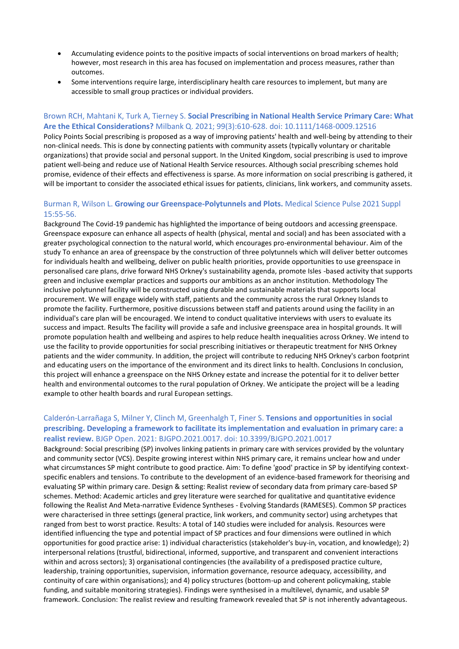- Accumulating evidence points to the positive impacts of social interventions on broad markers of health; however, most research in this area has focused on implementation and process measures, rather than outcomes.
- Some interventions require large, interdisciplinary health care resources to implement, but many are accessible to small group practices or individual providers.

#### Brown RCH, Mahtani K, Turk A, Tierney S. **Social Prescribing in National Health Service Primary Care: What Are the Ethical Considerations?** Milbank Q. 2021; 99(3):610-628. doi: 10.1111/1468-0009.12516

Policy Points Social prescribing is proposed as a way of improving patients' health and well-being by attending to their non-clinical needs. This is done by connecting patients with community assets (typically voluntary or charitable organizations) that provide social and personal support. In the United Kingdom, social prescribing is used to improve patient well-being and reduce use of National Health Service resources. Although social prescribing schemes hold promise, evidence of their effects and effectiveness is sparse. As more information on social prescribing is gathered, it will be important to consider the associated ethical issues for patients, clinicians, link workers, and community assets.

#### Burman R, Wilson L. **Growing our Greenspace-Polytunnels and Plots.** Medical Science Pulse 2021 Suppl 15:55-56.

Background The Covid-19 pandemic has highlighted the importance of being outdoors and accessing greenspace. Greenspace exposure can enhance all aspects of health (physical, mental and social) and has been associated with a greater psychological connection to the natural world, which encourages pro-environmental behaviour. Aim of the study To enhance an area of greenspace by the construction of three polytunnels which will deliver better outcomes for individuals health and wellbeing, deliver on public health priorities, provide opportunities to use greenspace in personalised care plans, drive forward NHS Orkney's sustainability agenda, promote Isles -based activity that supports green and inclusive exemplar practices and supports our ambitions as an anchor institution. Methodology The inclusive polytunnel facility will be constructed using durable and sustainable materials that supports local procurement. We will engage widely with staff, patients and the community across the rural Orkney Islands to promote the facility. Furthermore, positive discussions between staff and patients around using the facility in an individual's care plan will be encouraged. We intend to conduct qualitative interviews with users to evaluate its success and impact. Results The facility will provide a safe and inclusive greenspace area in hospital grounds. It will promote population health and wellbeing and aspires to help reduce health inequalities across Orkney. We intend to use the facility to provide opportunities for social prescribing initiatives or therapeutic treatment for NHS Orkney patients and the wider community. In addition, the project will contribute to reducing NHS Orkney's carbon footprint and educating users on the importance of the environment and its direct links to health. Conclusions In conclusion, this project will enhance a greenspace on the NHS Orkney estate and increase the potential for it to deliver better health and environmental outcomes to the rural population of Orkney. We anticipate the project will be a leading example to other health boards and rural European settings.

# Calderón-Larrañaga S, Milner Y, Clinch M, Greenhalgh T, Finer S. **Tensions and opportunities in social prescribing. Developing a framework to facilitate its implementation and evaluation in primary care: a realist review.** BJGP Open. 2021: BJGPO.2021.0017. doi: 10.3399/BJGPO.2021.0017

Background: Social prescribing (SP) involves linking patients in primary care with services provided by the voluntary and community sector (VCS). Despite growing interest within NHS primary care, it remains unclear how and under what circumstances SP might contribute to good practice. Aim: To define 'good' practice in SP by identifying contextspecific enablers and tensions. To contribute to the development of an evidence-based framework for theorising and evaluating SP within primary care. Design & setting: Realist review of secondary data from primary care-based SP schemes. Method: Academic articles and grey literature were searched for qualitative and quantitative evidence following the Realist And Meta-narrative Evidence Syntheses - Evolving Standards (RAMESES). Common SP practices were characterised in three settings (general practice, link workers, and community sector) using archetypes that ranged from best to worst practice. Results: A total of 140 studies were included for analysis. Resources were identified influencing the type and potential impact of SP practices and four dimensions were outlined in which opportunities for good practice arise: 1) individual characteristics (stakeholder's buy-in, vocation, and knowledge); 2) interpersonal relations (trustful, bidirectional, informed, supportive, and transparent and convenient interactions within and across sectors); 3) organisational contingencies (the availability of a predisposed practice culture, leadership, training opportunities, supervision, information governance, resource adequacy, accessibility, and continuity of care within organisations); and 4) policy structures (bottom-up and coherent policymaking, stable funding, and suitable monitoring strategies). Findings were synthesised in a multilevel, dynamic, and usable SP framework. Conclusion: The realist review and resulting framework revealed that SP is not inherently advantageous.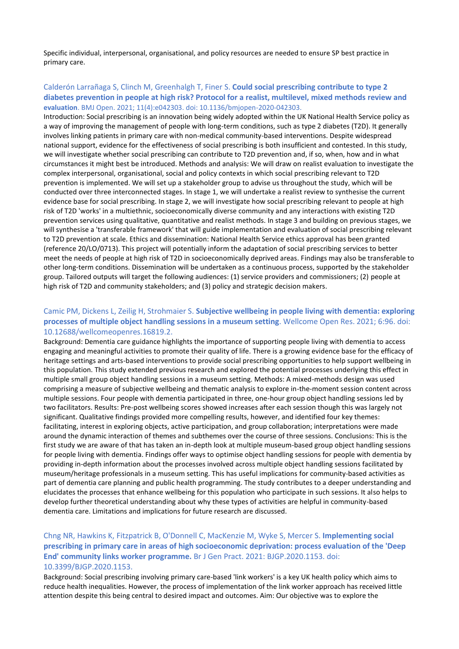Specific individual, interpersonal, organisational, and policy resources are needed to ensure SP best practice in primary care.

#### Calderón Larrañaga S, Clinch M, Greenhalgh T, Finer S. **Could social prescribing contribute to type 2 diabetes prevention in people at high risk? Protocol for a realist, multilevel, mixed methods review and evaluation**. BMJ Open. 2021; 11(4):e042303. doi: 10.1136/bmjopen-2020-042303.

Introduction: Social prescribing is an innovation being widely adopted within the UK National Health Service policy as a way of improving the management of people with long-term conditions, such as type 2 diabetes (T2D). It generally involves linking patients in primary care with non-medical community-based interventions. Despite widespread national support, evidence for the effectiveness of social prescribing is both insufficient and contested. In this study, we will investigate whether social prescribing can contribute to T2D prevention and, if so, when, how and in what circumstances it might best be introduced. Methods and analysis: We will draw on realist evaluation to investigate the complex interpersonal, organisational, social and policy contexts in which social prescribing relevant to T2D prevention is implemented. We will set up a stakeholder group to advise us throughout the study, which will be conducted over three interconnected stages. In stage 1, we will undertake a realist review to synthesise the current evidence base for social prescribing. In stage 2, we will investigate how social prescribing relevant to people at high risk of T2D 'works' in a multiethnic, socioeconomically diverse community and any interactions with existing T2D prevention services using qualitative, quantitative and realist methods. In stage 3 and building on previous stages, we will synthesise a 'transferable framework' that will guide implementation and evaluation of social prescribing relevant to T2D prevention at scale. Ethics and dissemination: National Health Service ethics approval has been granted (reference 20/LO/0713). This project will potentially inform the adaptation of social prescribing services to better meet the needs of people at high risk of T2D in socioeconomically deprived areas. Findings may also be transferable to other long-term conditions. Dissemination will be undertaken as a continuous process, supported by the stakeholder group. Tailored outputs will target the following audiences: (1) service providers and commissioners; (2) people at high risk of T2D and community stakeholders; and (3) policy and strategic decision makers.

#### Camic PM, Dickens L, Zeilig H, Strohmaier S. **Subjective wellbeing in people living with dementia: exploring processes of multiple object handling sessions in a museum setting**. Wellcome Open Res. 2021; 6:96. doi: 10.12688/wellcomeopenres.16819.2.

Background: Dementia care guidance highlights the importance of supporting people living with dementia to access engaging and meaningful activities to promote their quality of life. There is a growing evidence base for the efficacy of heritage settings and arts-based interventions to provide social prescribing opportunities to help support wellbeing in this population. This study extended previous research and explored the potential processes underlying this effect in multiple small group object handling sessions in a museum setting. Methods: A mixed-methods design was used comprising a measure of subjective wellbeing and thematic analysis to explore in-the-moment session content across multiple sessions. Four people with dementia participated in three, one-hour group object handling sessions led by two facilitators. Results: Pre-post wellbeing scores showed increases after each session though this was largely not significant. Qualitative findings provided more compelling results, however, and identified four key themes: facilitating, interest in exploring objects, active participation, and group collaboration; interpretations were made around the dynamic interaction of themes and subthemes over the course of three sessions. Conclusions: This is the first study we are aware of that has taken an in-depth look at multiple museum-based group object handling sessions for people living with dementia. Findings offer ways to optimise object handling sessions for people with dementia by providing in-depth information about the processes involved across multiple object handling sessions facilitated by museum/heritage professionals in a museum setting. This has useful implications for community-based activities as part of dementia care planning and public health programming. The study contributes to a deeper understanding and elucidates the processes that enhance wellbeing for this population who participate in such sessions. It also helps to develop further theoretical understanding about why these types of activities are helpful in community-based dementia care. Limitations and implications for future research are discussed.

# Chng NR, Hawkins K, Fitzpatrick B, O'Donnell C, MacKenzie M, Wyke S, Mercer S. **Implementing social prescribing in primary care in areas of high socioeconomic deprivation: process evaluation of the 'Deep End' community links worker programme.** Br J Gen Pract. 2021: BJGP.2020.1153. doi: 10.3399/BJGP.2020.1153.

Background: Social prescribing involving primary care-based 'link workers' is a key UK health policy which aims to reduce health inequalities. However, the process of implementation of the link worker approach has received little attention despite this being central to desired impact and outcomes. Aim: Our objective was to explore the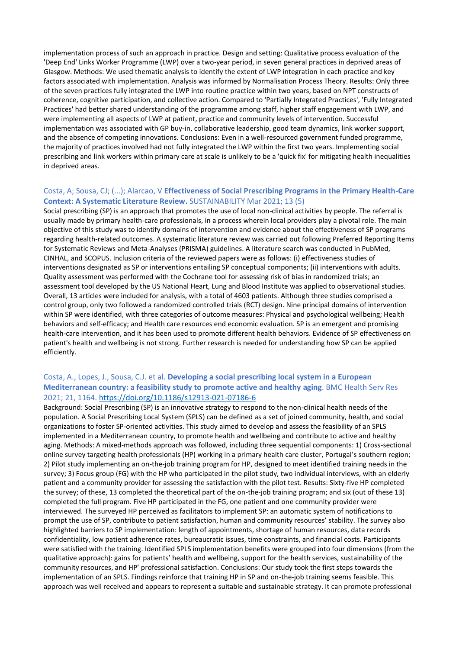implementation process of such an approach in practice. Design and setting: Qualitative process evaluation of the 'Deep End' Links Worker Programme (LWP) over a two-year period, in seven general practices in deprived areas of Glasgow. Methods: We used thematic analysis to identify the extent of LWP integration in each practice and key factors associated with implementation. Analysis was informed by Normalisation Process Theory. Results: Only three of the seven practices fully integrated the LWP into routine practice within two years, based on NPT constructs of coherence, cognitive participation, and collective action. Compared to 'Partially Integrated Practices', 'Fully Integrated Practices' had better shared understanding of the programme among staff, higher staff engagement with LWP, and were implementing all aspects of LWP at patient, practice and community levels of intervention. Successful implementation was associated with GP buy-in, collaborative leadership, good team dynamics, link worker support, and the absence of competing innovations. Conclusions: Even in a well-resourced government funded programme, the majority of practices involved had not fully integrated the LWP within the first two years. Implementing social prescribing and link workers within primary care at scale is unlikely to be a 'quick fix' for mitigating health inequalities in deprived areas.

#### Costa, A; Sousa, CJ; (...); Alarcao, V **Effectiveness of Social Prescribing Programs in the Primary Health-Care Context: A Systematic Literature Review.** SUSTAINABILITY Mar 2021; 13 (5)

Social prescribing (SP) is an approach that promotes the use of local non-clinical activities by people. The referral is usually made by primary health-care professionals, in a process wherein local providers play a pivotal role. The main objective of this study was to identify domains of intervention and evidence about the effectiveness of SP programs regarding health-related outcomes. A systematic literature review was carried out following Preferred Reporting Items for Systematic Reviews and Meta-Analyses (PRISMA) guidelines. A literature search was conducted in PubMed, CINHAL, and SCOPUS. Inclusion criteria of the reviewed papers were as follows: (i) effectiveness studies of interventions designated as SP or interventions entailing SP conceptual components; (ii) interventions with adults. Quality assessment was performed with the Cochrane tool for assessing risk of bias in randomized trials; an assessment tool developed by the US National Heart, Lung and Blood Institute was applied to observational studies. Overall, 13 articles were included for analysis, with a total of 4603 patients. Although three studies comprised a control group, only two followed a randomized controlled trials (RCT) design. Nine principal domains of intervention within SP were identified, with three categories of outcome measures: Physical and psychological wellbeing; Health behaviors and self-efficacy; and Health care resources end economic evaluation. SP is an emergent and promising health-care intervention, and it has been used to promote different health behaviors. Evidence of SP effectiveness on patient's health and wellbeing is not strong. Further research is needed for understanding how SP can be applied efficiently.

# Costa, A., Lopes, J., Sousa, C.J. et al. **Developing a social prescribing local system in a European Mediterranean country: a feasibility study to promote active and healthy aging**. BMC Health Serv Res 2021; 21, 1164.<https://doi.org/10.1186/s12913-021-07186-6>

Background: Social Prescribing (SP) is an innovative strategy to respond to the non-clinical health needs of the population. A Social Prescribing Local System (SPLS) can be defined as a set of joined community, health, and social organizations to foster SP-oriented activities. This study aimed to develop and assess the feasibility of an SPLS implemented in a Mediterranean country, to promote health and wellbeing and contribute to active and healthy aging. Methods: A mixed-methods approach was followed, including three sequential components: 1) Cross-sectional online survey targeting health professionals (HP) working in a primary health care cluster, Portugal's southern region; 2) Pilot study implementing an on-the-job training program for HP, designed to meet identified training needs in the survey; 3) Focus group (FG) with the HP who participated in the pilot study, two individual interviews, with an elderly patient and a community provider for assessing the satisfaction with the pilot test. Results: Sixty-five HP completed the survey; of these, 13 completed the theoretical part of the on-the-job training program; and six (out of these 13) completed the full program. Five HP participated in the FG, one patient and one community provider were interviewed. The surveyed HP perceived as facilitators to implement SP: an automatic system of notifications to prompt the use of SP, contribute to patient satisfaction, human and community resources' stability. The survey also highlighted barriers to SP implementation: length of appointments, shortage of human resources, data records confidentiality, low patient adherence rates, bureaucratic issues, time constraints, and financial costs. Participants were satisfied with the training. Identified SPLS implementation benefits were grouped into four dimensions (from the qualitative approach): gains for patients' health and wellbeing, support for the health services, sustainability of the community resources, and HP' professional satisfaction. Conclusions: Our study took the first steps towards the implementation of an SPLS. Findings reinforce that training HP in SP and on-the-job training seems feasible. This approach was well received and appears to represent a suitable and sustainable strategy. It can promote professional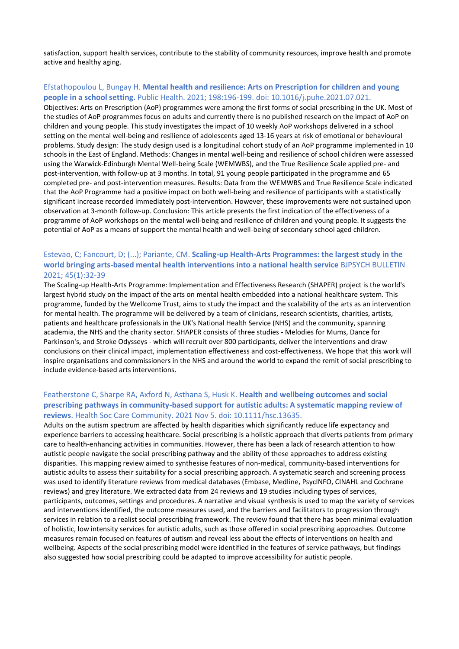satisfaction, support health services, contribute to the stability of community resources, improve health and promote active and healthy aging.

#### Efstathopoulou L, Bungay H. **Mental health and resilience: Arts on Prescription for children and young people in a school setting.** Public Health. 2021; 198:196-199. doi: 10.1016/j.puhe.2021.07.021.

Objectives: Arts on Prescription (AoP) programmes were among the first forms of social prescribing in the UK. Most of the studies of AoP programmes focus on adults and currently there is no published research on the impact of AoP on children and young people. This study investigates the impact of 10 weekly AoP workshops delivered in a school setting on the mental well-being and resilience of adolescents aged 13-16 years at risk of emotional or behavioural problems. Study design: The study design used is a longitudinal cohort study of an AoP programme implemented in 10 schools in the East of England. Methods: Changes in mental well-being and resilience of school children were assessed using the Warwick-Edinburgh Mental Well-being Scale (WEMWBS), and the True Resilience Scale applied pre- and post-intervention, with follow-up at 3 months. In total, 91 young people participated in the programme and 65 completed pre- and post-intervention measures. Results: Data from the WEMWBS and True Resilience Scale indicated that the AoP Programme had a positive impact on both well-being and resilience of participants with a statistically significant increase recorded immediately post-intervention. However, these improvements were not sustained upon observation at 3-month follow-up. Conclusion: This article presents the first indication of the effectiveness of a programme of AoP workshops on the mental well-being and resilience of children and young people. It suggests the potential of AoP as a means of support the mental health and well-being of secondary school aged children.

# Estevao, C; Fancourt, D; (...); Pariante, CM. **Scaling-up Health-Arts Programmes: the largest study in the world bringing arts-based mental health interventions into a national health service** BJPSYCH BULLETIN 2021; 45(1):32-39

The Scaling-up Health-Arts Programme: Implementation and Effectiveness Research (SHAPER) project is the world's largest hybrid study on the impact of the arts on mental health embedded into a national healthcare system. This programme, funded by the Wellcome Trust, aims to study the impact and the scalability of the arts as an intervention for mental health. The programme will be delivered by a team of clinicians, research scientists, charities, artists, patients and healthcare professionals in the UK's National Health Service (NHS) and the community, spanning academia, the NHS and the charity sector. SHAPER consists of three studies - Melodies for Mums, Dance for Parkinson's, and Stroke Odysseys - which will recruit over 800 participants, deliver the interventions and draw conclusions on their clinical impact, implementation effectiveness and cost-effectiveness. We hope that this work will inspire organisations and commissioners in the NHS and around the world to expand the remit of social prescribing to include evidence-based arts interventions.

# Featherstone C, Sharpe RA, Axford N, Asthana S, Husk K. **Health and wellbeing outcomes and social prescribing pathways in community-based support for autistic adults: A systematic mapping review of reviews**. Health Soc Care Community. 2021 Nov 5. doi: 10.1111/hsc.13635.

Adults on the autism spectrum are affected by health disparities which significantly reduce life expectancy and experience barriers to accessing healthcare. Social prescribing is a holistic approach that diverts patients from primary care to health-enhancing activities in communities. However, there has been a lack of research attention to how autistic people navigate the social prescribing pathway and the ability of these approaches to address existing disparities. This mapping review aimed to synthesise features of non-medical, community-based interventions for autistic adults to assess their suitability for a social prescribing approach. A systematic search and screening process was used to identify literature reviews from medical databases (Embase, Medline, PsycINFO, CINAHL and Cochrane reviews) and grey literature. We extracted data from 24 reviews and 19 studies including types of services, participants, outcomes, settings and procedures. A narrative and visual synthesis is used to map the variety of services and interventions identified, the outcome measures used, and the barriers and facilitators to progression through services in relation to a realist social prescribing framework. The review found that there has been minimal evaluation of holistic, low intensity services for autistic adults, such as those offered in social prescribing approaches. Outcome measures remain focused on features of autism and reveal less about the effects of interventions on health and wellbeing. Aspects of the social prescribing model were identified in the features of service pathways, but findings also suggested how social prescribing could be adapted to improve accessibility for autistic people.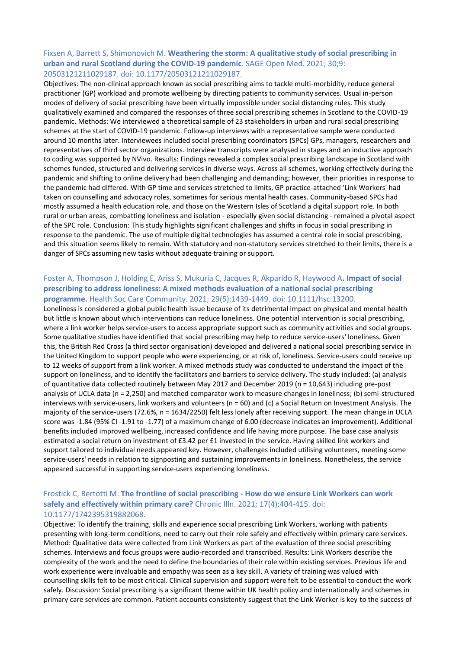#### Fixsen A, Barrett S, Shimonovich M. **Weathering the storm: A qualitative study of social prescribing in urban and rural Scotland during the COVID-19 pandemic**. SAGE Open Med. 2021; 30;9: 20503121211029187. doi: 10.1177/20503121211029187.

Objectives: The non-clinical approach known as social prescribing aims to tackle multi-morbidity, reduce general practitioner (GP) workload and promote wellbeing by directing patients to community services. Usual in-person modes of delivery of social prescribing have been virtually impossible under social distancing rules. This study qualitatively examined and compared the responses of three social prescribing schemes in Scotland to the COVID-19 pandemic. Methods: We interviewed a theoretical sample of 23 stakeholders in urban and rural social prescribing schemes at the start of COVID-19 pandemic. Follow-up interviews with a representative sample were conducted around 10 months later. Interviewees included social prescribing coordinators (SPCs) GPs, managers, researchers and representatives of third sector organizations. Interview transcripts were analysed in stages and an inductive approach to coding was supported by NVivo. Results: Findings revealed a complex social prescribing landscape in Scotland with schemes funded, structured and delivering services in diverse ways. Across all schemes, working effectively during the pandemic and shifting to online delivery had been challenging and demanding; however, their priorities in response to the pandemic had differed. With GP time and services stretched to limits, GP practice-attached 'Link Workers' had taken on counselling and advocacy roles, sometimes for serious mental health cases. Community-based SPCs had mostly assumed a health education role, and those on the Western Isles of Scotland a digital support role. In both rural or urban areas, combatting loneliness and isolation - especially given social distancing - remained a pivotal aspect of the SPC role. Conclusion: This study highlights significant challenges and shifts in focus in social prescribing in response to the pandemic. The use of multiple digital technologies has assumed a central role in social prescribing, and this situation seems likely to remain. With statutory and non-statutory services stretched to their limits, there is a danger of SPCs assuming new tasks without adequate training or support.

# Foster A, Thompson J, Holding E, Ariss S, Mukuria C, Jacques R, Akparido R, Haywood A**. Impact of social prescribing to address loneliness: A mixed methods evaluation of a national social prescribing programme.** Health Soc Care Community. 2021; 29(5):1439-1449. doi: 10.1111/hsc.13200.

Loneliness is considered a global public health issue because of its detrimental impact on physical and mental health but little is known about which interventions can reduce loneliness. One potential intervention is social prescribing, where a link worker helps service-users to access appropriate support such as community activities and social groups. Some qualitative studies have identified that social prescribing may help to reduce service-users' loneliness. Given this, the British Red Cross (a third sector organisation) developed and delivered a national social prescribing service in the United Kingdom to support people who were experiencing, or at risk of, loneliness. Service-users could receive up to 12 weeks of support from a link worker. A mixed methods study was conducted to understand the impact of the support on loneliness, and to identify the facilitators and barriers to service delivery. The study included: (a) analysis of quantitative data collected routinely between May 2017 and December 2019 (n = 10,643) including pre-post analysis of UCLA data (n = 2,250) and matched comparator work to measure changes in loneliness; (b) semi-structured interviews with service-users, link workers and volunteers (n = 60) and (c) a Social Return on Investment Analysis. The majority of the service-users (72.6%, n = 1634/2250) felt less lonely after receiving support. The mean change in UCLA score was -1.84 (95% CI -1.91 to -1.77) of a maximum change of 6.00 (decrease indicates an improvement). Additional benefits included improved wellbeing, increased confidence and life having more purpose. The base case analysis estimated a social return on investment of £3.42 per £1 invested in the service. Having skilled link workers and support tailored to individual needs appeared key. However, challenges included utilising volunteers, meeting some service-users' needs in relation to signposting and sustaining improvements in loneliness. Nonetheless, the service appeared successful in supporting service-users experiencing loneliness.

# Frostick C, Bertotti M. **The frontline of social prescribing - How do we ensure Link Workers can work safely and effectively within primary care?** Chronic Illn. 2021; 17(4):404-415. doi: 10.1177/1742395319882068.

Objective: To identify the training, skills and experience social prescribing Link Workers, working with patients presenting with long-term conditions, need to carry out their role safely and effectively within primary care services. Method: Qualitative data were collected from Link Workers as part of the evaluation of three social prescribing schemes. Interviews and focus groups were audio-recorded and transcribed. Results: Link Workers describe the complexity of the work and the need to define the boundaries of their role within existing services. Previous life and work experience were invaluable and empathy was seen as a key skill. A variety of training was valued with counselling skills felt to be most critical. Clinical supervision and support were felt to be essential to conduct the work safely. Discussion: Social prescribing is a significant theme within UK health policy and internationally and schemes in primary care services are common. Patient accounts consistently suggest that the Link Worker is key to the success of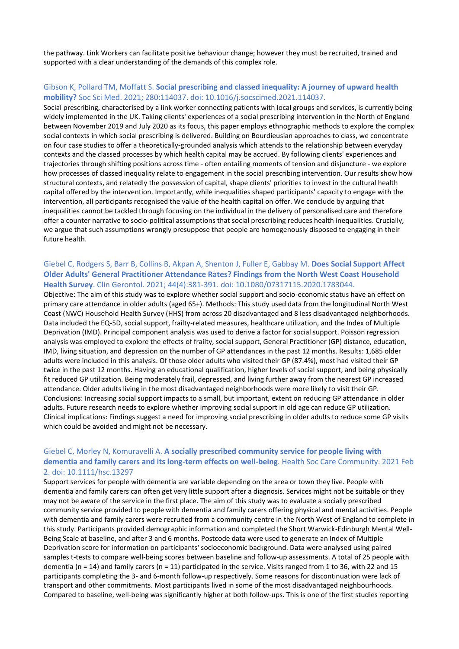the pathway. Link Workers can facilitate positive behaviour change; however they must be recruited, trained and supported with a clear understanding of the demands of this complex role.

#### Gibson K, Pollard TM, Moffatt S. **Social prescribing and classed inequality: A journey of upward health mobility?** Soc Sci Med. 2021; 280:114037. doi: 10.1016/j.socscimed.2021.114037.

Social prescribing, characterised by a link worker connecting patients with local groups and services, is currently being widely implemented in the UK. Taking clients' experiences of a social prescribing intervention in the North of England between November 2019 and July 2020 as its focus, this paper employs ethnographic methods to explore the complex social contexts in which social prescribing is delivered. Building on Bourdieusian approaches to class, we concentrate on four case studies to offer a theoretically-grounded analysis which attends to the relationship between everyday contexts and the classed processes by which health capital may be accrued. By following clients' experiences and trajectories through shifting positions across time - often entailing moments of tension and disjuncture - we explore how processes of classed inequality relate to engagement in the social prescribing intervention. Our results show how structural contexts, and relatedly the possession of capital, shape clients' priorities to invest in the cultural health capital offered by the intervention. Importantly, while inequalities shaped participants' capacity to engage with the intervention, all participants recognised the value of the health capital on offer. We conclude by arguing that inequalities cannot be tackled through focusing on the individual in the delivery of personalised care and therefore offer a counter narrative to socio-political assumptions that social prescribing reduces health inequalities. Crucially, we argue that such assumptions wrongly presuppose that people are homogenously disposed to engaging in their future health.

### Giebel C, Rodgers S, Barr B, Collins B, Akpan A, Shenton J, Fuller E, Gabbay M. **Does Social Support Affect Older Adults' General Practitioner Attendance Rates? Findings from the North West Coast Household Health Survey**. Clin Gerontol. 2021; 44(4):381-391. doi: 10.1080/07317115.2020.1783044.

Objective: The aim of this study was to explore whether social support and socio-economic status have an effect on primary care attendance in older adults (aged 65+). Methods: This study used data from the longitudinal North West Coast (NWC) Household Health Survey (HHS) from across 20 disadvantaged and 8 less disadvantaged neighborhoods. Data included the EQ-5D, social support, frailty-related measures, healthcare utilization, and the Index of Multiple Deprivation (IMD). Principal component analysis was used to derive a factor for social support. Poisson regression analysis was employed to explore the effects of frailty, social support, General Practitioner (GP) distance, education, IMD, living situation, and depression on the number of GP attendances in the past 12 months. Results: 1,685 older adults were included in this analysis. Of those older adults who visited their GP (87.4%), most had visited their GP twice in the past 12 months. Having an educational qualification, higher levels of social support, and being physically fit reduced GP utilization. Being moderately frail, depressed, and living further away from the nearest GP increased attendance. Older adults living in the most disadvantaged neighborhoods were more likely to visit their GP. Conclusions: Increasing social support impacts to a small, but important, extent on reducing GP attendance in older adults. Future research needs to explore whether improving social support in old age can reduce GP utilization. Clinical implications: Findings suggest a need for improving social prescribing in older adults to reduce some GP visits which could be avoided and might not be necessary.

#### Giebel C, Morley N, Komuravelli A. **A socially prescribed community service for people living with dementia and family carers and its long-term effects on well-being**. Health Soc Care Community. 2021 Feb 2. doi: 10.1111/hsc.13297

Support services for people with dementia are variable depending on the area or town they live. People with dementia and family carers can often get very little support after a diagnosis. Services might not be suitable or they may not be aware of the service in the first place. The aim of this study was to evaluate a socially prescribed community service provided to people with dementia and family carers offering physical and mental activities. People with dementia and family carers were recruited from a community centre in the North West of England to complete in this study. Participants provided demographic information and completed the Short Warwick-Edinburgh Mental Well-Being Scale at baseline, and after 3 and 6 months. Postcode data were used to generate an Index of Multiple Deprivation score for information on participants' socioeconomic background. Data were analysed using paired samples t-tests to compare well-being scores between baseline and follow-up assessments. A total of 25 people with dementia ( $n = 14$ ) and family carers ( $n = 11$ ) participated in the service. Visits ranged from 1 to 36, with 22 and 15 participants completing the 3- and 6-month follow-up respectively. Some reasons for discontinuation were lack of transport and other commitments. Most participants lived in some of the most disadvantaged neighbourhoods. Compared to baseline, well-being was significantly higher at both follow-ups. This is one of the first studies reporting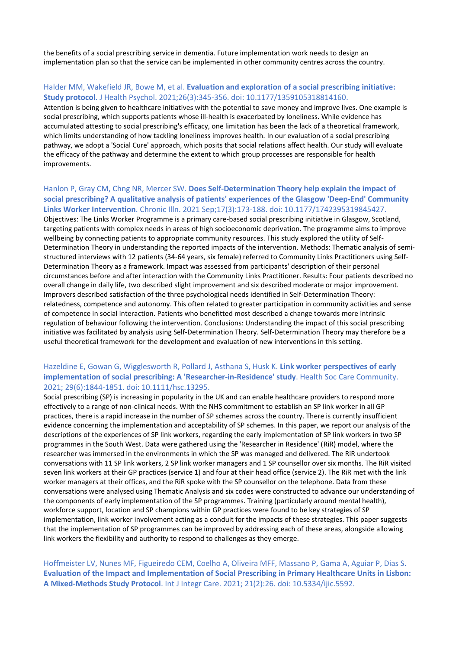the benefits of a social prescribing service in dementia. Future implementation work needs to design an implementation plan so that the service can be implemented in other community centres across the country.

#### Halder MM, Wakefield JR, Bowe M, et al. **Evaluation and exploration of a social prescribing initiative: Study protocol**. J Health Psychol. 2021;26(3):345-356. doi: 10.1177/1359105318814160.

Attention is being given to healthcare initiatives with the potential to save money and improve lives. One example is social prescribing, which supports patients whose ill-health is exacerbated by loneliness. While evidence has accumulated attesting to social prescribing's efficacy, one limitation has been the lack of a theoretical framework, which limits understanding of how tackling loneliness improves health. In our evaluation of a social prescribing pathway, we adopt a 'Social Cure' approach, which posits that social relations affect health. Our study will evaluate the efficacy of the pathway and determine the extent to which group processes are responsible for health improvements.

#### Hanlon P, Gray CM, Chng NR, Mercer SW. **Does Self-Determination Theory help explain the impact of social prescribing? A qualitative analysis of patients' experiences of the Glasgow 'Deep-End' Community Links Worker Intervention**. Chronic Illn. 2021 Sep;17(3):173-188. doi: 10.1177/1742395319845427.

Objectives: The Links Worker Programme is a primary care-based social prescribing initiative in Glasgow, Scotland, targeting patients with complex needs in areas of high socioeconomic deprivation. The programme aims to improve wellbeing by connecting patients to appropriate community resources. This study explored the utility of Self-Determination Theory in understanding the reported impacts of the intervention. Methods: Thematic analysis of semistructured interviews with 12 patients (34-64 years, six female) referred to Community Links Practitioners using Self-Determination Theory as a framework. Impact was assessed from participants' description of their personal circumstances before and after interaction with the Community Links Practitioner. Results: Four patients described no overall change in daily life, two described slight improvement and six described moderate or major improvement. Improvers described satisfaction of the three psychological needs identified in Self-Determination Theory: relatedness, competence and autonomy. This often related to greater participation in community activities and sense of competence in social interaction. Patients who benefitted most described a change towards more intrinsic regulation of behaviour following the intervention. Conclusions: Understanding the impact of this social prescribing initiative was facilitated by analysis using Self-Determination Theory. Self-Determination Theory may therefore be a useful theoretical framework for the development and evaluation of new interventions in this setting.

## Hazeldine E, Gowan G, Wigglesworth R, Pollard J, Asthana S, Husk K. **Link worker perspectives of early implementation of social prescribing: A 'Researcher-in-Residence' study**. Health Soc Care Community. 2021; 29(6):1844-1851. doi: 10.1111/hsc.13295.

Social prescribing (SP) is increasing in popularity in the UK and can enable healthcare providers to respond more effectively to a range of non-clinical needs. With the NHS commitment to establish an SP link worker in all GP practices, there is a rapid increase in the number of SP schemes across the country. There is currently insufficient evidence concerning the implementation and acceptability of SP schemes. In this paper, we report our analysis of the descriptions of the experiences of SP link workers, regarding the early implementation of SP link workers in two SP programmes in the South West. Data were gathered using the 'Researcher in Residence' (RiR) model, where the researcher was immersed in the environments in which the SP was managed and delivered. The RiR undertook conversations with 11 SP link workers, 2 SP link worker managers and 1 SP counsellor over six months. The RiR visited seven link workers at their GP practices (service 1) and four at their head office (service 2). The RiR met with the link worker managers at their offices, and the RiR spoke with the SP counsellor on the telephone. Data from these conversations were analysed using Thematic Analysis and six codes were constructed to advance our understanding of the components of early implementation of the SP programmes. Training (particularly around mental health), workforce support, location and SP champions within GP practices were found to be key strategies of SP implementation, link worker involvement acting as a conduit for the impacts of these strategies. This paper suggests that the implementation of SP programmes can be improved by addressing each of these areas, alongside allowing link workers the flexibility and authority to respond to challenges as they emerge.

Hoffmeister LV, Nunes MF, Figueiredo CEM, Coelho A, Oliveira MFF, Massano P, Gama A, Aguiar P, Dias S. **Evaluation of the Impact and Implementation of Social Prescribing in Primary Healthcare Units in Lisbon: A Mixed-Methods Study Protocol**. Int J Integr Care. 2021; 21(2):26. doi: 10.5334/ijic.5592.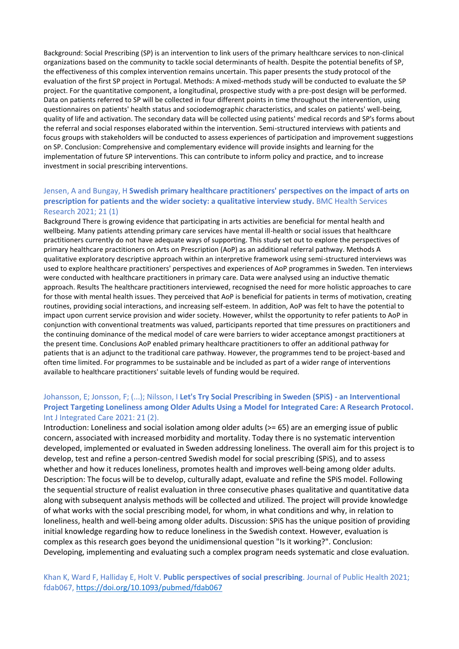Background: Social Prescribing (SP) is an intervention to link users of the primary healthcare services to non-clinical organizations based on the community to tackle social determinants of health. Despite the potential benefits of SP, the effectiveness of this complex intervention remains uncertain. This paper presents the study protocol of the evaluation of the first SP project in Portugal. Methods: A mixed-methods study will be conducted to evaluate the SP project. For the quantitative component, a longitudinal, prospective study with a pre-post design will be performed. Data on patients referred to SP will be collected in four different points in time throughout the intervention, using questionnaires on patients' health status and sociodemographic characteristics, and scales on patients' well-being, quality of life and activation. The secondary data will be collected using patients' medical records and SP's forms about the referral and social responses elaborated within the intervention. Semi-structured interviews with patients and focus groups with stakeholders will be conducted to assess experiences of participation and improvement suggestions on SP. Conclusion: Comprehensive and complementary evidence will provide insights and learning for the implementation of future SP interventions. This can contribute to inform policy and practice, and to increase investment in social prescribing interventions.

# Jensen, A and Bungay, H **Swedish primary healthcare practitioners' perspectives on the impact of arts on prescription for patients and the wider society: a qualitative interview study.** BMC Health Services Research 2021; 21 (1)

Background There is growing evidence that participating in arts activities are beneficial for mental health and wellbeing. Many patients attending primary care services have mental ill-health or social issues that healthcare practitioners currently do not have adequate ways of supporting. This study set out to explore the perspectives of primary healthcare practitioners on Arts on Prescription (AoP) as an additional referral pathway. Methods A qualitative exploratory descriptive approach within an interpretive framework using semi-structured interviews was used to explore healthcare practitioners' perspectives and experiences of AoP programmes in Sweden. Ten interviews were conducted with healthcare practitioners in primary care. Data were analysed using an inductive thematic approach. Results The healthcare practitioners interviewed, recognised the need for more holistic approaches to care for those with mental health issues. They perceived that AoP is beneficial for patients in terms of motivation, creating routines, providing social interactions, and increasing self-esteem. In addition, AoP was felt to have the potential to impact upon current service provision and wider society. However, whilst the opportunity to refer patients to AoP in conjunction with conventional treatments was valued, participants reported that time pressures on practitioners and the continuing dominance of the medical model of care were barriers to wider acceptance amongst practitioners at the present time. Conclusions AoP enabled primary healthcare practitioners to offer an additional pathway for patients that is an adjunct to the traditional care pathway. However, the programmes tend to be project-based and often time limited. For programmes to be sustainable and be included as part of a wider range of interventions available to healthcare practitioners' suitable levels of funding would be required.

# Johansson, E; Jonsson, F; (...); Nilsson, I **Let's Try Social Prescribing in Sweden (SPiS) - an Interventional Project Targeting Loneliness among Older Adults Using a Model for Integrated Care: A Research Protocol.**  Int J Integrated Care 2021: 21 (2).

Introduction: Loneliness and social isolation among older adults (>= 65) are an emerging issue of public concern, associated with increased morbidity and mortality. Today there is no systematic intervention developed, implemented or evaluated in Sweden addressing loneliness. The overall aim for this project is to develop, test and refine a person-centred Swedish model for social prescribing (SPiS), and to assess whether and how it reduces loneliness, promotes health and improves well-being among older adults. Description: The focus will be to develop, culturally adapt, evaluate and refine the SPiS model. Following the sequential structure of realist evaluation in three consecutive phases qualitative and quantitative data along with subsequent analysis methods will be collected and utilized. The project will provide knowledge of what works with the social prescribing model, for whom, in what conditions and why, in relation to loneliness, health and well-being among older adults. Discussion: SPiS has the unique position of providing initial knowledge regarding how to reduce loneliness in the Swedish context. However, evaluation is complex as this research goes beyond the unidimensional question "Is it working?". Conclusion: Developing, implementing and evaluating such a complex program needs systematic and close evaluation.

### Khan K, Ward F, Halliday E, Holt V. **Public perspectives of social prescribing**. Journal of Public Health 2021; fdab067,<https://doi.org/10.1093/pubmed/fdab067>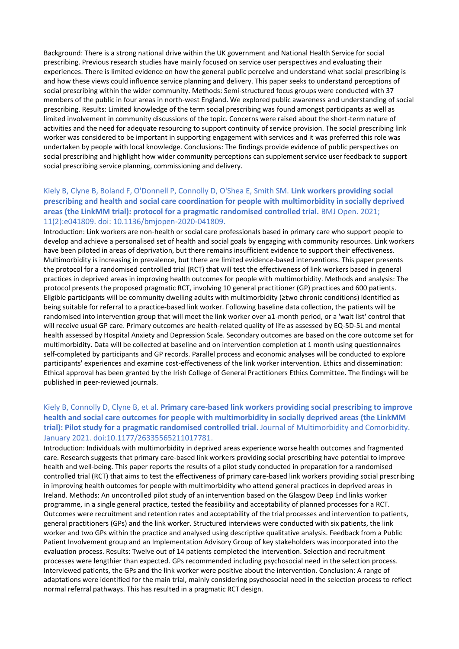Background: There is a strong national drive within the UK government and National Health Service for social prescribing. Previous research studies have mainly focused on service user perspectives and evaluating their experiences. There is limited evidence on how the general public perceive and understand what social prescribing is and how these views could influence service planning and delivery. This paper seeks to understand perceptions of social prescribing within the wider community. Methods: Semi-structured focus groups were conducted with 37 members of the public in four areas in north-west England. We explored public awareness and understanding of social prescribing. Results: Limited knowledge of the term social prescribing was found amongst participants as well as limited involvement in community discussions of the topic. Concerns were raised about the short-term nature of activities and the need for adequate resourcing to support continuity of service provision. The social prescribing link worker was considered to be important in supporting engagement with services and it was preferred this role was undertaken by people with local knowledge. Conclusions: The findings provide evidence of public perspectives on social prescribing and highlight how wider community perceptions can supplement service user feedback to support social prescribing service planning, commissioning and delivery.

# Kiely B, Clyne B, Boland F, O'Donnell P, Connolly D, O'Shea E, Smith SM. **Link workers providing social prescribing and health and social care coordination for people with multimorbidity in socially deprived areas (the LinkMM trial): protocol for a pragmatic randomised controlled trial.** BMJ Open. 2021; 11(2):e041809. doi: 10.1136/bmjopen-2020-041809.

Introduction: Link workers are non-health or social care professionals based in primary care who support people to develop and achieve a personalised set of health and social goals by engaging with community resources. Link workers have been piloted in areas of deprivation, but there remains insufficient evidence to support their effectiveness. Multimorbidity is increasing in prevalence, but there are limited evidence-based interventions. This paper presents the protocol for a randomised controlled trial (RCT) that will test the effectiveness of link workers based in general practices in deprived areas in improving health outcomes for people with multimorbidity. Methods and analysis: The protocol presents the proposed pragmatic RCT, involving 10 general practitioner (GP) practices and 600 patients. Eligible participants will be community dwelling adults with multimorbidity (≥two chronic conditions) identified as being suitable for referral to a practice-based link worker. Following baseline data collection, the patients will be randomised into intervention group that will meet the link worker over a1-month period, or a 'wait list' control that will receive usual GP care. Primary outcomes are health-related quality of life as assessed by EQ-5D-5L and mental health assessed by Hospital Anxiety and Depression Scale. Secondary outcomes are based on the core outcome set for multimorbidity. Data will be collected at baseline and on intervention completion at 1 month using questionnaires self-completed by participants and GP records. Parallel process and economic analyses will be conducted to explore participants' experiences and examine cost-effectiveness of the link worker intervention. Ethics and dissemination: Ethical approval has been granted by the Irish College of General Practitioners Ethics Committee. The findings will be published in peer-reviewed journals.

# Kiely B, Connolly D, Clyne B, et al. **Primary care-based link workers providing social prescribing to improve health and social care outcomes for people with multimorbidity in socially deprived areas (the LinkMM trial): Pilot study for a pragmatic randomised controlled trial**. Journal of Multimorbidity and Comorbidity. January 2021. doi:10.1177/26335565211017781.

Introduction: Individuals with multimorbidity in deprived areas experience worse health outcomes and fragmented care. Research suggests that primary care-based link workers providing social prescribing have potential to improve health and well-being. This paper reports the results of a pilot study conducted in preparation for a randomised controlled trial (RCT) that aims to test the effectiveness of primary care-based link workers providing social prescribing in improving health outcomes for people with multimorbidity who attend general practices in deprived areas in Ireland. Methods: An uncontrolled pilot study of an intervention based on the Glasgow Deep End links worker programme, in a single general practice, tested the feasibility and acceptability of planned processes for a RCT. Outcomes were recruitment and retention rates and acceptability of the trial processes and intervention to patients, general practitioners (GPs) and the link worker. Structured interviews were conducted with six patients, the link worker and two GPs within the practice and analysed using descriptive qualitative analysis. Feedback from a Public Patient Involvement group and an Implementation Advisory Group of key stakeholders was incorporated into the evaluation process. Results: Twelve out of 14 patients completed the intervention. Selection and recruitment processes were lengthier than expected. GPs recommended including psychosocial need in the selection process. Interviewed patients, the GPs and the link worker were positive about the intervention. Conclusion: A range of adaptations were identified for the main trial, mainly considering psychosocial need in the selection process to reflect normal referral pathways. This has resulted in a pragmatic RCT design.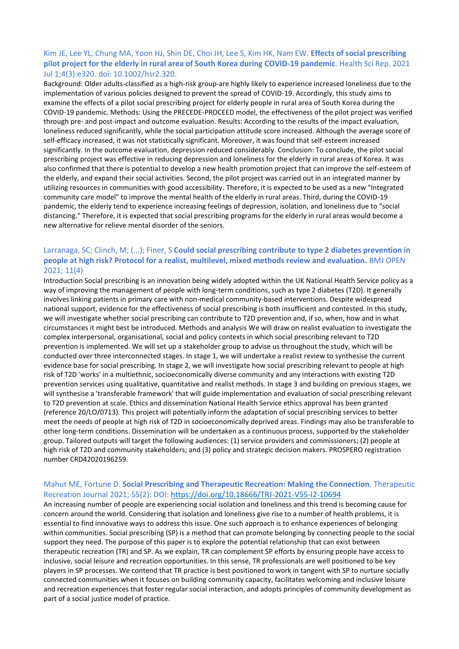# Kim JE, Lee YL, Chung MA, Yoon HJ, Shin DE, Choi JH, Lee S, Kim HK, Nam EW. **Effects of social prescribing pilot project for the elderly in rural area of South Korea during COVID-19 pandemic**. Health Sci Rep. 2021 Jul 1;4(3):e320. doi: 10.1002/hsr2.320.

Background: Older adults-classified as a high-risk group-are highly likely to experience increased loneliness due to the implementation of various policies designed to prevent the spread of COVID-19. Accordingly, this study aims to examine the effects of a pilot social prescribing project for elderly people in rural area of South Korea during the COVID-19 pandemic. Methods: Using the PRECEDE-PROCEED model, the effectiveness of the pilot project was verified through pre- and post-impact and outcome evaluation. Results: According to the results of the impact evaluation, loneliness reduced significantly, while the social participation attitude score increased. Although the average score of self-efficacy increased, it was not statistically significant. Moreover, it was found that self-esteem increased significantly. In the outcome evaluation, depression reduced considerably. Conclusion: To conclude, the pilot social prescribing project was effective in reducing depression and loneliness for the elderly in rural areas of Korea. It was also confirmed that there is potential to develop a new health promotion project that can improve the self-esteem of the elderly, and expand their social activities. Second, the pilot project was carried out in an integrated manner by utilizing resources in communities with good accessibility. Therefore, it is expected to be used as a new "Integrated community care model" to improve the mental health of the elderly in rural areas. Third, during the COVID-19 pandemic, the elderly tend to experience increasing feelings of depression, isolation, and loneliness due to "social distancing." Therefore, it is expected that social prescribing programs for the elderly in rural areas would become a new alternative for relieve mental disorder of the seniors.

# Larranaga, SC; Clinch, M; (...); Finer, S **Could social prescribing contribute to type 2 diabetes prevention in people at high risk? Protocol for a realist, multilevel, mixed methods review and evaluation.** BMJ OPEN 2021; 11(4)

Introduction Social prescribing is an innovation being widely adopted within the UK National Health Service policy as a way of improving the management of people with long-term conditions, such as type 2 diabetes (T2D). It generally involves linking patients in primary care with non-medical community-based interventions. Despite widespread national support, evidence for the effectiveness of social prescribing is both insufficient and contested. In this study, we will investigate whether social prescribing can contribute to T2D prevention and, if so, when, how and in what circumstances it might best be introduced. Methods and analysis We will draw on realist evaluation to investigate the complex interpersonal, organisational, social and policy contexts in which social prescribing relevant to T2D prevention is implemented. We will set up a stakeholder group to advise us throughout the study, which will be conducted over three interconnected stages. In stage 1, we will undertake a realist review to synthesise the current evidence base for social prescribing. In stage 2, we will investigate how social prescribing relevant to people at high risk of T2D 'works' in a multiethnic, socioeconomically diverse community and any interactions with existing T2D prevention services using qualitative, quantitative and realist methods. In stage 3 and building on previous stages, we will synthesise a 'transferable framework' that will guide implementation and evaluation of social prescribing relevant to T2D prevention at scale. Ethics and dissemination National Health Service ethics approval has been granted (reference 20/LO/0713). This project will potentially inform the adaptation of social prescribing services to better meet the needs of people at high risk of T2D in socioeconomically deprived areas. Findings may also be transferable to other long-term conditions. Dissemination will be undertaken as a continuous process, supported by the stakeholder group. Tailored outputs will target the following audiences: (1) service providers and commissioners; (2) people at high risk of T2D and community stakeholders; and (3) policy and strategic decision makers. PROSPERO registration number CRD42020196259.

#### Mahut ME, Fortune D. **Social Prescribing and Therapeutic Recreation: Making the Connection**. Therapeutic Recreation Journal 2021; 55(2): DOI[: https://doi.org/10.18666/TRJ-2021-V55-I2-10694](https://doi.org/10.18666/TRJ-2021-V55-I2-10694)

An increasing number of people are experiencing social isolation and loneliness and this trend is becoming cause for concern around the world. Considering that isolation and loneliness give rise to a number of health problems, it is essential to find innovative ways to address this issue. One such approach is to enhance experiences of belonging within communities. Social prescribing (SP) is a method that can promote belonging by connecting people to the social support they need. The purpose of this paper is to explore the potential relationship that can exist between therapeutic recreation (TR) and SP. As we explain, TR can complement SP efforts by ensuring people have access to inclusive, social leisure and recreation opportunities. In this sense, TR professionals are well positioned to be key players in SP processes. We contend that TR practice is best positioned to work in tangent with SP to nurture socially connected communities when it focuses on building community capacity, facilitates welcoming and inclusive leisure and recreation experiences that foster regular social interaction, and adopts principles of community development as part of a social justice model of practice.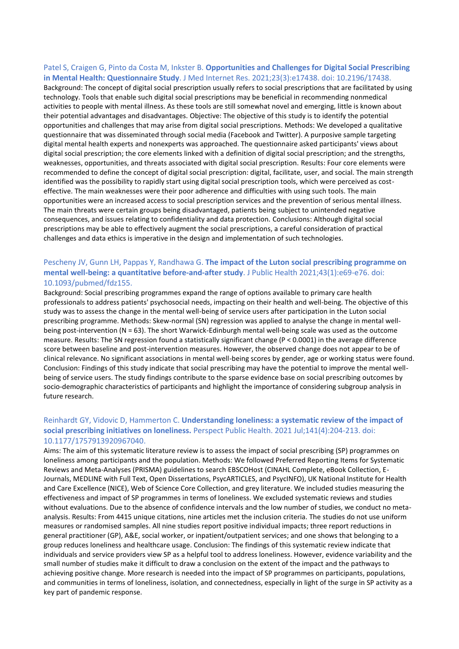#### Patel S, Craigen G, Pinto da Costa M, Inkster B. **Opportunities and Challenges for Digital Social Prescribing in Mental Health: Questionnaire Study**. J Med Internet Res. 2021;23(3):e17438. doi: 10.2196/17438.

Background: The concept of digital social prescription usually refers to social prescriptions that are facilitated by using technology. Tools that enable such digital social prescriptions may be beneficial in recommending nonmedical activities to people with mental illness. As these tools are still somewhat novel and emerging, little is known about their potential advantages and disadvantages. Objective: The objective of this study is to identify the potential opportunities and challenges that may arise from digital social prescriptions. Methods: We developed a qualitative questionnaire that was disseminated through social media (Facebook and Twitter). A purposive sample targeting digital mental health experts and nonexperts was approached. The questionnaire asked participants' views about digital social prescription; the core elements linked with a definition of digital social prescription; and the strengths, weaknesses, opportunities, and threats associated with digital social prescription. Results: Four core elements were recommended to define the concept of digital social prescription: digital, facilitate, user, and social. The main strength identified was the possibility to rapidly start using digital social prescription tools, which were perceived as costeffective. The main weaknesses were their poor adherence and difficulties with using such tools. The main opportunities were an increased access to social prescription services and the prevention of serious mental illness. The main threats were certain groups being disadvantaged, patients being subject to unintended negative consequences, and issues relating to confidentiality and data protection. Conclusions: Although digital social prescriptions may be able to effectively augment the social prescriptions, a careful consideration of practical challenges and data ethics is imperative in the design and implementation of such technologies.

# Pescheny JV, Gunn LH, Pappas Y, Randhawa G. **The impact of the Luton social prescribing programme on mental well-being: a quantitative before-and-after study**. J Public Health 2021;43(1):e69-e76. doi: 10.1093/pubmed/fdz155.

Background: Social prescribing programmes expand the range of options available to primary care health professionals to address patients' psychosocial needs, impacting on their health and well-being. The objective of this study was to assess the change in the mental well-being of service users after participation in the Luton social prescribing programme. Methods: Skew-normal (SN) regression was applied to analyse the change in mental wellbeing post-intervention (N = 63). The short Warwick-Edinburgh mental well-being scale was used as the outcome measure. Results: The SN regression found a statistically significant change (P < 0.0001) in the average difference score between baseline and post-intervention measures. However, the observed change does not appear to be of clinical relevance. No significant associations in mental well-being scores by gender, age or working status were found. Conclusion: Findings of this study indicate that social prescribing may have the potential to improve the mental wellbeing of service users. The study findings contribute to the sparse evidence base on social prescribing outcomes by socio-demographic characteristics of participants and highlight the importance of considering subgroup analysis in future research.

#### Reinhardt GY, Vidovic D, Hammerton C. **Understanding loneliness: a systematic review of the impact of social prescribing initiatives on loneliness.** Perspect Public Health. 2021 Jul;141(4):204-213. doi: 10.1177/1757913920967040.

Aims: The aim of this systematic literature review is to assess the impact of social prescribing (SP) programmes on loneliness among participants and the population. Methods: We followed Preferred Reporting Items for Systematic Reviews and Meta-Analyses (PRISMA) guidelines to search EBSCOHost (CINAHL Complete, eBook Collection, E-Journals, MEDLINE with Full Text, Open Dissertations, PsycARTICLES, and PsycINFO), UK National Institute for Health and Care Excellence (NICE), Web of Science Core Collection, and grey literature. We included studies measuring the effectiveness and impact of SP programmes in terms of loneliness. We excluded systematic reviews and studies without evaluations. Due to the absence of confidence intervals and the low number of studies, we conduct no metaanalysis. Results: From 4415 unique citations, nine articles met the inclusion criteria. The studies do not use uniform measures or randomised samples. All nine studies report positive individual impacts; three report reductions in general practitioner (GP), A&E, social worker, or inpatient/outpatient services; and one shows that belonging to a group reduces loneliness and healthcare usage. Conclusion: The findings of this systematic review indicate that individuals and service providers view SP as a helpful tool to address loneliness. However, evidence variability and the small number of studies make it difficult to draw a conclusion on the extent of the impact and the pathways to achieving positive change. More research is needed into the impact of SP programmes on participants, populations, and communities in terms of loneliness, isolation, and connectedness, especially in light of the surge in SP activity as a key part of pandemic response.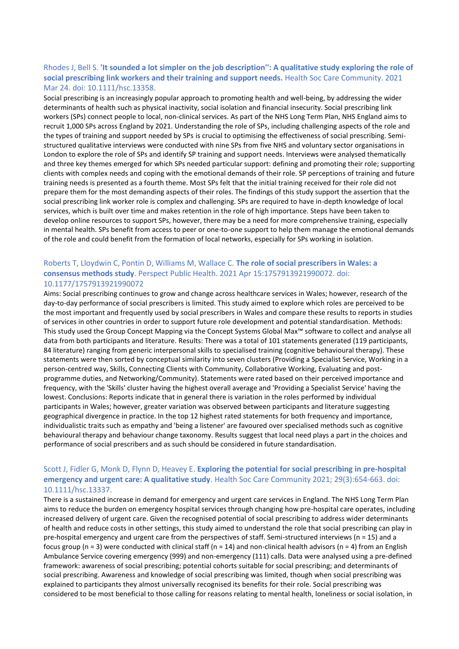#### Rhodes J, Bell S. **'It sounded a lot simpler on the job description'': A qualitative study exploring the role of social prescribing link workers and their training and support needs.** Health Soc Care Community. 2021 Mar 24. doi: 10.1111/hsc.13358.

Social prescribing is an increasingly popular approach to promoting health and well-being, by addressing the wider determinants of health such as physical inactivity, social isolation and financial insecurity. Social prescribing link workers (SPs) connect people to local, non-clinical services. As part of the NHS Long Term Plan, NHS England aims to recruit 1,000 SPs across England by 2021. Understanding the role of SPs, including challenging aspects of the role and the types of training and support needed by SPs is crucial to optimising the effectiveness of social prescribing. Semistructured qualitative interviews were conducted with nine SPs from five NHS and voluntary sector organisations in London to explore the role of SPs and identify SP training and support needs. Interviews were analysed thematically and three key themes emerged for which SPs needed particular support: defining and promoting their role; supporting clients with complex needs and coping with the emotional demands of their role. SP perceptions of training and future training needs is presented as a fourth theme. Most SPs felt that the initial training received for their role did not prepare them for the most demanding aspects of their roles. The findings of this study support the assertion that the social prescribing link worker role is complex and challenging. SPs are required to have in-depth knowledge of local services, which is built over time and makes retention in the role of high importance. Steps have been taken to develop online resources to support SPs, however, there may be a need for more comprehensive training, especially in mental health. SPs benefit from access to peer or one-to-one support to help them manage the emotional demands of the role and could benefit from the formation of local networks, especially for SPs working in isolation.

# Roberts T, Lloydwin C, Pontin D, Williams M, Wallace C. **The role of social prescribers in Wales: a consensus methods study**. Perspect Public Health. 2021 Apr 15:1757913921990072. doi: 10.1177/1757913921990072

Aims: Social prescribing continues to grow and change across healthcare services in Wales; however, research of the day-to-day performance of social prescribers is limited. This study aimed to explore which roles are perceived to be the most important and frequently used by social prescribers in Wales and compare these results to reports in studies of services in other countries in order to support future role development and potential standardisation. Methods: This study used the Group Concept Mapping via the Concept Systems Global Max™ software to collect and analyse all data from both participants and literature. Results: There was a total of 101 statements generated (119 participants, 84 literature) ranging from generic interpersonal skills to specialised training (cognitive behavioural therapy). These statements were then sorted by conceptual similarity into seven clusters (Providing a Specialist Service, Working in a person-centred way, Skills, Connecting Clients with Community, Collaborative Working, Evaluating and postprogramme duties, and Networking/Community). Statements were rated based on their perceived importance and frequency, with the 'Skills' cluster having the highest overall average and 'Providing a Specialist Service' having the lowest. Conclusions: Reports indicate that in general there is variation in the roles performed by individual participants in Wales; however, greater variation was observed between participants and literature suggesting geographical divergence in practice. In the top 12 highest rated statements for both frequency and importance, individualistic traits such as empathy and 'being a listener' are favoured over specialised methods such as cognitive behavioural therapy and behaviour change taxonomy. Results suggest that local need plays a part in the choices and performance of social prescribers and as such should be considered in future standardisation.

# Scott J, Fidler G, Monk D, Flynn D, Heavey E. **Exploring the potential for social prescribing in pre-hospital emergency and urgent care: A qualitative study**. Health Soc Care Community 2021; 29(3):654-663. doi: 10.1111/hsc.13337.

There is a sustained increase in demand for emergency and urgent care services in England. The NHS Long Term Plan aims to reduce the burden on emergency hospital services through changing how pre-hospital care operates, including increased delivery of urgent care. Given the recognised potential of social prescribing to address wider determinants of health and reduce costs in other settings, this study aimed to understand the role that social prescribing can play in pre-hospital emergency and urgent care from the perspectives of staff. Semi-structured interviews (n = 15) and a focus group (n = 3) were conducted with clinical staff (n = 14) and non-clinical health advisors (n = 4) from an English Ambulance Service covering emergency (999) and non-emergency (111) calls. Data were analysed using a pre-defined framework: awareness of social prescribing; potential cohorts suitable for social prescribing; and determinants of social prescribing. Awareness and knowledge of social prescribing was limited, though when social prescribing was explained to participants they almost universally recognised its benefits for their role. Social prescribing was considered to be most beneficial to those calling for reasons relating to mental health, loneliness or social isolation, in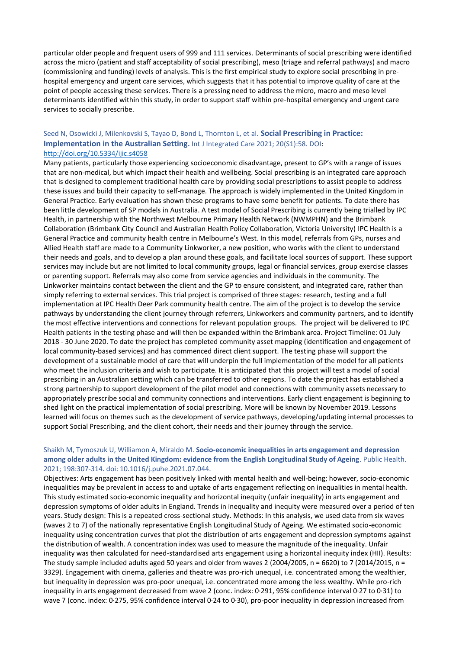particular older people and frequent users of 999 and 111 services. Determinants of social prescribing were identified across the micro (patient and staff acceptability of social prescribing), meso (triage and referral pathways) and macro (commissioning and funding) levels of analysis. This is the first empirical study to explore social prescribing in prehospital emergency and urgent care services, which suggests that it has potential to improve quality of care at the point of people accessing these services. There is a pressing need to address the micro, macro and meso level determinants identified within this study, in order to support staff within pre-hospital emergency and urgent care services to socially prescribe.

#### Seed N, Osowicki J, Milenkovski S, Tayao D, Bond L, Thornton L, et al. **[Social Prescribing in Practice:](https://ijic.org/articles/abstract/10.5334/ijic.s4058/)  [Implementation in the Australian Setting](https://ijic.org/articles/abstract/10.5334/ijic.s4058/).** Int J Integrated Care 2021; 20(S1):58. DOI: <http://doi.org/10.5334/ijic.s4058>

Many patients, particularly those experiencing socioeconomic disadvantage, present to GP's with a range of issues that are non-medical, but which impact their health and wellbeing. Social prescribing is an integrated care approach that is designed to complement traditional health care by providing social prescriptions to assist people to address these issues and build their capacity to self-manage. The approach is widely implemented in the United Kingdom in General Practice. Early evaluation has shown these programs to have some benefit for patients. To date there has been little development of SP models in Australia. A test model of Social Prescribing is currently being trialled by IPC Health, in partnership with the Northwest Melbourne Primary Health Network (NWMPHN) and the Brimbank Collaboration (Brimbank City Council and Australian Health Policy Collaboration, Victoria University) IPC Health is a General Practice and community health centre in Melbourne's West. In this model, referrals from GPs, nurses and Allied Health staff are made to a Community Linkworker, a new position, who works with the client to understand their needs and goals, and to develop a plan around these goals, and facilitate local sources of support. These support services may include but are not limited to local community groups, legal or financial services, group exercise classes or parenting support. Referrals may also come from service agencies and individuals in the community. The Linkworker maintains contact between the client and the GP to ensure consistent, and integrated care, rather than simply referring to external services. This trial project is comprised of three stages: research, testing and a full implementation at IPC Health Deer Park community health centre. The aim of the project is to develop the service pathways by understanding the client journey through referrers, Linkworkers and community partners, and to identify the most effective interventions and connections for relevant population groups. The project will be delivered to IPC Health patients in the testing phase and will then be expanded within the Brimbank area. Project Timeline: 01 July 2018 - 30 June 2020. To date the project has completed community asset mapping (identification and engagement of local community-based services) and has commenced direct client support. The testing phase will support the development of a sustainable model of care that will underpin the full implementation of the model for all patients who meet the inclusion criteria and wish to participate. It is anticipated that this project will test a model of social prescribing in an Australian setting which can be transferred to other regions. To date the project has established a strong partnership to support development of the pilot model and connections with community assets necessary to appropriately prescribe social and community connections and interventions. Early client engagement is beginning to shed light on the practical implementation of social prescribing. More will be known by November 2019. Lessons learned will focus on themes such as the development of service pathways, developing/updating internal processes to support Social Prescribing, and the client cohort, their needs and their journey through the service.

#### Shaikh M, Tymoszuk U, Williamon A, Miraldo M. **Socio-economic inequalities in arts engagement and depression among older adults in the United Kingdom: evidence from the English Longitudinal Study of Ageing**. Public Health. 2021; 198:307-314. doi: 10.1016/j.puhe.2021.07.044.

Objectives: Arts engagement has been positively linked with mental health and well-being; however, socio-economic inequalities may be prevalent in access to and uptake of arts engagement reflecting on inequalities in mental health. This study estimated socio-economic inequality and horizontal inequity (unfair inequality) in arts engagement and depression symptoms of older adults in England. Trends in inequality and inequity were measured over a period of ten years. Study design: This is a repeated cross-sectional study. Methods: In this analysis, we used data from six waves (waves 2 to 7) of the nationally representative English Longitudinal Study of Ageing. We estimated socio-economic inequality using concentration curves that plot the distribution of arts engagement and depression symptoms against the distribution of wealth. A concentration index was used to measure the magnitude of the inequality. Unfair inequality was then calculated for need-standardised arts engagement using a horizontal inequity index (HII). Results: The study sample included adults aged 50 years and older from waves 2 (2004/2005,  $n = 6620$ ) to 7 (2014/2015,  $n =$ 3329). Engagement with cinema, galleries and theatre was pro-rich unequal, i.e. concentrated among the wealthier, but inequality in depression was pro-poor unequal, i.e. concentrated more among the less wealthy. While pro-rich inequality in arts engagement decreased from wave 2 (conc. index: 0·291, 95% confidence interval 0·27 to 0·31) to wave 7 (conc. index: 0·275, 95% confidence interval 0·24 to 0·30), pro-poor inequality in depression increased from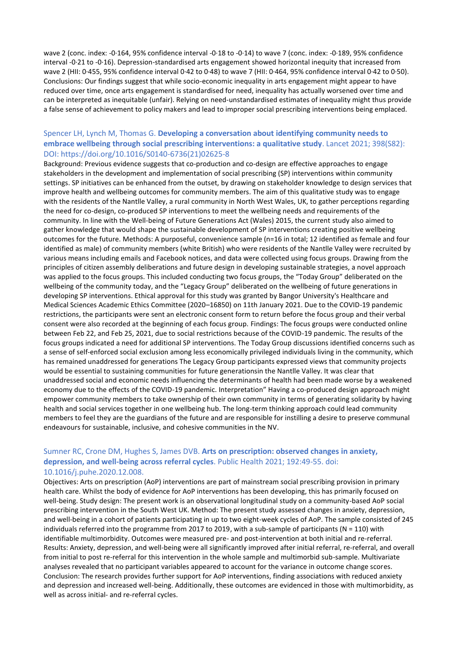wave 2 (conc. index: -0·164, 95% confidence interval -0·18 to -0·14) to wave 7 (conc. index: -0·189, 95% confidence interval -0·21 to -0·16). Depression-standardised arts engagement showed horizontal inequity that increased from wave 2 (HII: 0·455, 95% confidence interval 0·42 to 0·48) to wave 7 (HII: 0·464, 95% confidence interval 0·42 to 0·50). Conclusions: Our findings suggest that while socio-economic inequality in arts engagement might appear to have reduced over time, once arts engagement is standardised for need, inequality has actually worsened over time and can be interpreted as inequitable (unfair). Relying on need-unstandardised estimates of inequality might thus provide a false sense of achievement to policy makers and lead to improper social prescribing interventions being emplaced.

# Spencer LH, Lynch M, Thomas G. **Developing a conversation about identifying community needs to embrace wellbeing through social prescribing interventions: a qualitative study**. Lancet 2021; 398(S82): DOI: [https://doi.org/10.1016/S0140-6736\(21\)02625-8](https://doi.org/10.1016/S0140-6736(21)02625-8)

Background: Previous evidence suggests that co-production and co-design are effective approaches to engage stakeholders in the development and implementation of social prescribing (SP) interventions within community settings. SP initiatives can be enhanced from the outset, by drawing on stakeholder knowledge to design services that improve health and wellbeing outcomes for community members. The aim of this qualitative study was to engage with the residents of the Nantlle Valley, a rural community in North West Wales, UK, to gather perceptions regarding the need for co-design, co-produced SP interventions to meet the wellbeing needs and requirements of the community. In line with the Well-being of Future Generations Act (Wales) 2015, the current study also aimed to gather knowledge that would shape the sustainable development of SP interventions creating positive wellbeing outcomes for the future. Methods: A purposeful, convenience sample (n=16 in total; 12 identified as female and four identified as male) of community members (white British) who were residents of the Nantlle Valley were recruited by various means including emails and Facebook notices, and data were collected using focus groups. Drawing from the principles of citizen assembly deliberations and future design in developing sustainable strategies, a novel approach was applied to the focus groups. This included conducting two focus groups, the "Today Group" deliberated on the wellbeing of the community today, and the "Legacy Group" deliberated on the wellbeing of future generations in developing SP interventions. Ethical approval for this study was granted by Bangor University's Healthcare and Medical Sciences Academic Ethics Committee (2020–16850) on 11th January 2021. Due to the COVID-19 pandemic restrictions, the participants were sent an electronic consent form to return before the focus group and their verbal consent were also recorded at the beginning of each focus group. Findings: The focus groups were conducted online between Feb 22, and Feb 25, 2021, due to social restrictions because of the COVID-19 pandemic. The results of the focus groups indicated a need for additional SP interventions. The Today Group discussions identified concerns such as a sense of self-enforced social exclusion among less economically privileged individuals living in the community, which has remained unaddressed for generations The Legacy Group participants expressed views that community projects would be essential to sustaining communities for future generationsin the Nantlle Valley. It was clear that unaddressed social and economic needs influencing the determinants of health had been made worse by a weakened economy due to the effects of the COVID-19 pandemic. Interpretation" Having a co-produced design approach might empower community members to take ownership of their own community in terms of generating solidarity by having health and social services together in one wellbeing hub. The long-term thinking approach could lead community members to feel they are the guardians of the future and are responsible for instilling a desire to preserve communal endeavours for sustainable, inclusive, and cohesive communities in the NV.

#### Sumner RC, Crone DM, Hughes S, James DVB. **Arts on prescription: observed changes in anxiety, depression, and well-being across referral cycles**. Public Health 2021; 192:49-55. doi: 10.1016/j.puhe.2020.12.008.

Objectives: Arts on prescription (AoP) interventions are part of mainstream social prescribing provision in primary health care. Whilst the body of evidence for AoP interventions has been developing, this has primarily focused on well-being. Study design: The present work is an observational longitudinal study on a community-based AoP social prescribing intervention in the South West UK. Method: The present study assessed changes in anxiety, depression, and well-being in a cohort of patients participating in up to two eight-week cycles of AoP. The sample consisted of 245 individuals referred into the programme from 2017 to 2019, with a sub-sample of participants (N = 110) with identifiable multimorbidity. Outcomes were measured pre- and post-intervention at both initial and re-referral. Results: Anxiety, depression, and well-being were all significantly improved after initial referral, re-referral, and overall from initial to post re-referral for this intervention in the whole sample and multimorbid sub-sample. Multivariate analyses revealed that no participant variables appeared to account for the variance in outcome change scores. Conclusion: The research provides further support for AoP interventions, finding associations with reduced anxiety and depression and increased well-being. Additionally, these outcomes are evidenced in those with multimorbidity, as well as across initial- and re-referral cycles.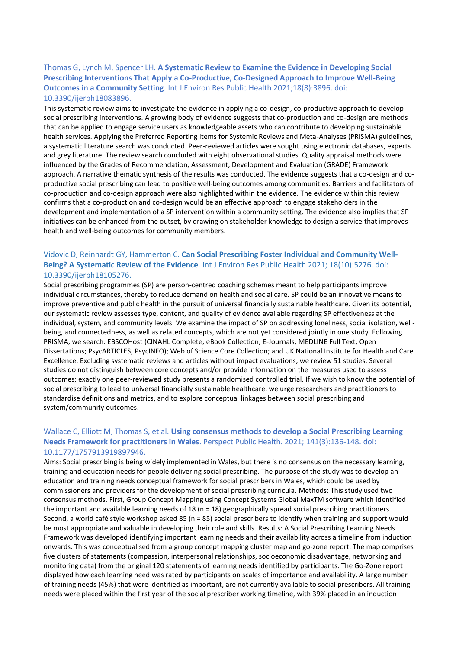# Thomas G, Lynch M, Spencer LH. **A Systematic Review to Examine the Evidence in Developing Social Prescribing Interventions That Apply a Co-Productive, Co-Designed Approach to Improve Well-Being Outcomes in a Community Setting**. Int J Environ Res Public Health 2021;18(8):3896. doi: 10.3390/ijerph18083896.

This systematic review aims to investigate the evidence in applying a co-design, co-productive approach to develop social prescribing interventions. A growing body of evidence suggests that co-production and co-design are methods that can be applied to engage service users as knowledgeable assets who can contribute to developing sustainable health services. Applying the Preferred Reporting Items for Systemic Reviews and Meta-Analyses (PRISMA) guidelines, a systematic literature search was conducted. Peer-reviewed articles were sought using electronic databases, experts and grey literature. The review search concluded with eight observational studies. Quality appraisal methods were influenced by the Grades of Recommendation, Assessment, Development and Evaluation (GRADE) Framework approach. A narrative thematic synthesis of the results was conducted. The evidence suggests that a co-design and coproductive social prescribing can lead to positive well-being outcomes among communities. Barriers and facilitators of co-production and co-design approach were also highlighted within the evidence. The evidence within this review confirms that a co-production and co-design would be an effective approach to engage stakeholders in the development and implementation of a SP intervention within a community setting. The evidence also implies that SP initiatives can be enhanced from the outset, by drawing on stakeholder knowledge to design a service that improves health and well-being outcomes for community members.

# Vidovic D, Reinhardt GY, Hammerton C. **Can Social Prescribing Foster Individual and Community Well-Being? A Systematic Review of the Evidence**. Int J Environ Res Public Health 2021; 18(10):5276. doi: 10.3390/ijerph18105276.

Social prescribing programmes (SP) are person-centred coaching schemes meant to help participants improve individual circumstances, thereby to reduce demand on health and social care. SP could be an innovative means to improve preventive and public health in the pursuit of universal financially sustainable healthcare. Given its potential, our systematic review assesses type, content, and quality of evidence available regarding SP effectiveness at the individual, system, and community levels. We examine the impact of SP on addressing loneliness, social isolation, wellbeing, and connectedness, as well as related concepts, which are not yet considered jointly in one study. Following PRISMA, we search: EBSCOHost (CINAHL Complete; eBook Collection; E-Journals; MEDLINE Full Text; Open Dissertations; PsycARTICLES; PsycINFO); Web of Science Core Collection; and UK National Institute for Health and Care Excellence. Excluding systematic reviews and articles without impact evaluations, we review 51 studies. Several studies do not distinguish between core concepts and/or provide information on the measures used to assess outcomes; exactly one peer-reviewed study presents a randomised controlled trial. If we wish to know the potential of social prescribing to lead to universal financially sustainable healthcare, we urge researchers and practitioners to standardise definitions and metrics, and to explore conceptual linkages between social prescribing and system/community outcomes.

# Wallace C, Elliott M, Thomas S, et al. **Using consensus methods to develop a Social Prescribing Learning Needs Framework for practitioners in Wales**. Perspect Public Health. 2021; 141(3):136-148. doi: 10.1177/1757913919897946.

Aims: Social prescribing is being widely implemented in Wales, but there is no consensus on the necessary learning, training and education needs for people delivering social prescribing. The purpose of the study was to develop an education and training needs conceptual framework for social prescribers in Wales, which could be used by commissioners and providers for the development of social prescribing curricula. Methods: This study used two consensus methods. First, Group Concept Mapping using Concept Systems Global MaxTM software which identified the important and available learning needs of 18 (n = 18) geographically spread social prescribing practitioners. Second, a world café style workshop asked 85 (n = 85) social prescribers to identify when training and support would be most appropriate and valuable in developing their role and skills. Results: A Social Prescribing Learning Needs Framework was developed identifying important learning needs and their availability across a timeline from induction onwards. This was conceptualised from a group concept mapping cluster map and go-zone report. The map comprises five clusters of statements (compassion, interpersonal relationships, socioeconomic disadvantage, networking and monitoring data) from the original 120 statements of learning needs identified by participants. The Go-Zone report displayed how each learning need was rated by participants on scales of importance and availability. A large number of training needs (45%) that were identified as important, are not currently available to social prescribers. All training needs were placed within the first year of the social prescriber working timeline, with 39% placed in an induction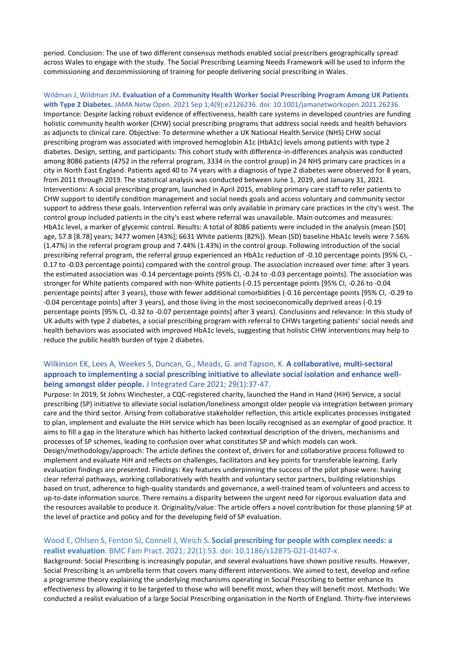period. Conclusion: The use of two different consensus methods enabled social prescribers geographically spread across Wales to engage with the study. The Social Prescribing Learning Needs Framework will be used to inform the commissioning and decommissioning of training for people delivering social prescribing in Wales.

Wildman J, Wildman JM**. Evaluation of a Community Health Worker Social Prescribing Program Among UK Patients with Type 2 Diabetes.** JAMA Netw Open. 2021 Sep 1;4(9):e2126236. doi: 10.1001/jamanetworkopen.2021.26236. Importance: Despite lacking robust evidence of effectiveness, health care systems in developed countries are funding holistic community health worker (CHW) social prescribing programs that address social needs and health behaviors as adjuncts to clinical care. Objective: To determine whether a UK National Health Service (NHS) CHW social prescribing program was associated with improved hemoglobin A1c (HbA1c) levels among patients with type 2 diabetes. Design, setting, and participants: This cohort study with difference-in-differences analysis was conducted among 8086 patients (4752 in the referral program, 3334 in the control group) in 24 NHS primary care practices in a city in North East England. Patients aged 40 to 74 years with a diagnosis of type 2 diabetes were observed for 8 years, from 2011 through 2019. The statistical analysis was conducted between June 1, 2019, and January 31, 2021. Interventions: A social prescribing program, launched in April 2015, enabling primary care staff to refer patients to CHW support to identify condition management and social needs goals and access voluntary and community sector support to address these goals. Intervention referral was only available in primary care practices in the city's west. The control group included patients in the city's east where referral was unavailable. Main outcomes and measures: HbA1c level, a marker of glycemic control. Results: A total of 8086 patients were included in the analysis (mean [SD] age, 57.8 [8.78] years; 3477 women [43%]; 6631 White patients [82%]). Mean (SD) baseline HbA1c levels were 7.56% (1.47%) in the referral program group and 7.44% (1.43%) in the control group. Following introduction of the social prescribing referral program, the referral group experienced an HbA1c reduction of -0.10 percentage points (95% CI, - 0.17 to -0.03 percentage points) compared with the control group. The association increased over time: after 3 years the estimated association was -0.14 percentage points (95% CI, -0.24 to -0.03 percentage points). The association was stronger for White patients compared with non-White patients (-0.15 percentage points [95% CI, -0.26 to -0.04 percentage points] after 3 years), those with fewer additional comorbidities (-0.16 percentage points [95% CI, -0.29 to -0.04 percentage points] after 3 years), and those living in the most socioeconomically deprived areas (-0.19 percentage points [95% CI, -0.32 to -0.07 percentage points] after 3 years). Conclusions and relevance: In this study of UK adults with type 2 diabetes, a social prescribing program with referral to CHWs targeting patients' social needs and health behaviors was associated with improved HbA1c levels, suggesting that holistic CHW interventions may help to reduce the public health burden of type 2 diabetes.

#### Wilkinson EK, Lees A, Weekes S, Duncan, G., Meads, G. and Tapson, K. **A collaborative, multi-sectoral approach to implementing a social prescribing initiative to alleviate social isolation and enhance wellbeing amongst older people.** J Integrated Care 2021; 29(1):37-47.

Purpose: In 2019, St Johns Winchester, a CQC-registered charity, launched the Hand in Hand (HiH) Service, a social prescribing (SP) initiative to alleviate social isolation/loneliness amongst older people via integration between primary care and the third sector. Arising from collaborative stakeholder reflection, this article explicates processes instigated to plan, implement and evaluate the HiH service which has been locally recognised as an exemplar of good practice. It aims to fill a gap in the literature which has hitherto lacked contextual description of the drivers, mechanisms and processes of SP schemes, leading to confusion over what constitutes SP and which models can work.

Design/methodology/approach: The article defines the context of, drivers for and collaborative process followed to implement and evaluate HiH and reflects on challenges, facilitators and key points for transferable learning. Early evaluation findings are presented. Findings: Key features underpinning the success of the pilot phase were: having clear referral pathways, working collaboratively with health and voluntary sector partners, building relationships based on trust, adherence to high-quality standards and governance, a well-trained team of volunteers and access to up-to-date information source. There remains a disparity between the urgent need for rigorous evaluation data and the resources available to produce it. Originality/value: The article offers a novel contribution for those planning SP at the level of practice and policy and for the developing field of SP evaluation.

#### Wood E, Ohlsen S, Fenton SJ, Connell J, Weich S. **Social prescribing for people with complex needs: a realist evaluation**. BMC Fam Pract. 2021; 22(1):53. doi: 10.1186/s12875-021-01407-x.

Background: Social Prescribing is increasingly popular, and several evaluations have shown positive results. However, Social Prescribing is an umbrella term that covers many different interventions. We aimed to test, develop and refine a programme theory explaining the underlying mechanisms operating in Social Prescribing to better enhance its effectiveness by allowing it to be targeted to those who will benefit most, when they will benefit most. Methods: We conducted a realist evaluation of a large Social Prescribing organisation in the North of England. Thirty-five interviews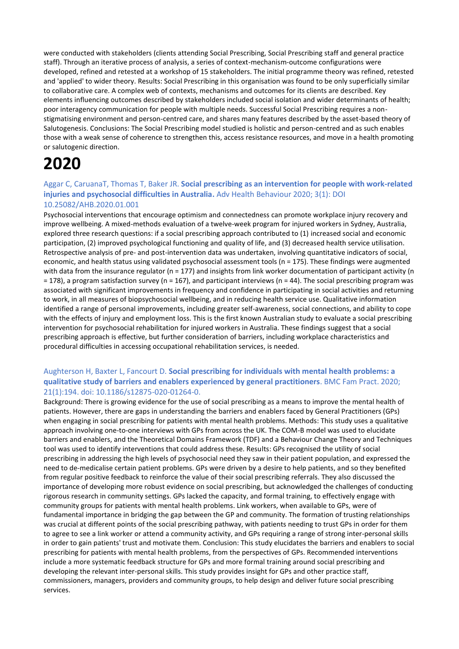were conducted with stakeholders (clients attending Social Prescribing, Social Prescribing staff and general practice staff). Through an iterative process of analysis, a series of context-mechanism-outcome configurations were developed, refined and retested at a workshop of 15 stakeholders. The initial programme theory was refined, retested and 'applied' to wider theory. Results: Social Prescribing in this organisation was found to be only superficially similar to collaborative care. A complex web of contexts, mechanisms and outcomes for its clients are described. Key elements influencing outcomes described by stakeholders included social isolation and wider determinants of health; poor interagency communication for people with multiple needs. Successful Social Prescribing requires a nonstigmatising environment and person-centred care, and shares many features described by the asset-based theory of Salutogenesis. Conclusions: The Social Prescribing model studied is holistic and person-centred and as such enables those with a weak sense of coherence to strengthen this, access resistance resources, and move in a health promoting or salutogenic direction.

# **2020**

# Aggar C, CaruanaT, Thomas T, Baker JR. **Social prescribing as an intervention for people with work-related injuries and psychosocial difficulties in Australia.** Adv Health Behaviour 2020; 3(1): DOI 10.25082/AHB.2020.01.001

Psychosocial interventions that encourage optimism and connectedness can promote workplace injury recovery and improve wellbeing. A mixed-methods evaluation of a twelve-week program for injured workers in Sydney, Australia, explored three research questions: if a social prescribing approach contributed to (1) increased social and economic participation, (2) improved psychological functioning and quality of life, and (3) decreased health service utilisation. Retrospective analysis of pre- and post-intervention data was undertaken, involving quantitative indicators of social, economic, and health status using validated psychosocial assessment tools (n = 175). These findings were augmented with data from the insurance regulator (n = 177) and insights from link worker documentation of participant activity (n = 178), a program satisfaction survey (n = 167), and participant interviews (n = 44). The social prescribing program was associated with significant improvements in frequency and confidence in participating in social activities and returning to work, in all measures of biopsychosocial wellbeing, and in reducing health service use. Qualitative information identified a range of personal improvements, including greater self-awareness, social connections, and ability to cope with the effects of injury and employment loss. This is the first known Australian study to evaluate a social prescribing intervention for psychosocial rehabilitation for injured workers in Australia. These findings suggest that a social prescribing approach is effective, but further consideration of barriers, including workplace characteristics and procedural difficulties in accessing occupational rehabilitation services, is needed.

# Aughterson H, Baxter L, Fancourt D. **Social prescribing for individuals with mental health problems: a qualitative study of barriers and enablers experienced by general practitioners**. BMC Fam Pract. 2020; 21(1):194. doi: 10.1186/s12875-020-01264-0.

Background: There is growing evidence for the use of social prescribing as a means to improve the mental health of patients. However, there are gaps in understanding the barriers and enablers faced by General Practitioners (GPs) when engaging in social prescribing for patients with mental health problems. Methods: This study uses a qualitative approach involving one-to-one interviews with GPs from across the UK. The COM-B model was used to elucidate barriers and enablers, and the Theoretical Domains Framework (TDF) and a Behaviour Change Theory and Techniques tool was used to identify interventions that could address these. Results: GPs recognised the utility of social prescribing in addressing the high levels of psychosocial need they saw in their patient population, and expressed the need to de-medicalise certain patient problems. GPs were driven by a desire to help patients, and so they benefited from regular positive feedback to reinforce the value of their social prescribing referrals. They also discussed the importance of developing more robust evidence on social prescribing, but acknowledged the challenges of conducting rigorous research in community settings. GPs lacked the capacity, and formal training, to effectively engage with community groups for patients with mental health problems. Link workers, when available to GPs, were of fundamental importance in bridging the gap between the GP and community. The formation of trusting relationships was crucial at different points of the social prescribing pathway, with patients needing to trust GPs in order for them to agree to see a link worker or attend a community activity, and GPs requiring a range of strong inter-personal skills in order to gain patients' trust and motivate them. Conclusion: This study elucidates the barriers and enablers to social prescribing for patients with mental health problems, from the perspectives of GPs. Recommended interventions include a more systematic feedback structure for GPs and more formal training around social prescribing and developing the relevant inter-personal skills. This study provides insight for GPs and other practice staff, commissioners, managers, providers and community groups, to help design and deliver future social prescribing services.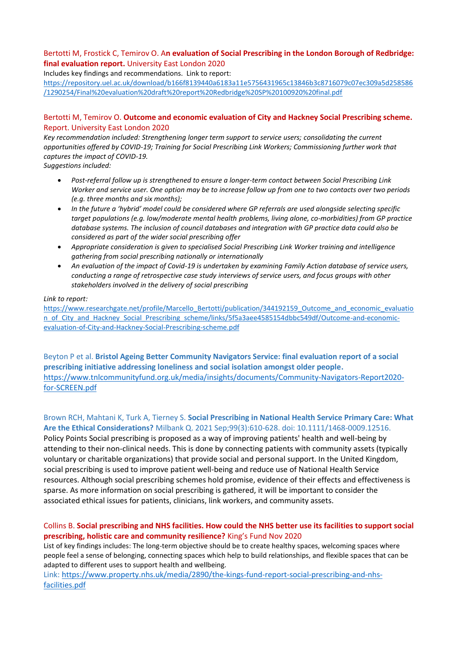# Bertotti M, Frostick C, Temirov O. A**n evaluation of Social Prescribing in the London Borough of Redbridge: final evaluation report.** University East London 2020

Includes key findings and recommendations. Link to report:

[https://repository.uel.ac.uk/download/b166f8139440a6183a11e5756431965c13846b3c8716079c07ec309a5d258586](https://repository.uel.ac.uk/download/b166f8139440a6183a11e5756431965c13846b3c8716079c07ec309a5d258586/1290254/Final%20evaluation%20draft%20report%20Redbridge%20SP%20100920%20final.pdf) [/1290254/Final%20evaluation%20draft%20report%20Redbridge%20SP%20100920%20final.pdf](https://repository.uel.ac.uk/download/b166f8139440a6183a11e5756431965c13846b3c8716079c07ec309a5d258586/1290254/Final%20evaluation%20draft%20report%20Redbridge%20SP%20100920%20final.pdf)

#### Bertotti M, Temirov O. **Outcome and economic evaluation of City and Hackney Social Prescribing scheme.** Report. University East London 2020

*Key recommendation included: Strengthening longer term support to service users; consolidating the current opportunities offered by COVID-19; Training for Social Prescribing Link Workers; Commissioning further work that captures the impact of COVID-19.*

*Suggestions included:*

- *Post-referral follow up is strengthened to ensure a longer-term contact between Social Prescribing Link Worker and service user. One option may be to increase follow up from one to two contacts over two periods (e.g. three months and six months);*
- *In the future a 'hybrid' model could be considered where GP referrals are used alongside selecting specific target populations (e.g. low/moderate mental health problems, living alone, co-morbidities) from GP practice database systems. The inclusion of council databases and integration with GP practice data could also be considered as part of the wider social prescribing offer*
- *Appropriate consideration is given to specialised Social Prescribing Link Worker training and intelligence gathering from social prescribing nationally or internationally*
- *An evaluation of the impact of Covid-19 is undertaken by examining Family Action database of service users, conducting a range of retrospective case study interviews of service users, and focus groups with other stakeholders involved in the delivery of social prescribing*

#### *Link to report:*

[https://www.researchgate.net/profile/Marcello\\_Bertotti/publication/344192159\\_Outcome\\_and\\_economic\\_evaluatio](https://www.researchgate.net/profile/Marcello_Bertotti/publication/344192159_Outcome_and_economic_evaluation_of_City_and_Hackney_Social_Prescribing_scheme/links/5f5a3aee4585154dbbc549df/Outcome-and-economic-evaluation-of-City-and-Hackney-Social-Prescribing-scheme.pdf) [n\\_of\\_City\\_and\\_Hackney\\_Social\\_Prescribing\\_scheme/links/5f5a3aee4585154dbbc549df/Outcome-and-economic](https://www.researchgate.net/profile/Marcello_Bertotti/publication/344192159_Outcome_and_economic_evaluation_of_City_and_Hackney_Social_Prescribing_scheme/links/5f5a3aee4585154dbbc549df/Outcome-and-economic-evaluation-of-City-and-Hackney-Social-Prescribing-scheme.pdf)[evaluation-of-City-and-Hackney-Social-Prescribing-scheme.pdf](https://www.researchgate.net/profile/Marcello_Bertotti/publication/344192159_Outcome_and_economic_evaluation_of_City_and_Hackney_Social_Prescribing_scheme/links/5f5a3aee4585154dbbc549df/Outcome-and-economic-evaluation-of-City-and-Hackney-Social-Prescribing-scheme.pdf)

Beyton P et al. **Bristol Ageing Better Community Navigators Service: final evaluation report of a social prescribing initiative addressing loneliness and social isolation amongst older people.**  [https://www.tnlcommunityfund.org.uk/media/insights/documents/Community-Navigators-Report2020](https://www.tnlcommunityfund.org.uk/media/insights/documents/Community-Navigators-Report2020-for-SCREEN.pdf) [for-SCREEN.pdf](https://www.tnlcommunityfund.org.uk/media/insights/documents/Community-Navigators-Report2020-for-SCREEN.pdf)

#### Brown RCH, Mahtani K, Turk A, Tierney S. **Social Prescribing in National Health Service Primary Care: What Are the Ethical Considerations?** Milbank Q. 2021 Sep;99(3):610-628. doi: 10.1111/1468-0009.12516.

Policy Points Social prescribing is proposed as a way of improving patients' health and well-being by attending to their non-clinical needs. This is done by connecting patients with community assets (typically voluntary or charitable organizations) that provide social and personal support. In the United Kingdom, social prescribing is used to improve patient well-being and reduce use of National Health Service resources. Although social prescribing schemes hold promise, evidence of their effects and effectiveness is sparse. As more information on social prescribing is gathered, it will be important to consider the associated ethical issues for patients, clinicians, link workers, and community assets.

# Collins B. **Social prescribing and NHS facilities. How could the NHS better use its facilities to support social prescribing, holistic care and community resilience?** King's Fund Nov 2020

List of key findings includes: The long-term objective should be to create healthy spaces, welcoming spaces where people feel a sense of belonging, connecting spaces which help to build relationships, and flexible spaces that can be adapted to different uses to support health and wellbeing.

Link: [https://www.property.nhs.uk/media/2890/the-kings-fund-report-social-prescribing-and-nhs](https://www.property.nhs.uk/media/2890/the-kings-fund-report-social-prescribing-and-nhs-facilities.pdf)[facilities.pdf](https://www.property.nhs.uk/media/2890/the-kings-fund-report-social-prescribing-and-nhs-facilities.pdf)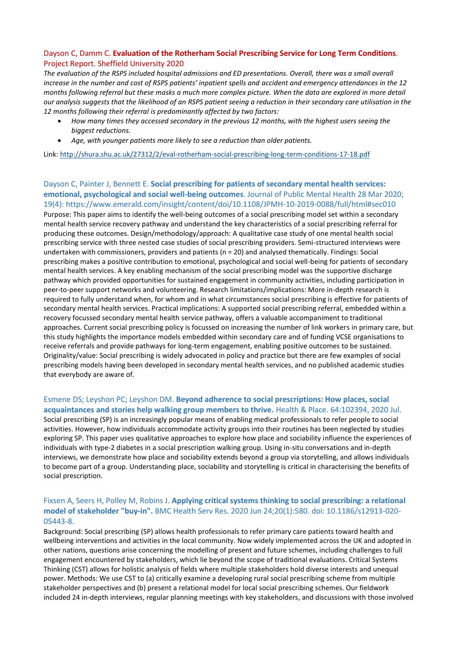#### Dayson C, Damm C. **Evaluation of the Rotherham Social Prescribing Service for Long Term Conditions**. Project Report. Sheffield University 2020

*The evaluation of the RSPS included hospital admissions and ED presentations. Overall, there was a small overall increase in the number and cost of RSPS patients' inpatient spells and accident and emergency attendances in the 12 months following referral but these masks a much more complex picture. When the data are explored in more detail our analysis suggests that the likelihood of an RSPS patient seeing a reduction in their secondary care utilisation in the 12 months following their referral is predominantly affected by two factors:*

- *How many times they accessed secondary in the previous 12 months, with the highest users seeing the biggest reductions.*
- *Age, with younger patients more likely to see a reduction than older patients.*

Link: <http://shura.shu.ac.uk/27312/2/eval-rotherham-social-prescribing-long-term-conditions-17-18.pdf>

Dayson C, Painter J, Bennett E. **Social prescribing for patients of secondary mental health services: emotional, psychological and social well-being outcomes**. Journal of Public Mental Health 28 Mar 2020; 19(4): https://www.emerald.com/insight/content/doi/10.1108/JPMH-10-2019-0088/full/html#sec010 Purpose: This paper aims to identify the well-being outcomes of a social prescribing model set within a secondary mental health service recovery pathway and understand the key characteristics of a social prescribing referral for producing these outcomes. Design/methodology/approach: A qualitative case study of one mental health social prescribing service with three nested case studies of social prescribing providers. Semi-structured interviews were undertaken with commissioners, providers and patients (n = 20) and analysed thematically. Findings: Social prescribing makes a positive contribution to emotional, psychological and social well-being for patients of secondary mental health services. A key enabling mechanism of the social prescribing model was the supportive discharge pathway which provided opportunities for sustained engagement in community activities, including participation in peer-to-peer support networks and volunteering. Research limitations/implications: More in-depth research is required to fully understand when, for whom and in what circumstances social prescribing is effective for patients of secondary mental health services. Practical implications: A supported social prescribing referral, embedded within a recovery focussed secondary mental health service pathway, offers a valuable accompaniment to traditional approaches. Current social prescribing policy is focussed on increasing the number of link workers in primary care, but this study highlights the importance models embedded within secondary care and of funding VCSE organisations to receive referrals and provide pathways for long-term engagement, enabling positive outcomes to be sustained. Originality/value: Social prescribing is widely advocated in policy and practice but there are few examples of social prescribing models having been developed in secondary mental health services, and no published academic studies that everybody are aware of.

#### Esmene DS; Leyshon PC; Leyshon DM. **Beyond adherence to social prescriptions: How places, social acquaintances and stories help walking group members to thrive.** Health & Place. 64:102394, 2020 Jul.

Social prescribing (SP) is an increasingly popular means of enabling medical professionals to refer people to social activities. However, how individuals accommodate activity groups into their routines has been neglected by studies exploring SP. This paper uses qualitative approaches to explore how place and sociability influence the experiences of individuals with type-2 diabetes in a social prescription walking group. Using in-situ conversations and in-depth interviews, we demonstrate how place and sociability extends beyond a group via storytelling, and allows individuals to become part of a group. Understanding place, sociability and storytelling is critical in characterising the benefits of social prescription.

# Fixsen A, Seers H, Polley M, Robins J. **Applying critical systems thinking to social prescribing: a relational model of stakeholder "buy-in".** BMC Health Serv Res. 2020 Jun 24;20(1):580. doi: 10.1186/s12913-020- 05443-8.

Background: Social prescribing (SP) allows health professionals to refer primary care patients toward health and wellbeing interventions and activities in the local community. Now widely implemented across the UK and adopted in other nations, questions arise concerning the modelling of present and future schemes, including challenges to full engagement encountered by stakeholders, which lie beyond the scope of traditional evaluations. Critical Systems Thinking (CST) allows for holistic analysis of fields where multiple stakeholders hold diverse interests and unequal power. Methods: We use CST to (a) critically examine a developing rural social prescribing scheme from multiple stakeholder perspectives and (b) present a relational model for local social prescribing schemes. Our fieldwork included 24 in-depth interviews, regular planning meetings with key stakeholders, and discussions with those involved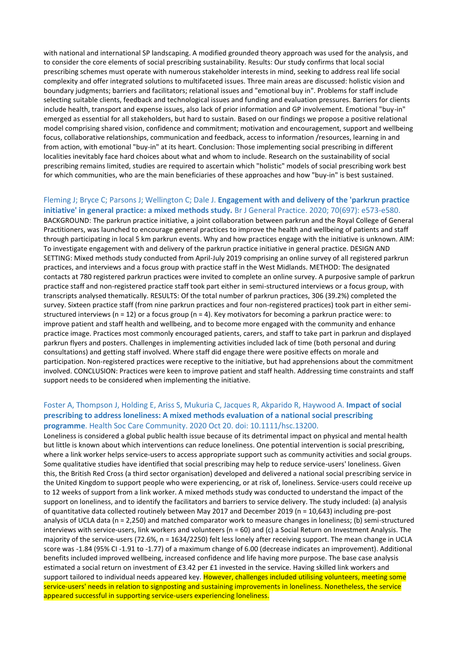with national and international SP landscaping. A modified grounded theory approach was used for the analysis, and to consider the core elements of social prescribing sustainability. Results: Our study confirms that local social prescribing schemes must operate with numerous stakeholder interests in mind, seeking to address real life social complexity and offer integrated solutions to multifaceted issues. Three main areas are discussed: holistic vision and boundary judgments; barriers and facilitators; relational issues and "emotional buy in". Problems for staff include selecting suitable clients, feedback and technological issues and funding and evaluation pressures. Barriers for clients include health, transport and expense issues, also lack of prior information and GP involvement. Emotional "buy-in" emerged as essential for all stakeholders, but hard to sustain. Based on our findings we propose a positive relational model comprising shared vision, confidence and commitment; motivation and encouragement, support and wellbeing focus, collaborative relationships, communication and feedback, access to information /resources, learning in and from action, with emotional "buy-in" at its heart. Conclusion: Those implementing social prescribing in different localities inevitably face hard choices about what and whom to include. Research on the sustainability of social prescribing remains limited, studies are required to ascertain which "holistic" models of social prescribing work best for which communities, who are the main beneficiaries of these approaches and how "buy-in" is best sustained.

#### Fleming J; Bryce C; Parsons J; Wellington C; Dale J. **Engagement with and delivery of the 'parkrun practice initiative' in general practice: a mixed methods study.** Br J General Practice. 2020; 70(697): e573-e580.

BACKGROUND: The parkrun practice initiative, a joint collaboration between parkrun and the Royal College of General Practitioners, was launched to encourage general practices to improve the health and wellbeing of patients and staff through participating in local 5 km parkrun events. Why and how practices engage with the initiative is unknown. AIM: To investigate engagement with and delivery of the parkrun practice initiative in general practice. DESIGN AND SETTING: Mixed methods study conducted from April-July 2019 comprising an online survey of all registered parkrun practices, and interviews and a focus group with practice staff in the West Midlands. METHOD: The designated contacts at 780 registered parkrun practices were invited to complete an online survey. A purposive sample of parkrun practice staff and non-registered practice staff took part either in semi-structured interviews or a focus group, with transcripts analysed thematically. RESULTS: Of the total number of parkrun practices, 306 (39.2%) completed the survey. Sixteen practice staff (from nine parkrun practices and four non-registered practices) took part in either semistructured interviews (n = 12) or a focus group (n = 4). Key motivators for becoming a parkrun practice were: to improve patient and staff health and wellbeing, and to become more engaged with the community and enhance practice image. Practices most commonly encouraged patients, carers, and staff to take part in parkrun and displayed parkrun flyers and posters. Challenges in implementing activities included lack of time (both personal and during consultations) and getting staff involved. Where staff did engage there were positive effects on morale and participation. Non-registered practices were receptive to the initiative, but had apprehensions about the commitment involved. CONCLUSION: Practices were keen to improve patient and staff health. Addressing time constraints and staff support needs to be considered when implementing the initiative.

#### Foster A, Thompson J, Holding E, Ariss S, Mukuria C, Jacques R, Akparido R, Haywood A. **Impact of social prescribing to address loneliness: A mixed methods evaluation of a national social prescribing programme**. Health Soc Care Community. 2020 Oct 20. doi: 10.1111/hsc.13200.

Loneliness is considered a global public health issue because of its detrimental impact on physical and mental health but little is known about which interventions can reduce loneliness. One potential intervention is social prescribing, where a link worker helps service-users to access appropriate support such as community activities and social groups. Some qualitative studies have identified that social prescribing may help to reduce service-users' loneliness. Given this, the British Red Cross (a third sector organisation) developed and delivered a national social prescribing service in the United Kingdom to support people who were experiencing, or at risk of, loneliness. Service-users could receive up to 12 weeks of support from a link worker. A mixed methods study was conducted to understand the impact of the support on loneliness, and to identify the facilitators and barriers to service delivery. The study included: (a) analysis of quantitative data collected routinely between May 2017 and December 2019 (n = 10,643) including pre-post analysis of UCLA data (n = 2,250) and matched comparator work to measure changes in loneliness; (b) semi-structured interviews with service-users, link workers and volunteers (n = 60) and (c) a Social Return on Investment Analysis. The majority of the service-users (72.6%, n = 1634/2250) felt less lonely after receiving support. The mean change in UCLA score was -1.84 (95% CI -1.91 to -1.77) of a maximum change of 6.00 (decrease indicates an improvement). Additional benefits included improved wellbeing, increased confidence and life having more purpose. The base case analysis estimated a social return on investment of £3.42 per £1 invested in the service. Having skilled link workers and support tailored to individual needs appeared key. However, challenges included utilising volunteers, meeting some service-users' needs in relation to signposting and sustaining improvements in loneliness. Nonetheless, the service appeared successful in supporting service-users experiencing loneliness.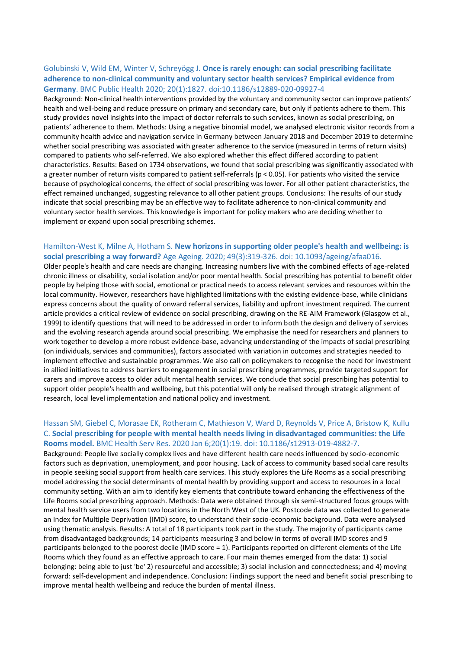# Golubinski V, Wild EM, Winter V, Schreyögg J. **Once is rarely enough: can social prescribing facilitate adherence to non-clinical community and voluntary sector health services? Empirical evidence from Germany**. BMC Public Health 2020; 20(1):1827. doi:10.1186/s12889-020-09927-4

Background: Non-clinical health interventions provided by the voluntary and community sector can improve patients' health and well-being and reduce pressure on primary and secondary care, but only if patients adhere to them. This study provides novel insights into the impact of doctor referrals to such services, known as social prescribing, on patients' adherence to them. Methods: Using a negative binomial model, we analysed electronic visitor records from a community health advice and navigation service in Germany between January 2018 and December 2019 to determine whether social prescribing was associated with greater adherence to the service (measured in terms of return visits) compared to patients who self-referred. We also explored whether this effect differed according to patient characteristics. Results: Based on 1734 observations, we found that social prescribing was significantly associated with a greater number of return visits compared to patient self-referrals (p < 0.05). For patients who visited the service because of psychological concerns, the effect of social prescribing was lower. For all other patient characteristics, the effect remained unchanged, suggesting relevance to all other patient groups. Conclusions: The results of our study indicate that social prescribing may be an effective way to facilitate adherence to non-clinical community and voluntary sector health services. This knowledge is important for policy makers who are deciding whether to implement or expand upon social prescribing schemes.

#### Hamilton-West K, Milne A, Hotham S. **New horizons in supporting older people's health and wellbeing: is social prescribing a way forward?** Age Ageing. 2020; 49(3):319-326. doi: 10.1093/ageing/afaa016.

Older people's health and care needs are changing. Increasing numbers live with the combined effects of age-related chronic illness or disability, social isolation and/or poor mental health. Social prescribing has potential to benefit older people by helping those with social, emotional or practical needs to access relevant services and resources within the local community. However, researchers have highlighted limitations with the existing evidence-base, while clinicians express concerns about the quality of onward referral services, liability and upfront investment required. The current article provides a critical review of evidence on social prescribing, drawing on the RE-AIM Framework (Glasgow et al., 1999) to identify questions that will need to be addressed in order to inform both the design and delivery of services and the evolving research agenda around social prescribing. We emphasise the need for researchers and planners to work together to develop a more robust evidence-base, advancing understanding of the impacts of social prescribing (on individuals, services and communities), factors associated with variation in outcomes and strategies needed to implement effective and sustainable programmes. We also call on policymakers to recognise the need for investment in allied initiatives to address barriers to engagement in social prescribing programmes, provide targeted support for carers and improve access to older adult mental health services. We conclude that social prescribing has potential to support older people's health and wellbeing, but this potential will only be realised through strategic alignment of research, local level implementation and national policy and investment.

#### Hassan SM, Giebel C, Morasae EK, Rotheram C, Mathieson V, Ward D, Reynolds V, Price A, Bristow K, Kullu C. **Social prescribing for people with mental health needs living in disadvantaged communities: the Life Rooms model.** BMC Health Serv Res. 2020 Jan 6;20(1):19. doi: 10.1186/s12913-019-4882-7.

Background: People live socially complex lives and have different health care needs influenced by socio-economic factors such as deprivation, unemployment, and poor housing. Lack of access to community based social care results in people seeking social support from health care services. This study explores the Life Rooms as a social prescribing model addressing the social determinants of mental health by providing support and access to resources in a local community setting. With an aim to identify key elements that contribute toward enhancing the effectiveness of the Life Rooms social prescribing approach. Methods: Data were obtained through six semi-structured focus groups with mental health service users from two locations in the North West of the UK. Postcode data was collected to generate an Index for Multiple Deprivation (IMD) score, to understand their socio-economic background. Data were analysed using thematic analysis. Results: A total of 18 participants took part in the study. The majority of participants came from disadvantaged backgrounds; 14 participants measuring 3 and below in terms of overall IMD scores and 9 participants belonged to the poorest decile (IMD score = 1). Participants reported on different elements of the Life Rooms which they found as an effective approach to care. Four main themes emerged from the data: 1) social belonging: being able to just 'be' 2) resourceful and accessible; 3) social inclusion and connectedness; and 4) moving forward: self-development and independence. Conclusion: Findings support the need and benefit social prescribing to improve mental health wellbeing and reduce the burden of mental illness.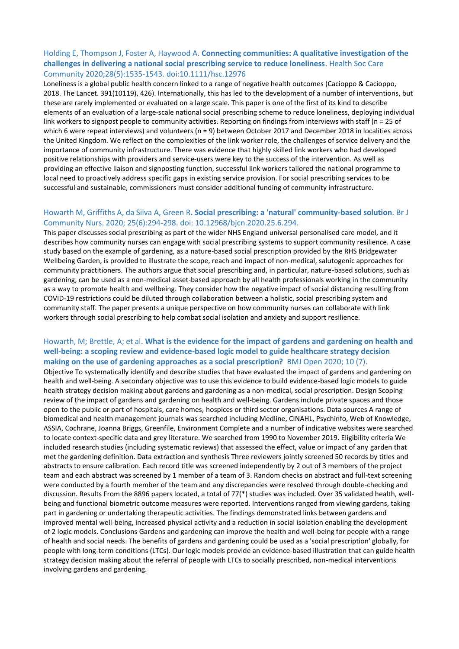# Holding E, Thompson J, Foster A, Haywood A. **Connecting communities: A qualitative investigation of the challenges in delivering a national social prescribing service to reduce loneliness**. Health Soc Care Community 2020;28(5):1535-1543. doi:10.1111/hsc.12976

Loneliness is a global public health concern linked to a range of negative health outcomes (Cacioppo & Cacioppo, 2018. The Lancet. 391(10119), 426). Internationally, this has led to the development of a number of interventions, but these are rarely implemented or evaluated on a large scale. This paper is one of the first of its kind to describe elements of an evaluation of a large‐scale national social prescribing scheme to reduce loneliness, deploying individual link workers to signpost people to community activities. Reporting on findings from interviews with staff (n = 25 of which 6 were repeat interviews) and volunteers (n = 9) between October 2017 and December 2018 in localities across the United Kingdom. We reflect on the complexities of the link worker role, the challenges of service delivery and the importance of community infrastructure. There was evidence that highly skilled link workers who had developed positive relationships with providers and service‐users were key to the success of the intervention. As well as providing an effective liaison and signposting function, successful link workers tailored the national programme to local need to proactively address specific gaps in existing service provision. For social prescribing services to be successful and sustainable, commissioners must consider additional funding of community infrastructure.

#### Howarth M, Griffiths A, da Silva A, Green R**. Social prescribing: a 'natural' community-based solution**. Br J Community Nurs. 2020; 25(6):294-298. doi: 10.12968/bjcn.2020.25.6.294.

This paper discusses social prescribing as part of the wider NHS England universal personalised care model, and it describes how community nurses can engage with social prescribing systems to support community resilience. A case study based on the example of gardening, as a nature-based social prescription provided by the RHS Bridgewater Wellbeing Garden, is provided to illustrate the scope, reach and impact of non-medical, salutogenic approaches for community practitioners. The authors argue that social prescribing and, in particular, nature-based solutions, such as gardening, can be used as a non-medical asset-based approach by all health professionals working in the community as a way to promote health and wellbeing. They consider how the negative impact of social distancing resulting from COVID-19 restrictions could be diluted through collaboration between a holistic, social prescribing system and community staff. The paper presents a unique perspective on how community nurses can collaborate with link workers through social prescribing to help combat social isolation and anxiety and support resilience.

#### Howarth, M; Brettle, A; et al. **What is the evidence for the impact of gardens and gardening on health and well-being: a scoping review and evidence-based logic model to guide healthcare strategy decision making on the use of gardening approaches as a social prescription?** BMJ Open 2020; 10 (7).

Objective To systematically identify and describe studies that have evaluated the impact of gardens and gardening on health and well-being. A secondary objective was to use this evidence to build evidence-based logic models to guide health strategy decision making about gardens and gardening as a non-medical, social prescription. Design Scoping review of the impact of gardens and gardening on health and well-being. Gardens include private spaces and those open to the public or part of hospitals, care homes, hospices or third sector organisations. Data sources A range of biomedical and health management journals was searched including Medline, CINAHL, Psychinfo, Web of Knowledge, ASSIA, Cochrane, Joanna Briggs, Greenfile, Environment Complete and a number of indicative websites were searched to locate context-specific data and grey literature. We searched from 1990 to November 2019. Eligibility criteria We included research studies (including systematic reviews) that assessed the effect, value or impact of any garden that met the gardening definition. Data extraction and synthesis Three reviewers jointly screened 50 records by titles and abstracts to ensure calibration. Each record title was screened independently by 2 out of 3 members of the project team and each abstract was screened by 1 member of a team of 3. Random checks on abstract and full-text screening were conducted by a fourth member of the team and any discrepancies were resolved through double-checking and discussion. Results From the 8896 papers located, a total of 77(\*) studies was included. Over 35 validated health, wellbeing and functional biometric outcome measures were reported. Interventions ranged from viewing gardens, taking part in gardening or undertaking therapeutic activities. The findings demonstrated links between gardens and improved mental well-being, increased physical activity and a reduction in social isolation enabling the development of 2 logic models. Conclusions Gardens and gardening can improve the health and well-being for people with a range of health and social needs. The benefits of gardens and gardening could be used as a 'social prescription' globally, for people with long-term conditions (LTCs). Our logic models provide an evidence-based illustration that can guide health strategy decision making about the referral of people with LTCs to socially prescribed, non-medical interventions involving gardens and gardening.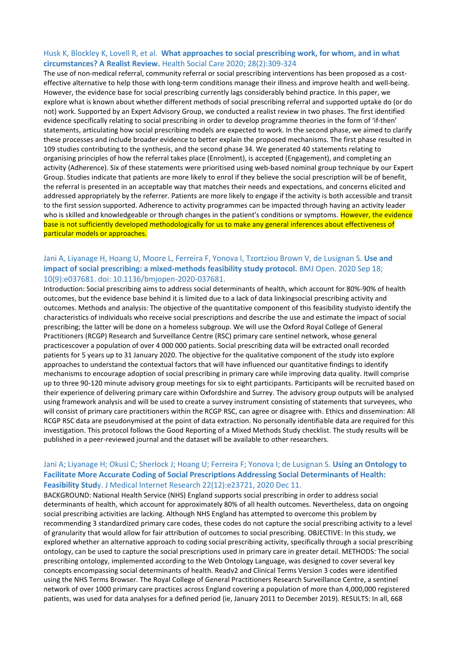#### Husk K, Blockley K, Lovell R, et al. **What approaches to social prescribing work, for whom, and in what circumstances? A Realist Review.** Health Social Care 2020; 28(2):309-324

The use of non-medical referral, community referral or social prescribing interventions has been proposed as a costeffective alternative to help those with long-term conditions manage their illness and improve health and well-being. However, the evidence base for social prescribing currently lags considerably behind practice. In this paper, we explore what is known about whether different methods of social prescribing referral and supported uptake do (or do not) work. Supported by an Expert Advisory Group, we conducted a realist review in two phases. The first identified evidence specifically relating to social prescribing in order to develop programme theories in the form of 'if‐then' statements, articulating how social prescribing models are expected to work. In the second phase, we aimed to clarify these processes and include broader evidence to better explain the proposed mechanisms. The first phase resulted in 109 studies contributing to the synthesis, and the second phase 34. We generated 40 statements relating to organising principles of how the referral takes place (Enrolment), is accepted (Engagement), and completing an activity (Adherence). Six of these statements were prioritised using web‐based nominal group technique by our Expert Group. Studies indicate that patients are more likely to enrol if they believe the social prescription will be of benefit, the referral is presented in an acceptable way that matches their needs and expectations, and concerns elicited and addressed appropriately by the referrer. Patients are more likely to engage if the activity is both accessible and transit to the first session supported. Adherence to activity programmes can be impacted through having an activity leader who is skilled and knowledgeable or through changes in the patient's conditions or symptoms. However, the evidence base is not sufficiently developed methodologically for us to make any general inferences about effectiveness of particular models or approaches.

## Jani A, Liyanage H, Hoang U, Moore L, Ferreira F, Yonova I, Tzortziou Brown V, de Lusignan S. **Use and impact of social prescribing: a mixed-methods feasibility study protocol.** BMJ Open. 2020 Sep 18; 10(9):e037681. doi: 10.1136/bmjopen-2020-037681.

Introduction: Social prescribing aims to address social determinants of health, which account for 80%-90% of health outcomes, but the evidence base behind it is limited due to a lack of data linkingsocial prescribing activity and outcomes. Methods and analysis: The objective of the quantitative component of this feasibility studyisto identify the characteristics of individuals who receive social prescriptions and describe the use and estimate the impact of social prescribing; the latter will be done on a homeless subgroup. We will use the Oxford Royal College of General Practitioners (RCGP) Research and Surveillance Centre (RSC) primary care sentinel network, whose general practicescover a population of over 4 000 000 patients. Social prescribing data will be extracted onall recorded patients for 5 years up to 31 January 2020. The objective for the qualitative component of the study isto explore approaches to understand the contextual factors that will have influenced our quantitative findings to identify mechanisms to encourage adoption of social prescribing in primary care while improving data quality. Itwill comprise up to three 90-120 minute advisory group meetings for six to eight participants. Participants will be recruited based on their experience of delivering primary care within Oxfordshire and Surrey. The advisory group outputs will be analysed using framework analysis and will be used to create a survey instrument consisting of statements that surveyees, who will consist of primary care practitioners within the RCGP RSC, can agree or disagree with. Ethics and dissemination: All RCGP RSC data are pseudonymised at the point of data extraction. No personally identifiable data are required for this investigation. This protocol follows the Good Reporting of a Mixed Methods Study checklist. The study results will be published in a peer-reviewed journal and the dataset will be available to other researchers.

#### Jani A; Liyanage H; Okusi C; Sherlock J; Hoang U; Ferreira F; Yonova I; de Lusignan S. **Using an Ontology to Facilitate More Accurate Coding of Social Prescriptions Addressing Social Determinants of Health: Feasibility Stud**y. J Medical Internet Research 22(12):e23721, 2020 Dec 11.

BACKGROUND: National Health Service (NHS) England supports social prescribing in order to address social determinants of health, which account for approximately 80% of all health outcomes. Nevertheless, data on ongoing social prescribing activities are lacking. Although NHS England has attempted to overcome this problem by recommending 3 standardized primary care codes, these codes do not capture the social prescribing activity to a level of granularity that would allow for fair attribution of outcomes to social prescribing. OBJECTIVE: In this study, we explored whether an alternative approach to coding social prescribing activity, specifically through a social prescribing ontology, can be used to capture the social prescriptions used in primary care in greater detail. METHODS: The social prescribing ontology, implemented according to the Web Ontology Language, was designed to cover several key concepts encompassing social determinants of health. Readv2 and Clinical Terms Version 3 codes were identified using the NHS Terms Browser. The Royal College of General Practitioners Research Surveillance Centre, a sentinel network of over 1000 primary care practices across England covering a population of more than 4,000,000 registered patients, was used for data analyses for a defined period (ie, January 2011 to December 2019). RESULTS: In all, 668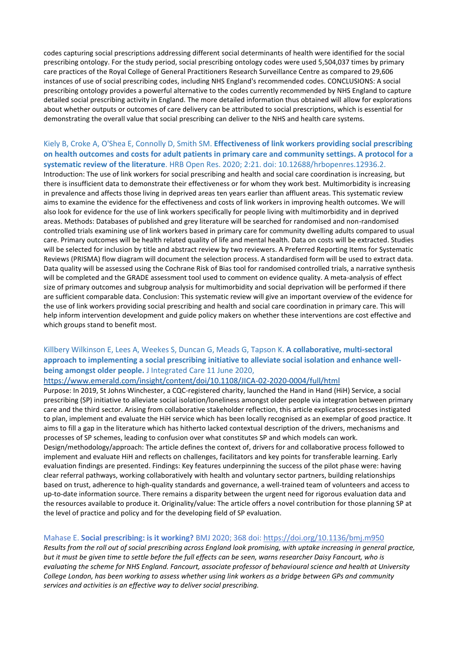codes capturing social prescriptions addressing different social determinants of health were identified for the social prescribing ontology. For the study period, social prescribing ontology codes were used 5,504,037 times by primary care practices of the Royal College of General Practitioners Research Surveillance Centre as compared to 29,606 instances of use of social prescribing codes, including NHS England's recommended codes. CONCLUSIONS: A social prescribing ontology provides a powerful alternative to the codes currently recommended by NHS England to capture detailed social prescribing activity in England. The more detailed information thus obtained will allow for explorations about whether outputs or outcomes of care delivery can be attributed to social prescriptions, which is essential for demonstrating the overall value that social prescribing can deliver to the NHS and health care systems.

#### Kiely B, Croke A, O'Shea E, Connolly D, Smith SM. **Effectiveness of link workers providing social prescribing on health outcomes and costs for adult patients in primary care and community settings. A protocol for a systematic review of the literature**. HRB Open Res. 2020; 2:21. doi: 10.12688/hrbopenres.12936.2.

Introduction: The use of link workers for social prescribing and health and social care coordination is increasing, but there is insufficient data to demonstrate their effectiveness or for whom they work best. Multimorbidity is increasing in prevalence and affects those living in deprived areas ten years earlier than affluent areas. This systematic review aims to examine the evidence for the effectiveness and costs of link workers in improving health outcomes. We will also look for evidence for the use of link workers specifically for people living with multimorbidity and in deprived areas. Methods: Databases of published and grey literature will be searched for randomised and non-randomised controlled trials examining use of link workers based in primary care for community dwelling adults compared to usual care. Primary outcomes will be health related quality of life and mental health. Data on costs will be extracted. Studies will be selected for inclusion by title and abstract review by two reviewers. A Preferred Reporting Items for Systematic Reviews (PRISMA) flow diagram will document the selection process. A standardised form will be used to extract data. Data quality will be assessed using the Cochrane Risk of Bias tool for randomised controlled trials, a narrative synthesis will be completed and the GRADE assessment tool used to comment on evidence quality. A meta-analysis of effect size of primary outcomes and subgroup analysis for multimorbidity and social deprivation will be performed if there are sufficient comparable data. Conclusion: This systematic review will give an important overview of the evidence for the use of link workers providing social prescribing and health and social care coordination in primary care. This will help inform intervention development and guide policy makers on whether these interventions are cost effective and which groups stand to benefit most.

# Killbery Wilkinson E, Lees A, Weekes S, Duncan G, Meads G, Tapson K. **A collaborative, multi-sectoral approach to implementing a social prescribing initiative to alleviate social isolation and enhance wellbeing amongst older people.** J Integrated Care 11 June 2020,

#### <https://www.emerald.com/insight/content/doi/10.1108/JICA-02-2020-0004/full/html>

Purpose: In 2019, St Johns Winchester, a CQC-registered charity, launched the Hand in Hand (HiH) Service, a social prescribing (SP) initiative to alleviate social isolation/loneliness amongst older people via integration between primary care and the third sector. Arising from collaborative stakeholder reflection, this article explicates processes instigated to plan, implement and evaluate the HiH service which has been locally recognised as an exemplar of good practice. It aims to fill a gap in the literature which has hitherto lacked contextual description of the drivers, mechanisms and processes of SP schemes, leading to confusion over what constitutes SP and which models can work. Design/methodology/approach: The article defines the context of, drivers for and collaborative process followed to implement and evaluate HiH and reflects on challenges, facilitators and key points for transferable learning. Early evaluation findings are presented. Findings: Key features underpinning the success of the pilot phase were: having clear referral pathways, working collaboratively with health and voluntary sector partners, building relationships based on trust, adherence to high-quality standards and governance, a well-trained team of volunteers and access to up-to-date information source. There remains a disparity between the urgent need for rigorous evaluation data and the resources available to produce it. Originality/value: The article offers a novel contribution for those planning SP at the level of practice and policy and for the developing field of SP evaluation.

#### Mahase E. **Social prescribing: is it working?** BMJ 2020; 368 doi[: https://doi.org/10.1136/bmj.m950](https://doi.org/10.1136/bmj.m950)

*Results from the roll out of social prescribing across England look promising, with uptake increasing in general practice, but it must be given time to settle before the full effects can be seen, warns researcher Daisy Fancourt, who is evaluating the scheme for NHS England. Fancourt, associate professor of behavioural science and health at University College London, has been working to assess whether using link workers as a bridge between GPs and community services and activities is an effective way to deliver social prescribing.*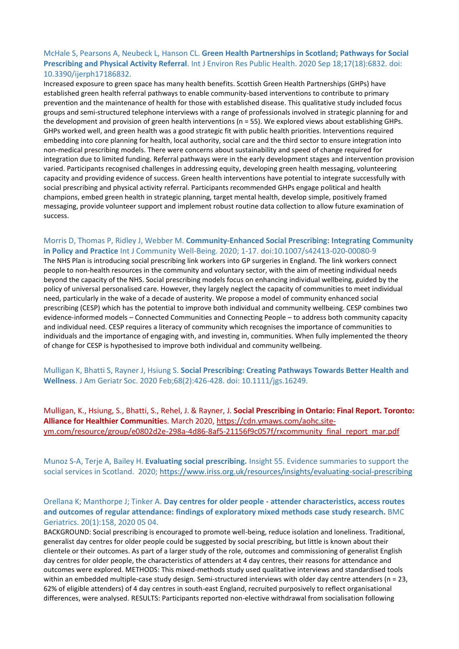### McHale S, Pearsons A, Neubeck L, Hanson CL. **Green Health Partnerships in Scotland; Pathways for Social Prescribing and Physical Activity Referral**. Int J Environ Res Public Health. 2020 Sep 18;17(18):6832. doi: 10.3390/ijerph17186832.

Increased exposure to green space has many health benefits. Scottish Green Health Partnerships (GHPs) have established green health referral pathways to enable community-based interventions to contribute to primary prevention and the maintenance of health for those with established disease. This qualitative study included focus groups and semi-structured telephone interviews with a range of professionals involved in strategic planning for and the development and provision of green health interventions (n = 55). We explored views about establishing GHPs. GHPs worked well, and green health was a good strategic fit with public health priorities. Interventions required embedding into core planning for health, local authority, social care and the third sector to ensure integration into non-medical prescribing models. There were concerns about sustainability and speed of change required for integration due to limited funding. Referral pathways were in the early development stages and intervention provision varied. Participants recognised challenges in addressing equity, developing green health messaging, volunteering capacity and providing evidence of success. Green health interventions have potential to integrate successfully with social prescribing and physical activity referral. Participants recommended GHPs engage political and health champions, embed green health in strategic planning, target mental health, develop simple, positively framed messaging, provide volunteer support and implement robust routine data collection to allow future examination of success.

#### Morris D, Thomas P, Ridley J, Webber M. **Community-Enhanced Social Prescribing: Integrating Community in Policy and Practice** Int J Community Well-Being. 2020; 1-17. doi:10.1007/s42413-020-00080-9

The NHS Plan is introducing social prescribing link workers into GP surgeries in England. The link workers connect people to non-health resources in the community and voluntary sector, with the aim of meeting individual needs beyond the capacity of the NHS. Social prescribing models focus on enhancing individual wellbeing, guided by the policy of universal personalised care. However, they largely neglect the capacity of communities to meet individual need, particularly in the wake of a decade of austerity. We propose a model of community enhanced social prescribing (CESP) which has the potential to improve both individual and community wellbeing. CESP combines two evidence-informed models – Connected Communities and Connecting People – to address both community capacity and individual need. CESP requires a literacy of community which recognises the importance of communities to individuals and the importance of engaging with, and investing in, communities. When fully implemented the theory of change for CESP is hypothesised to improve both individual and community wellbeing.

Mulligan K, Bhatti S, Rayner J, Hsiung S. **Social Prescribing: Creating Pathways Towards Better Health and Wellness**. J Am Geriatr Soc. 2020 Feb;68(2):426-428. doi: 10.1111/jgs.16249.

Mulligan, K., Hsiung, S., Bhatti, S., Rehel, J. & Rayner, J. **Social Prescribing in Ontario: Final Report. Toronto: Alliance for Healthier Communitie**s. March 2020, [https://cdn.ymaws.com/aohc.site](https://cdn.ymaws.com/aohc.site-ym.com/resource/group/e0802d2e-298a-4d86-8af5-21156f9c057f/rxcommunity_final_report_mar.pdf)[ym.com/resource/group/e0802d2e-298a-4d86-8af5-21156f9c057f/rxcommunity\\_final\\_report\\_mar.pdf](https://cdn.ymaws.com/aohc.site-ym.com/resource/group/e0802d2e-298a-4d86-8af5-21156f9c057f/rxcommunity_final_report_mar.pdf)

Munoz S-A, Terje A, Bailey H. **Evaluating social prescribing.** Insight 55. Evidence summaries to support the social services in Scotland. 2020;<https://www.iriss.org.uk/resources/insights/evaluating-social-prescribing>

#### Orellana K; Manthorpe J; Tinker A. **Day centres for older people - attender characteristics, access routes and outcomes of regular attendance: findings of exploratory mixed methods case study research.** BMC Geriatrics. 20(1):158, 2020 05 04.

BACKGROUND: Social prescribing is encouraged to promote well-being, reduce isolation and loneliness. Traditional, generalist day centres for older people could be suggested by social prescribing, but little is known about their clientele or their outcomes. As part of a larger study of the role, outcomes and commissioning of generalist English day centres for older people, the characteristics of attenders at 4 day centres, their reasons for attendance and outcomes were explored. METHODS: This mixed-methods study used qualitative interviews and standardised tools within an embedded multiple-case study design. Semi-structured interviews with older day centre attenders (n = 23, 62% of eligible attenders) of 4 day centres in south-east England, recruited purposively to reflect organisational differences, were analysed. RESULTS: Participants reported non-elective withdrawal from socialisation following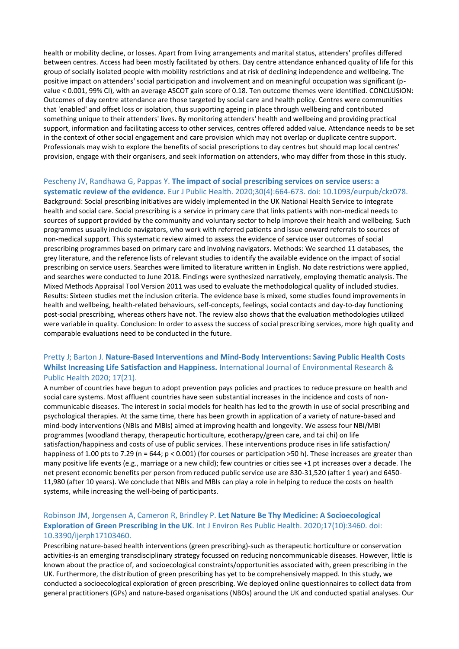health or mobility decline, or losses. Apart from living arrangements and marital status, attenders' profiles differed between centres. Access had been mostly facilitated by others. Day centre attendance enhanced quality of life for this group of socially isolated people with mobility restrictions and at risk of declining independence and wellbeing. The positive impact on attenders' social participation and involvement and on meaningful occupation was significant (pvalue < 0.001, 99% CI), with an average ASCOT gain score of 0.18. Ten outcome themes were identified. CONCLUSION: Outcomes of day centre attendance are those targeted by social care and health policy. Centres were communities that 'enabled' and offset loss or isolation, thus supporting ageing in place through wellbeing and contributed something unique to their attenders' lives. By monitoring attenders' health and wellbeing and providing practical support, information and facilitating access to other services, centres offered added value. Attendance needs to be set in the context of other social engagement and care provision which may not overlap or duplicate centre support. Professionals may wish to explore the benefits of social prescriptions to day centres but should map local centres' provision, engage with their organisers, and seek information on attenders, who may differ from those in this study.

#### Pescheny JV, Randhawa G, Pappas Y. **The impact of social prescribing services on service users: a systematic review of the evidence.** Eur J Public Health. 2020;30(4):664-673. doi: 10.1093/eurpub/ckz078.

Background: Social prescribing initiatives are widely implemented in the UK National Health Service to integrate health and social care. Social prescribing is a service in primary care that links patients with non-medical needs to sources of support provided by the community and voluntary sector to help improve their health and wellbeing. Such programmes usually include navigators, who work with referred patients and issue onward referrals to sources of non-medical support. This systematic review aimed to assess the evidence of service user outcomes of social prescribing programmes based on primary care and involving navigators. Methods: We searched 11 databases, the grey literature, and the reference lists of relevant studies to identify the available evidence on the impact of social prescribing on service users. Searches were limited to literature written in English. No date restrictions were applied, and searches were conducted to June 2018. Findings were synthesized narratively, employing thematic analysis. The Mixed Methods Appraisal Tool Version 2011 was used to evaluate the methodological quality of included studies. Results: Sixteen studies met the inclusion criteria. The evidence base is mixed, some studies found improvements in health and wellbeing, health-related behaviours, self-concepts, feelings, social contacts and day-to-day functioning post-social prescribing, whereas others have not. The review also shows that the evaluation methodologies utilized were variable in quality. Conclusion: In order to assess the success of social prescribing services, more high quality and comparable evaluations need to be conducted in the future.

# Pretty J; Barton J. **Nature-Based Interventions and Mind-Body Interventions: Saving Public Health Costs Whilst Increasing Life Satisfaction and Happiness.** International Journal of Environmental Research & Public Health 2020; 17(21).

A number of countries have begun to adopt prevention pays policies and practices to reduce pressure on health and social care systems. Most affluent countries have seen substantial increases in the incidence and costs of noncommunicable diseases. The interest in social models for health has led to the growth in use of social prescribing and psychological therapies. At the same time, there has been growth in application of a variety of nature-based and mind-body interventions (NBIs and MBIs) aimed at improving health and longevity. We assess four NBI/MBI programmes (woodland therapy, therapeutic horticulture, ecotherapy/green care, and tai chi) on life satisfaction/happiness and costs of use of public services. These interventions produce rises in life satisfaction/ happiness of 1.00 pts to 7.29 (n = 644; p < 0.001) (for courses or participation >50 h). These increases are greater than many positive life events (e.g., marriage or a new child); few countries or cities see +1 pt increases over a decade. The net present economic benefits per person from reduced public service use are 830-31,520 (after 1 year) and 6450- 11,980 (after 10 years). We conclude that NBIs and MBIs can play a role in helping to reduce the costs on health systems, while increasing the well-being of participants.

# Robinson JM, Jorgensen A, Cameron R, Brindley P. **Let Nature Be Thy Medicine: A Socioecological Exploration of Green Prescribing in the UK**. Int J Environ Res Public Health. 2020;17(10):3460. doi: 10.3390/ijerph17103460.

Prescribing nature-based health interventions (green prescribing)-such as therapeutic horticulture or conservation activities-is an emerging transdisciplinary strategy focussed on reducing noncommunicable diseases. However, little is known about the practice of, and socioecological constraints/opportunities associated with, green prescribing in the UK. Furthermore, the distribution of green prescribing has yet to be comprehensively mapped. In this study, we conducted a socioecological exploration of green prescribing. We deployed online questionnaires to collect data from general practitioners (GPs) and nature-based organisations (NBOs) around the UK and conducted spatial analyses. Our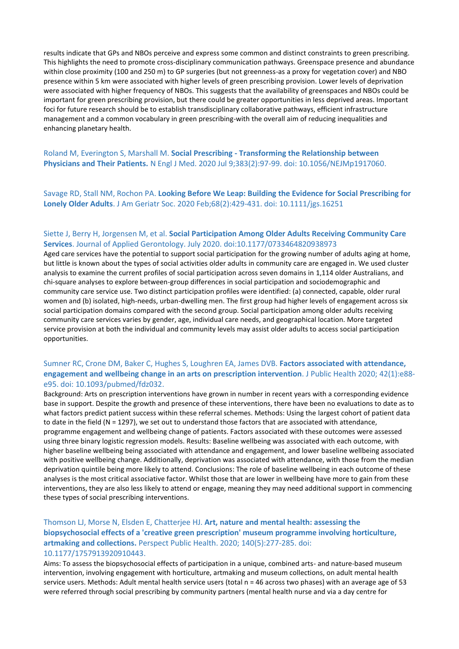results indicate that GPs and NBOs perceive and express some common and distinct constraints to green prescribing. This highlights the need to promote cross-disciplinary communication pathways. Greenspace presence and abundance within close proximity (100 and 250 m) to GP surgeries (but not greenness-as a proxy for vegetation cover) and NBO presence within 5 km were associated with higher levels of green prescribing provision. Lower levels of deprivation were associated with higher frequency of NBOs. This suggests that the availability of greenspaces and NBOs could be important for green prescribing provision, but there could be greater opportunities in less deprived areas. Important foci for future research should be to establish transdisciplinary collaborative pathways, efficient infrastructure management and a common vocabulary in green prescribing-with the overall aim of reducing inequalities and enhancing planetary health.

#### Roland M, Everington S, Marshall M. **Social Prescribing - Transforming the Relationship between Physicians and Their Patients.** N Engl J Med. 2020 Jul 9;383(2):97-99. doi: 10.1056/NEJMp1917060.

Savage RD, Stall NM, Rochon PA. **Looking Before We Leap: Building the Evidence for Social Prescribing for Lonely Older Adults**. J Am Geriatr Soc. 2020 Feb;68(2):429-431. doi: 10.1111/jgs.16251

#### Siette J, Berry H, Jorgensen M, et al. **Social Participation Among Older Adults Receiving Community Care Services**. Journal of Applied Gerontology. July 2020. doi:10.1177/0733464820938973

Aged care services have the potential to support social participation for the growing number of adults aging at home, but little is known about the types of social activities older adults in community care are engaged in. We used cluster analysis to examine the current profiles of social participation across seven domains in 1,114 older Australians, and chi-square analyses to explore between-group differences in social participation and sociodemographic and community care service use. Two distinct participation profiles were identified: (a) connected, capable, older rural women and (b) isolated, high-needs, urban-dwelling men. The first group had higher levels of engagement across six social participation domains compared with the second group. Social participation among older adults receiving community care services varies by gender, age, individual care needs, and geographical location. More targeted service provision at both the individual and community levels may assist older adults to access social participation opportunities.

#### Sumner RC, Crone DM, Baker C, Hughes S, Loughren EA, James DVB. **Factors associated with attendance, engagement and wellbeing change in an arts on prescription intervention**. J Public Health 2020; 42(1):e88 e95. doi: 10.1093/pubmed/fdz032.

Background: Arts on prescription interventions have grown in number in recent years with a corresponding evidence base in support. Despite the growth and presence of these interventions, there have been no evaluations to date as to what factors predict patient success within these referral schemes. Methods: Using the largest cohort of patient data to date in the field ( $N = 1297$ ), we set out to understand those factors that are associated with attendance, programme engagement and wellbeing change of patients. Factors associated with these outcomes were assessed using three binary logistic regression models. Results: Baseline wellbeing was associated with each outcome, with higher baseline wellbeing being associated with attendance and engagement, and lower baseline wellbeing associated with positive wellbeing change. Additionally, deprivation was associated with attendance, with those from the median deprivation quintile being more likely to attend. Conclusions: The role of baseline wellbeing in each outcome of these analyses is the most critical associative factor. Whilst those that are lower in wellbeing have more to gain from these interventions, they are also less likely to attend or engage, meaning they may need additional support in commencing these types of social prescribing interventions.

# Thomson LJ, Morse N, Elsden E, Chatterjee HJ. **Art, nature and mental health: assessing the biopsychosocial effects of a 'creative green prescription' museum programme involving horticulture, artmaking and collections.** Perspect Public Health. 2020; 140(5):277-285. doi: 10.1177/1757913920910443.

Aims: To assess the biopsychosocial effects of participation in a unique, combined arts- and nature-based museum intervention, involving engagement with horticulture, artmaking and museum collections, on adult mental health service users. Methods: Adult mental health service users (total n = 46 across two phases) with an average age of 53 were referred through social prescribing by community partners (mental health nurse and via a day centre for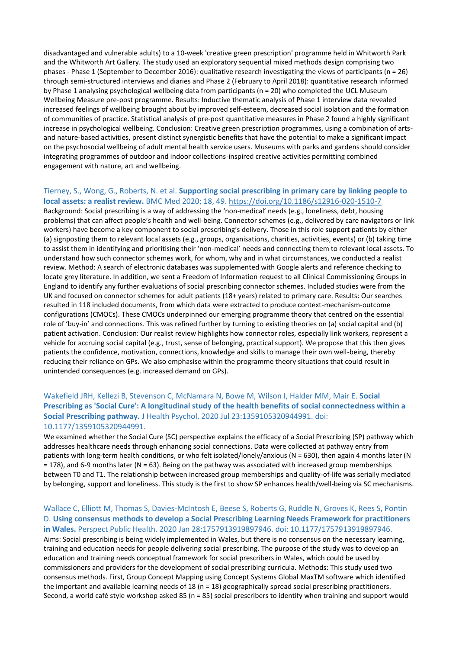disadvantaged and vulnerable adults) to a 10-week 'creative green prescription' programme held in Whitworth Park and the Whitworth Art Gallery. The study used an exploratory sequential mixed methods design comprising two phases - Phase 1 (September to December 2016): qualitative research investigating the views of participants (n = 26) through semi-structured interviews and diaries and Phase 2 (February to April 2018): quantitative research informed by Phase 1 analysing psychological wellbeing data from participants (n = 20) who completed the UCL Museum Wellbeing Measure pre-post programme. Results: Inductive thematic analysis of Phase 1 interview data revealed increased feelings of wellbeing brought about by improved self-esteem, decreased social isolation and the formation of communities of practice. Statistical analysis of pre-post quantitative measures in Phase 2 found a highly significant increase in psychological wellbeing. Conclusion: Creative green prescription programmes, using a combination of artsand nature-based activities, present distinct synergistic benefits that have the potential to make a significant impact on the psychosocial wellbeing of adult mental health service users. Museums with parks and gardens should consider integrating programmes of outdoor and indoor collections-inspired creative activities permitting combined engagement with nature, art and wellbeing.

#### Tierney, S., Wong, G., Roberts, N. et al. **Supporting social prescribing in primary care by linking people to local assets: a realist review.** BMC Med 2020; 18, 49. <https://doi.org/10.1186/s12916-020-1510-7>

Background: Social prescribing is a way of addressing the 'non-medical' needs (e.g., loneliness, debt, housing problems) that can affect people's health and well-being. Connector schemes (e.g., delivered by care navigators or link workers) have become a key component to social prescribing's delivery. Those in this role support patients by either (a) signposting them to relevant local assets (e.g., groups, organisations, charities, activities, events) or (b) taking time to assist them in identifying and prioritising their 'non-medical' needs and connecting them to relevant local assets. To understand how such connector schemes work, for whom, why and in what circumstances, we conducted a realist review. Method: A search of electronic databases was supplemented with Google alerts and reference checking to locate grey literature. In addition, we sent a Freedom of Information request to all Clinical Commissioning Groups in England to identify any further evaluations of social prescribing connector schemes. Included studies were from the UK and focused on connector schemes for adult patients (18+ years) related to primary care. Results: Our searches resulted in 118 included documents, from which data were extracted to produce context-mechanism-outcome configurations (CMOCs). These CMOCs underpinned our emerging programme theory that centred on the essential role of 'buy-in' and connections. This was refined further by turning to existing theories on (a) social capital and (b) patient activation. Conclusion: Our realist review highlights how connector roles, especially link workers, represent a vehicle for accruing social capital (e.g., trust, sense of belonging, practical support). We propose that this then gives patients the confidence, motivation, connections, knowledge and skills to manage their own well-being, thereby reducing their reliance on GPs. We also emphasise within the programme theory situations that could result in unintended consequences (e.g. increased demand on GPs).

# Wakefield JRH, Kellezi B, Stevenson C, McNamara N, Bowe M, Wilson I, Halder MM, Mair E. **Social Prescribing as 'Social Cure': A longitudinal study of the health benefits of social connectedness within a Social Prescribing pathway.** J Health Psychol. 2020 Jul 23:1359105320944991. doi: 10.1177/1359105320944991.

We examined whether the Social Cure (SC) perspective explains the efficacy of a Social Prescribing (SP) pathway which addresses healthcare needs through enhancing social connections. Data were collected at pathway entry from patients with long-term health conditions, or who felt isolated/lonely/anxious (N = 630), then again 4 months later (N = 178), and 6-9 months later (N = 63). Being on the pathway was associated with increased group memberships between T0 and T1. The relationship between increased group memberships and quality-of-life was serially mediated by belonging, support and loneliness. This study is the first to show SP enhances health/well-being via SC mechanisms.

#### Wallace C, Elliott M, Thomas S, Davies-McIntosh E, Beese S, Roberts G, Ruddle N, Groves K, Rees S, Pontin D. **Using consensus methods to develop a Social Prescribing Learning Needs Framework for practitioners in Wales.** Perspect Public Health. 2020 Jan 28:1757913919897946. doi: 10.1177/1757913919897946.

Aims: Social prescribing is being widely implemented in Wales, but there is no consensus on the necessary learning, training and education needs for people delivering social prescribing. The purpose of the study was to develop an education and training needs conceptual framework for social prescribers in Wales, which could be used by commissioners and providers for the development of social prescribing curricula. Methods: This study used two consensus methods. First, Group Concept Mapping using Concept Systems Global MaxTM software which identified the important and available learning needs of 18 (n = 18) geographically spread social prescribing practitioners. Second, a world café style workshop asked 85 (n = 85) social prescribers to identify when training and support would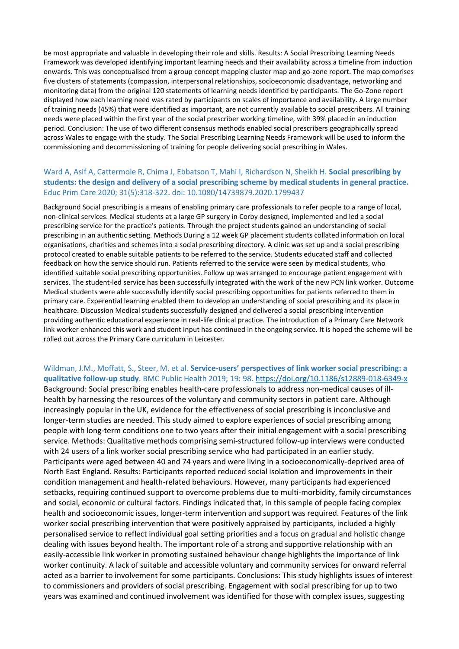be most appropriate and valuable in developing their role and skills. Results: A Social Prescribing Learning Needs Framework was developed identifying important learning needs and their availability across a timeline from induction onwards. This was conceptualised from a group concept mapping cluster map and go-zone report. The map comprises five clusters of statements (compassion, interpersonal relationships, socioeconomic disadvantage, networking and monitoring data) from the original 120 statements of learning needs identified by participants. The Go-Zone report displayed how each learning need was rated by participants on scales of importance and availability. A large number of training needs (45%) that were identified as important, are not currently available to social prescribers. All training needs were placed within the first year of the social prescriber working timeline, with 39% placed in an induction period. Conclusion: The use of two different consensus methods enabled social prescribers geographically spread across Wales to engage with the study. The Social Prescribing Learning Needs Framework will be used to inform the commissioning and decommissioning of training for people delivering social prescribing in Wales.

# Ward A, Asif A, Cattermole R, Chima J, Ebbatson T, Mahi I, Richardson N, Sheikh H. **Social prescribing by students: the design and delivery of a social prescribing scheme by medical students in general practice.** Educ Prim Care 2020; 31(5):318-322. doi: 10.1080/14739879.2020.1799437

Background Social prescribing is a means of enabling primary care professionals to refer people to a range of local, non-clinical services. Medical students at a large GP surgery in Corby designed, implemented and led a social prescribing service for the practice's patients. Through the project students gained an understanding of social prescribing in an authentic setting. Methods During a 12 week GP placement students collated information on local organisations, charities and schemes into a social prescribing directory. A clinic was set up and a social prescribing protocol created to enable suitable patients to be referred to the service. Students educated staff and collected feedback on how the service should run. Patients referred to the service were seen by medical students, who identified suitable social prescribing opportunities. Follow up was arranged to encourage patient engagement with services. The student-led service has been successfully integrated with the work of the new PCN link worker. Outcome Medical students were able successfully identify social prescribing opportunities for patients referred to them in primary care. Experential learning enabled them to develop an understanding of social prescribing and its place in healthcare. Discussion Medical students successfully designed and delivered a social prescribing intervention providing authentic educational experience in real-life clinical practice. The introduction of a Primary Care Network link worker enhanced this work and student input has continued in the ongoing service. It is hoped the scheme will be rolled out across the Primary Care curriculum in Leicester.

# Wildman, J.M., Moffatt, S., Steer, M. et al. **Service-users' perspectives of link worker social prescribing: a qualitative follow-up study**. BMC Public Health 2019; 19: 98. <https://doi.org/10.1186/s12889-018-6349-x> Background: Social prescribing enables health-care professionals to address non-medical causes of illhealth by harnessing the resources of the voluntary and community sectors in patient care. Although increasingly popular in the UK, evidence for the effectiveness of social prescribing is inconclusive and longer-term studies are needed. This study aimed to explore experiences of social prescribing among people with long-term conditions one to two years after their initial engagement with a social prescribing service. Methods: Qualitative methods comprising semi-structured follow-up interviews were conducted with 24 users of a link worker social prescribing service who had participated in an earlier study. Participants were aged between 40 and 74 years and were living in a socioeconomically-deprived area of North East England. Results: Participants reported reduced social isolation and improvements in their condition management and health-related behaviours. However, many participants had experienced setbacks, requiring continued support to overcome problems due to multi-morbidity, family circumstances and social, economic or cultural factors. Findings indicated that, in this sample of people facing complex health and socioeconomic issues, longer-term intervention and support was required. Features of the link worker social prescribing intervention that were positively appraised by participants, included a highly personalised service to reflect individual goal setting priorities and a focus on gradual and holistic change dealing with issues beyond health. The important role of a strong and supportive relationship with an easily-accessible link worker in promoting sustained behaviour change highlights the importance of link worker continuity. A lack of suitable and accessible voluntary and community services for onward referral acted as a barrier to involvement for some participants. Conclusions: This study highlights issues of interest to commissioners and providers of social prescribing. Engagement with social prescribing for up to two years was examined and continued involvement was identified for those with complex issues, suggesting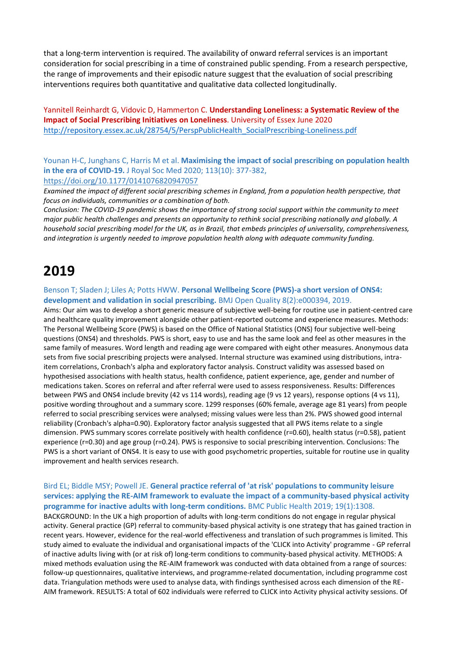that a long-term intervention is required. The availability of onward referral services is an important consideration for social prescribing in a time of constrained public spending. From a research perspective, the range of improvements and their episodic nature suggest that the evaluation of social prescribing interventions requires both quantitative and qualitative data collected longitudinally.

Yannitell Reinhardt G, Vidovic D, Hammerton C. **Understanding Loneliness: a Systematic Review of the Impact of Social Prescribing Initiatives on Loneliness**. University of Essex June 2020 [http://repository.essex.ac.uk/28754/5/PerspPublicHealth\\_SocialPrescribing-Loneliness.pdf](http://repository.essex.ac.uk/28754/5/PerspPublicHealth_SocialPrescribing-Loneliness.pdf)

Younan H-C, Junghans C, Harris M et al. **Maximising the impact of social prescribing on population health in the era of COVID-19.** J Royal Soc Med 2020; 113(10): 377-382, <https://doi.org/10.1177/0141076820947057>

*Examined the impact of different social prescribing schemes in England, from a population health perspective, that focus on individuals, communities or a combination of both.*

*Conclusion: The COVID-19 pandemic shows the importance of strong social support within the community to meet major public health challenges and presents an opportunity to rethink social prescribing nationally and globally. A household social prescribing model for the UK, as in Brazil, that embeds principles of universality, comprehensiveness, and integration is urgently needed to improve population health along with adequate community funding.*

# **2019**

#### Benson T; Sladen J; Liles A; Potts HWW. **Personal Wellbeing Score (PWS)-a short version of ONS4: development and validation in social prescribing.** BMJ Open Quality 8(2):e000394, 2019.

Aims: Our aim was to develop a short generic measure of subjective well-being for routine use in patient-centred care and healthcare quality improvement alongside other patient-reported outcome and experience measures. Methods: The Personal Wellbeing Score (PWS) is based on the Office of National Statistics (ONS) four subjective well-being questions (ONS4) and thresholds. PWS is short, easy to use and has the same look and feel as other measures in the same family of measures. Word length and reading age were compared with eight other measures. Anonymous data sets from five social prescribing projects were analysed. Internal structure was examined using distributions, intraitem correlations, Cronbach's alpha and exploratory factor analysis. Construct validity was assessed based on hypothesised associations with health status, health confidence, patient experience, age, gender and number of medications taken. Scores on referral and after referral were used to assess responsiveness. Results: Differences between PWS and ONS4 include brevity (42 vs 114 words), reading age (9 vs 12 years), response options (4 vs 11), positive wording throughout and a summary score. 1299 responses (60% female, average age 81 years) from people referred to social prescribing services were analysed; missing values were less than 2%. PWS showed good internal reliability (Cronbach's alpha=0.90). Exploratory factor analysis suggested that all PWS items relate to a single dimension. PWS summary scores correlate positively with health confidence (r=0.60), health status (r=0.58), patient experience (r=0.30) and age group (r=0.24). PWS is responsive to social prescribing intervention. Conclusions: The PWS is a short variant of ONS4. It is easy to use with good psychometric properties, suitable for routine use in quality improvement and health services research.

# Bird EL; Biddle MSY; Powell JE. **General practice referral of 'at risk' populations to community leisure services: applying the RE-AIM framework to evaluate the impact of a community-based physical activity programme for inactive adults with long-term conditions.** BMC Public Health 2019; 19(1):1308.

BACKGROUND: In the UK a high proportion of adults with long-term conditions do not engage in regular physical activity. General practice (GP) referral to community-based physical activity is one strategy that has gained traction in recent years. However, evidence for the real-world effectiveness and translation of such programmes is limited. This study aimed to evaluate the individual and organisational impacts of the 'CLICK into Activity' programme - GP referral of inactive adults living with (or at risk of) long-term conditions to community-based physical activity. METHODS: A mixed methods evaluation using the RE-AIM framework was conducted with data obtained from a range of sources: follow-up questionnaires, qualitative interviews, and programme-related documentation, including programme cost data. Triangulation methods were used to analyse data, with findings synthesised across each dimension of the RE-AIM framework. RESULTS: A total of 602 individuals were referred to CLICK into Activity physical activity sessions. Of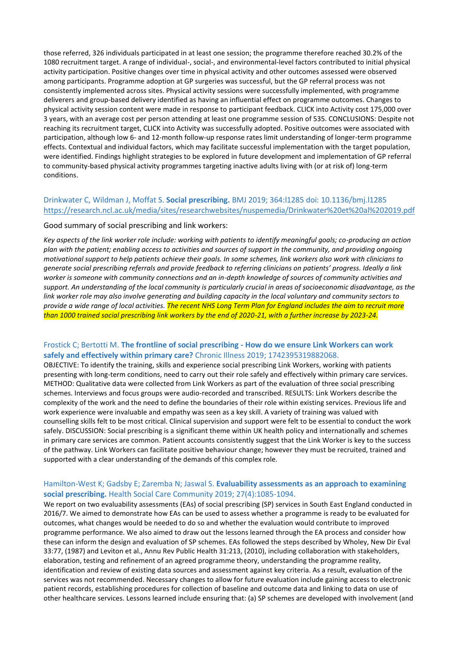those referred, 326 individuals participated in at least one session; the programme therefore reached 30.2% of the 1080 recruitment target. A range of individual-, social-, and environmental-level factors contributed to initial physical activity participation. Positive changes over time in physical activity and other outcomes assessed were observed among participants. Programme adoption at GP surgeries was successful, but the GP referral process was not consistently implemented across sites. Physical activity sessions were successfully implemented, with programme deliverers and group-based delivery identified as having an influential effect on programme outcomes. Changes to physical activity session content were made in response to participant feedback. CLICK into Activity cost 175,000 over 3 years, with an average cost per person attending at least one programme session of 535. CONCLUSIONS: Despite not reaching its recruitment target, CLICK into Activity was successfully adopted. Positive outcomes were associated with participation, although low 6- and 12-month follow-up response rates limit understanding of longer-term programme effects. Contextual and individual factors, which may facilitate successful implementation with the target population, were identified. Findings highlight strategies to be explored in future development and implementation of GP referral to community-based physical activity programmes targeting inactive adults living with (or at risk of) long-term conditions.

# Drinkwater C, Wildman J, Moffat S. **Social prescribing.** BMJ 2019; 364:l1285 doi: 10.1136/bmj.l1285 <https://research.ncl.ac.uk/media/sites/researchwebsites/nuspemedia/Drinkwater%20et%20al%202019.pdf>

#### Good summary of social prescribing and link workers:

*Key aspects of the link worker role include: working with patients to identify meaningful goals; co-producing an action plan with the patient; enabling access to activities and sources of support in the community, and providing ongoing motivational support to help patients achieve their goals. In some schemes, link workers also work with clinicians to generate social prescribing referrals and provide feedback to referring clinicians on patients' progress. Ideally a link worker is someone with community connections and an in-depth knowledge of sources of community activities and support. An understanding of the local community is particularly crucial in areas of socioeconomic disadvantage, as the link worker role may also involve generating and building capacity in the local voluntary and community sectors to provide a wide range of local activities. The recent NHS Long Term Plan for England includes the aim to recruit more than 1000 trained social prescribing link workers by the end of 2020-21, with a further increase by 2023-24.*

#### Frostick C; Bertotti M. **The frontline of social prescribing - How do we ensure Link Workers can work safely and effectively within primary care?** Chronic Illness 2019; 1742395319882068.

OBJECTIVE: To identify the training, skills and experience social prescribing Link Workers, working with patients presenting with long-term conditions, need to carry out their role safely and effectively within primary care services. METHOD: Qualitative data were collected from Link Workers as part of the evaluation of three social prescribing schemes. Interviews and focus groups were audio-recorded and transcribed. RESULTS: Link Workers describe the complexity of the work and the need to define the boundaries of their role within existing services. Previous life and work experience were invaluable and empathy was seen as a key skill. A variety of training was valued with counselling skills felt to be most critical. Clinical supervision and support were felt to be essential to conduct the work safely. DISCUSSION: Social prescribing is a significant theme within UK health policy and internationally and schemes in primary care services are common. Patient accounts consistently suggest that the Link Worker is key to the success of the pathway. Link Workers can facilitate positive behaviour change; however they must be recruited, trained and supported with a clear understanding of the demands of this complex role.

#### Hamilton-West K; Gadsby E; Zaremba N; Jaswal S. **Evaluability assessments as an approach to examining social prescribing.** Health Social Care Community 2019; 27(4):1085-1094.

We report on two evaluability assessments (EAs) of social prescribing (SP) services in South East England conducted in 2016/7. We aimed to demonstrate how EAs can be used to assess whether a programme is ready to be evaluated for outcomes, what changes would be needed to do so and whether the evaluation would contribute to improved programme performance. We also aimed to draw out the lessons learned through the EA process and consider how these can inform the design and evaluation of SP schemes. EAs followed the steps described by Wholey, New Dir Eval 33:77, (1987) and Leviton et al., Annu Rev Public Health 31:213, (2010), including collaboration with stakeholders, elaboration, testing and refinement of an agreed programme theory, understanding the programme reality, identification and review of existing data sources and assessment against key criteria. As a result, evaluation of the services was not recommended. Necessary changes to allow for future evaluation include gaining access to electronic patient records, establishing procedures for collection of baseline and outcome data and linking to data on use of other healthcare services. Lessons learned include ensuring that: (a) SP schemes are developed with involvement (and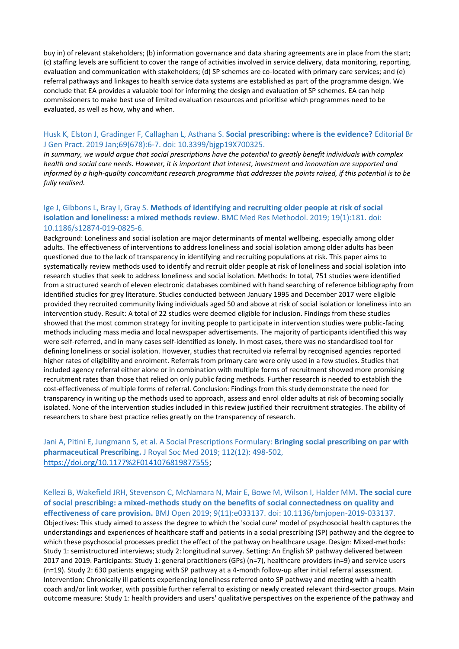buy in) of relevant stakeholders; (b) information governance and data sharing agreements are in place from the start; (c) staffing levels are sufficient to cover the range of activities involved in service delivery, data monitoring, reporting, evaluation and communication with stakeholders; (d) SP schemes are co-located with primary care services; and (e) referral pathways and linkages to health service data systems are established as part of the programme design. We conclude that EA provides a valuable tool for informing the design and evaluation of SP schemes. EA can help commissioners to make best use of limited evaluation resources and prioritise which programmes need to be evaluated, as well as how, why and when.

#### Husk K, Elston J, Gradinger F, Callaghan L, Asthana S. **Social prescribing: where is the evidence?** Editorial Br J Gen Pract. 2019 Jan;69(678):6-7. doi: 10.3399/bjgp19X700325.

*In summary, we would argue that social prescriptions have the potential to greatly benefit individuals with complex health and social care needs. However, it is important that interest, investment and innovation are supported and informed by a high-quality concomitant research programme that addresses the points raised, if this potential is to be fully realised.*

# Ige J, Gibbons L, Bray I, Gray S. **Methods of identifying and recruiting older people at risk of social isolation and loneliness: a mixed methods review**. BMC Med Res Methodol. 2019; 19(1):181. doi: 10.1186/s12874-019-0825-6.

Background: Loneliness and social isolation are major determinants of mental wellbeing, especially among older adults. The effectiveness of interventions to address loneliness and social isolation among older adults has been questioned due to the lack of transparency in identifying and recruiting populations at risk. This paper aims to systematically review methods used to identify and recruit older people at risk of loneliness and social isolation into research studies that seek to address loneliness and social isolation. Methods: In total, 751 studies were identified from a structured search of eleven electronic databases combined with hand searching of reference bibliography from identified studies for grey literature. Studies conducted between January 1995 and December 2017 were eligible provided they recruited community living individuals aged 50 and above at risk of social isolation or loneliness into an intervention study. Result: A total of 22 studies were deemed eligible for inclusion. Findings from these studies showed that the most common strategy for inviting people to participate in intervention studies were public-facing methods including mass media and local newspaper advertisements. The majority of participants identified this way were self-referred, and in many cases self-identified as lonely. In most cases, there was no standardised tool for defining loneliness or social isolation. However, studies that recruited via referral by recognised agencies reported higher rates of eligibility and enrolment. Referrals from primary care were only used in a few studies. Studies that included agency referral either alone or in combination with multiple forms of recruitment showed more promising recruitment rates than those that relied on only public facing methods. Further research is needed to establish the cost-effectiveness of multiple forms of referral. Conclusion: Findings from this study demonstrate the need for transparency in writing up the methods used to approach, assess and enrol older adults at risk of becoming socially isolated. None of the intervention studies included in this review justified their recruitment strategies. The ability of researchers to share best practice relies greatly on the transparency of research.

# Jani A, Pitini E, Jungmann S, et al. A Social Prescriptions Formulary: **Bringing social prescribing on par with pharmaceutical Prescribing.** J Royal Soc Med 2019; 112(12): 498-502, [https://doi.org/10.1177%2F0141076819877555;](https://doi.org/10.1177%2F0141076819877555)

Kellezi B, Wakefield JRH, Stevenson C, McNamara N, Mair E, Bowe M, Wilson I, Halder MM**. The social cure of social prescribing: a mixed-methods study on the benefits of social connectedness on quality and effectiveness of care provision.** BMJ Open 2019; 9(11):e033137. doi: 10.1136/bmjopen-2019-033137. Objectives: This study aimed to assess the degree to which the 'social cure' model of psychosocial health captures the understandings and experiences of healthcare staff and patients in a social prescribing (SP) pathway and the degree to which these psychosocial processes predict the effect of the pathway on healthcare usage. Design: Mixed-methods: Study 1: semistructured interviews; study 2: longitudinal survey. Setting: An English SP pathway delivered between 2017 and 2019. Participants: Study 1: general practitioners (GPs) (n=7), healthcare providers (n=9) and service users (n=19). Study 2: 630 patients engaging with SP pathway at a 4-month follow-up after initial referral assessment. Intervention: Chronically ill patients experiencing loneliness referred onto SP pathway and meeting with a health coach and/or link worker, with possible further referral to existing or newly created relevant third-sector groups. Main outcome measure: Study 1: health providers and users' qualitative perspectives on the experience of the pathway and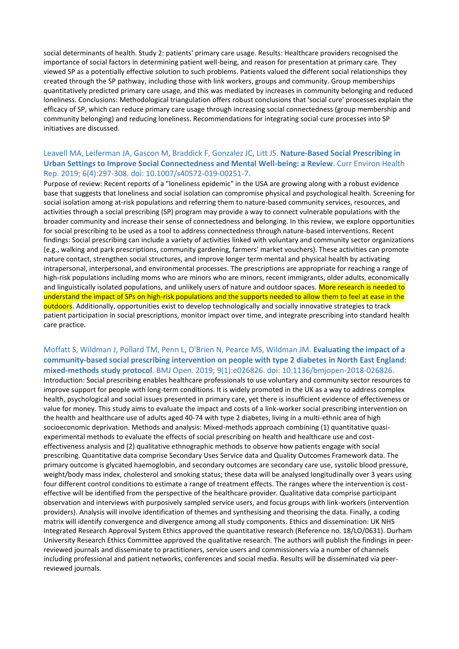social determinants of health. Study 2: patients' primary care usage. Results: Healthcare providers recognised the importance of social factors in determining patient well-being, and reason for presentation at primary care. They viewed SP as a potentially effective solution to such problems. Patients valued the different social relationships they created through the SP pathway, including those with link workers, groups and community. Group memberships quantitatively predicted primary care usage, and this was mediated by increases in community belonging and reduced loneliness. Conclusions: Methodological triangulation offers robust conclusions that 'social cure' processes explain the efficacy of SP, which can reduce primary care usage through increasing social connectedness (group membership and community belonging) and reducing loneliness. Recommendations for integrating social cure processes into SP initiatives are discussed.

#### Leavell MA, Leiferman JA, Gascon M, Braddick F, Gonzalez JC, Litt JS. **Nature-Based Social Prescribing in Urban Settings to Improve Social Connectedness and Mental Well-being: a Review**. Curr Environ Health Rep. 2019; 6(4):297-308. doi: 10.1007/s40572-019-00251-7.

Purpose of review: Recent reports of a "loneliness epidemic" in the USA are growing along with a robust evidence base that suggests that loneliness and social isolation can compromise physical and psychological health. Screening for social isolation among at-risk populations and referring them to nature-based community services, resources, and activities through a social prescribing (SP) program may provide a way to connect vulnerable populations with the broader community and increase their sense of connectedness and belonging. In this review, we explore opportunities for social prescribing to be used as a tool to address connectedness through nature-based interventions. Recent findings: Social prescribing can include a variety of activities linked with voluntary and community sector organizations (e.g., walking and park prescriptions, community gardening, farmers' market vouchers). These activities can promote nature contact, strengthen social structures, and improve longer term mental and physical health by activating intrapersonal, interpersonal, and environmental processes. The prescriptions are appropriate for reaching a range of high-risk populations including moms who are minors who are minors, recent immigrants, older adults, economically and linguistically isolated populations, and unlikely users of nature and outdoor spaces. More research is needed to understand the impact of SPs on high-risk populations and the supports needed to allow them to feel at ease in the outdoors. Additionally, opportunities exist to develop technologically and socially innovative strategies to track patient participation in social prescriptions, monitor impact over time, and integrate prescribing into standard health care practice.

# Moffatt S, Wildman J, Pollard TM, Penn L, O'Brien N, Pearce MS, Wildman JM. **Evaluating the impact of a community-based social prescribing intervention on people with type 2 diabetes in North East England: mixed-methods study protocol**. BMJ Open. 2019; 9(1):e026826. doi: 10.1136/bmjopen-2018-026826.

Introduction: Social prescribing enables healthcare professionals to use voluntary and community sector resources to improve support for people with long-term conditions. It is widely promoted in the UK as a way to address complex health, psychological and social issues presented in primary care, yet there is insufficient evidence of effectiveness or value for money. This study aims to evaluate the impact and costs of a link-worker social prescribing intervention on the health and healthcare use of adults aged 40-74 with type 2 diabetes, living in a multi-ethnic area of high socioeconomic deprivation. Methods and analysis: Mixed-methods approach combining (1) quantitative quasiexperimental methods to evaluate the effects of social prescribing on health and healthcare use and costeffectiveness analysis and (2) qualitative ethnographic methods to observe how patients engage with social prescribing. Quantitative data comprise Secondary Uses Service data and Quality Outcomes Framework data. The primary outcome is glycated haemoglobin, and secondary outcomes are secondary care use, systolic blood pressure, weight/body mass index, cholesterol and smoking status; these data will be analysed longitudinally over 3 years using four different control conditions to estimate a range of treatment effects. The ranges where the intervention is costeffective will be identified from the perspective of the healthcare provider. Qualitative data comprise participant observation and interviews with purposively sampled service users, and focus groups with link-workers (intervention providers). Analysis will involve identification of themes and synthesising and theorising the data. Finally, a coding matrix will identify convergence and divergence among all study components. Ethics and dissemination: UK NHS Integrated Research Approval System Ethics approved the quantitative research (Reference no. 18/LO/0631). Durham University Research Ethics Committee approved the qualitative research. The authors will publish the findings in peerreviewed journals and disseminate to practitioners, service users and commissioners via a number of channels including professional and patient networks, conferences and social media. Results will be disseminated via peerreviewed journals.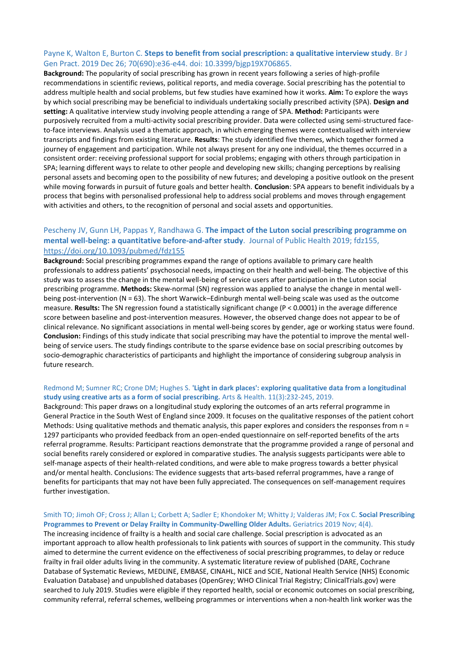#### Payne K, Walton E, Burton C. **Steps to benefit from social prescription: a qualitative interview study**. Br J Gen Pract. 2019 Dec 26; 70(690):e36-e44. doi: 10.3399/bjgp19X706865.

**Background:** The popularity of social prescribing has grown in recent years following a series of high-profile recommendations in scientific reviews, political reports, and media coverage. Social prescribing has the potential to address multiple health and social problems, but few studies have examined how it works. **Aim:** To explore the ways by which social prescribing may be beneficial to individuals undertaking socially prescribed activity (SPA). **Design and setting:** A qualitative interview study involving people attending a range of SPA. **Method:** Participants were purposively recruited from a multi-activity social prescribing provider. Data were collected using semi-structured faceto-face interviews. Analysis used a thematic approach, in which emerging themes were contextualised with interview transcripts and findings from existing literature. **Results**: The study identified five themes, which together formed a journey of engagement and participation. While not always present for any one individual, the themes occurred in a consistent order: receiving professional support for social problems; engaging with others through participation in SPA; learning different ways to relate to other people and developing new skills; changing perceptions by realising personal assets and becoming open to the possibility of new futures; and developing a positive outlook on the present while moving forwards in pursuit of future goals and better health. **Conclusion**: SPA appears to benefit individuals by a process that begins with personalised professional help to address social problems and moves through engagement with activities and others, to the recognition of personal and social assets and opportunities.

# Pescheny JV, Gunn LH, Pappas Y, Randhawa G. **The impact of the Luton social prescribing programme on mental well-being: a quantitative before-and-after study**. Journal of Public Health 2019; fdz155, <https://doi.org/10.1093/pubmed/fdz155>

**Background:** Social prescribing programmes expand the range of options available to primary care health professionals to address patients' psychosocial needs, impacting on their health and well-being. The objective of this study was to assess the change in the mental well-being of service users after participation in the Luton social prescribing programme. **Methods:** Skew-normal (SN) regression was applied to analyse the change in mental wellbeing post-intervention (N = 63). The short Warwick–Edinburgh mental well-being scale was used as the outcome measure. **Results:** The SN regression found a statistically significant change (P < 0.0001) in the average difference score between baseline and post-intervention measures. However, the observed change does not appear to be of clinical relevance. No significant associations in mental well-being scores by gender, age or working status were found. **Conclusion:** Findings of this study indicate that social prescribing may have the potential to improve the mental wellbeing of service users. The study findings contribute to the sparse evidence base on social prescribing outcomes by socio-demographic characteristics of participants and highlight the importance of considering subgroup analysis in future research.

#### Redmond M; Sumner RC; Crone DM; Hughes S. **'Light in dark places': exploring qualitative data from a longitudinal study using creative arts as a form of social prescribing.** Arts & Health. 11(3):232-245, 2019.

Background: This paper draws on a longitudinal study exploring the outcomes of an arts referral programme in General Practice in the South West of England since 2009. It focuses on the qualitative responses of the patient cohort Methods: Using qualitative methods and thematic analysis, this paper explores and considers the responses from n = 1297 participants who provided feedback from an open-ended questionnaire on self-reported benefits of the arts referral programme. Results: Participant reactions demonstrate that the programme provided a range of personal and social benefits rarely considered or explored in comparative studies. The analysis suggests participants were able to self-manage aspects of their health-related conditions, and were able to make progress towards a better physical and/or mental health. Conclusions: The evidence suggests that arts-based referral programmes, have a range of benefits for participants that may not have been fully appreciated. The consequences on self-management requires further investigation.

#### Smith TO; Jimoh OF; Cross J; Allan L; Corbett A; Sadler E; Khondoker M; Whitty J; Valderas JM; Fox C. **Social Prescribing Programmes to Prevent or Delay Frailty in Community-Dwelling Older Adults.** Geriatrics 2019 Nov; 4(4).

The increasing incidence of frailty is a health and social care challenge. Social prescription is advocated as an important approach to allow health professionals to link patients with sources of support in the community. This study aimed to determine the current evidence on the effectiveness of social prescribing programmes, to delay or reduce frailty in frail older adults living in the community. A systematic literature review of published (DARE, Cochrane Database of Systematic Reviews, MEDLINE, EMBASE, CINAHL, NICE and SCIE, National Health Service (NHS) Economic Evaluation Database) and unpublished databases (OpenGrey; WHO Clinical Trial Registry; ClinicalTrials.gov) were searched to July 2019. Studies were eligible if they reported health, social or economic outcomes on social prescribing, community referral, referral schemes, wellbeing programmes or interventions when a non-health link worker was the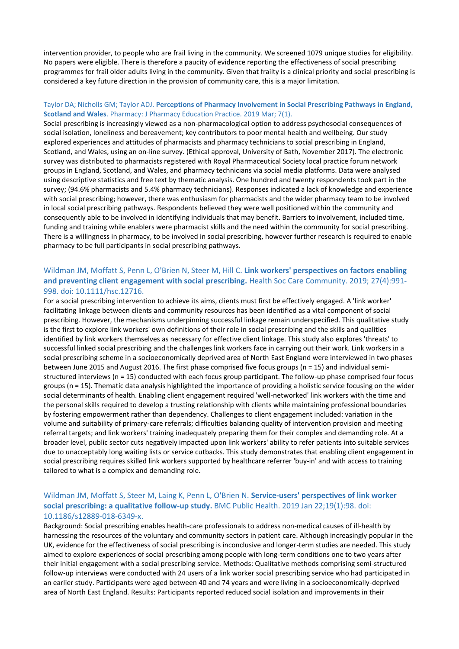intervention provider, to people who are frail living in the community. We screened 1079 unique studies for eligibility. No papers were eligible. There is therefore a paucity of evidence reporting the effectiveness of social prescribing programmes for frail older adults living in the community. Given that frailty is a clinical priority and social prescribing is considered a key future direction in the provision of community care, this is a major limitation.

#### Taylor DA; Nicholls GM; Taylor ADJ. **Perceptions of Pharmacy Involvement in Social Prescribing Pathways in England, Scotland and Wales**. Pharmacy: J Pharmacy Education Practice. 2019 Mar; 7(1).

Social prescribing is increasingly viewed as a non-pharmacological option to address psychosocial consequences of social isolation, loneliness and bereavement; key contributors to poor mental health and wellbeing. Our study explored experiences and attitudes of pharmacists and pharmacy technicians to social prescribing in England, Scotland, and Wales, using an on-line survey. (Ethical approval, University of Bath, November 2017). The electronic survey was distributed to pharmacists registered with Royal Pharmaceutical Society local practice forum network groups in England, Scotland, and Wales, and pharmacy technicians via social media platforms. Data were analysed using descriptive statistics and free text by thematic analysis. One hundred and twenty respondents took part in the survey; (94.6% pharmacists and 5.4% pharmacy technicians). Responses indicated a lack of knowledge and experience with social prescribing; however, there was enthusiasm for pharmacists and the wider pharmacy team to be involved in local social prescribing pathways. Respondents believed they were well positioned within the community and consequently able to be involved in identifying individuals that may benefit. Barriers to involvement, included time, funding and training while enablers were pharmacist skills and the need within the community for social prescribing. There is a willingness in pharmacy, to be involved in social prescribing, however further research is required to enable pharmacy to be full participants in social prescribing pathways.

# Wildman JM, Moffatt S, Penn L, O'Brien N, Steer M, Hill C. **Link workers' perspectives on factors enabling and preventing client engagement with social prescribing.** Health Soc Care Community. 2019; 27(4):991- 998. doi: 10.1111/hsc.12716.

For a social prescribing intervention to achieve its aims, clients must first be effectively engaged. A 'link worker' facilitating linkage between clients and community resources has been identified as a vital component of social prescribing. However, the mechanisms underpinning successful linkage remain underspecified. This qualitative study is the first to explore link workers' own definitions of their role in social prescribing and the skills and qualities identified by link workers themselves as necessary for effective client linkage. This study also explores 'threats' to successful linked social prescribing and the challenges link workers face in carrying out their work. Link workers in a social prescribing scheme in a socioeconomically deprived area of North East England were interviewed in two phases between June 2015 and August 2016. The first phase comprised five focus groups (n = 15) and individual semistructured interviews (n = 15) conducted with each focus group participant. The follow-up phase comprised four focus groups (n = 15). Thematic data analysis highlighted the importance of providing a holistic service focusing on the wider social determinants of health. Enabling client engagement required 'well-networked' link workers with the time and the personal skills required to develop a trusting relationship with clients while maintaining professional boundaries by fostering empowerment rather than dependency. Challenges to client engagement included: variation in the volume and suitability of primary-care referrals; difficulties balancing quality of intervention provision and meeting referral targets; and link workers' training inadequately preparing them for their complex and demanding role. At a broader level, public sector cuts negatively impacted upon link workers' ability to refer patients into suitable services due to unacceptably long waiting lists or service cutbacks. This study demonstrates that enabling client engagement in social prescribing requires skilled link workers supported by healthcare referrer 'buy-in' and with access to training tailored to what is a complex and demanding role.

# Wildman JM, Moffatt S, Steer M, Laing K, Penn L, O'Brien N. **Service-users' perspectives of link worker social prescribing: a qualitative follow-up study.** BMC Public Health. 2019 Jan 22;19(1):98. doi: 10.1186/s12889-018-6349-x.

Background: Social prescribing enables health-care professionals to address non-medical causes of ill-health by harnessing the resources of the voluntary and community sectors in patient care. Although increasingly popular in the UK, evidence for the effectiveness of social prescribing is inconclusive and longer-term studies are needed. This study aimed to explore experiences of social prescribing among people with long-term conditions one to two years after their initial engagement with a social prescribing service. Methods: Qualitative methods comprising semi-structured follow-up interviews were conducted with 24 users of a link worker social prescribing service who had participated in an earlier study. Participants were aged between 40 and 74 years and were living in a socioeconomically-deprived area of North East England. Results: Participants reported reduced social isolation and improvements in their